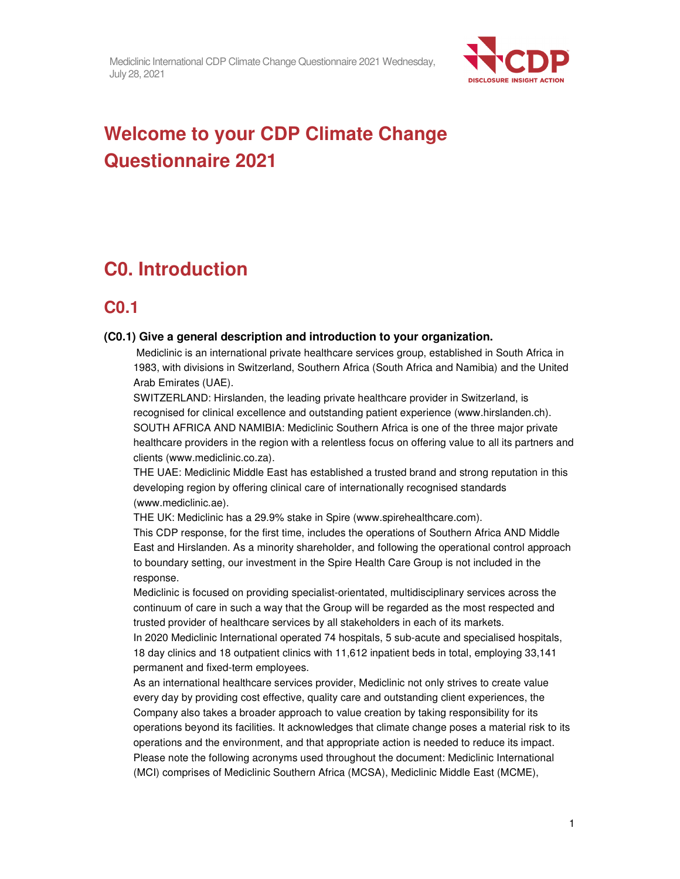

# **Welcome to your CDP Climate Change Questionnaire 2021**

# **C0. Introduction**

## **C0.1**

#### **(C0.1) Give a general description and introduction to your organization.**

 Mediclinic is an international private healthcare services group, established in South Africa in 1983, with divisions in Switzerland, Southern Africa (South Africa and Namibia) and the United Arab Emirates (UAE).

SWITZERLAND: Hirslanden, the leading private healthcare provider in Switzerland, is recognised for clinical excellence and outstanding patient experience (www.hirslanden.ch). SOUTH AFRICA AND NAMIBIA: Mediclinic Southern Africa is one of the three major private healthcare providers in the region with a relentless focus on offering value to all its partners and clients (www.mediclinic.co.za).

THE UAE: Mediclinic Middle East has established a trusted brand and strong reputation in this developing region by offering clinical care of internationally recognised standards (www.mediclinic.ae).

THE UK: Mediclinic has a 29.9% stake in Spire (www.spirehealthcare.com).

This CDP response, for the first time, includes the operations of Southern Africa AND Middle East and Hirslanden. As a minority shareholder, and following the operational control approach to boundary setting, our investment in the Spire Health Care Group is not included in the response.

Mediclinic is focused on providing specialist-orientated, multidisciplinary services across the continuum of care in such a way that the Group will be regarded as the most respected and trusted provider of healthcare services by all stakeholders in each of its markets.

In 2020 Mediclinic International operated 74 hospitals, 5 sub-acute and specialised hospitals, 18 day clinics and 18 outpatient clinics with 11,612 inpatient beds in total, employing 33,141 permanent and fixed-term employees.

As an international healthcare services provider, Mediclinic not only strives to create value every day by providing cost effective, quality care and outstanding client experiences, the Company also takes a broader approach to value creation by taking responsibility for its operations beyond its facilities. It acknowledges that climate change poses a material risk to its operations and the environment, and that appropriate action is needed to reduce its impact. Please note the following acronyms used throughout the document: Mediclinic International (MCI) comprises of Mediclinic Southern Africa (MCSA), Mediclinic Middle East (MCME),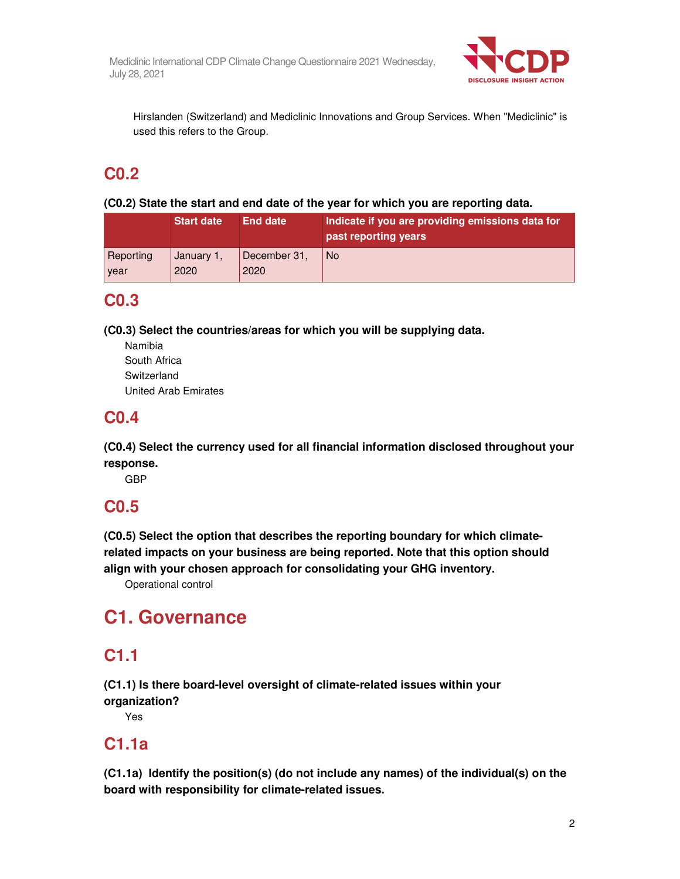

Hirslanden (Switzerland) and Mediclinic Innovations and Group Services. When "Mediclinic" is used this refers to the Group.

# **C0.2**

**(C0.2) State the start and end date of the year for which you are reporting data.** 

|           | <b>Start date</b> | <b>End date</b> | Indicate if you are providing emissions data for<br>past reporting years |
|-----------|-------------------|-----------------|--------------------------------------------------------------------------|
| Reporting | January 1,        | December 31,    | No.                                                                      |
| year      | 2020              | 2020            |                                                                          |

## **C0.3**

**(C0.3) Select the countries/areas for which you will be supplying data.** 

Namibia South Africa **Switzerland** United Arab Emirates

# **C0.4**

**(C0.4) Select the currency used for all financial information disclosed throughout your response.** 

GBP

# **C0.5**

**(C0.5) Select the option that describes the reporting boundary for which climaterelated impacts on your business are being reported. Note that this option should align with your chosen approach for consolidating your GHG inventory.** 

Operational control

# **C1. Governance**

# **C1.1**

**(C1.1) Is there board-level oversight of climate-related issues within your organization?** 

Yes

## **C1.1a**

**(C1.1a) Identify the position(s) (do not include any names) of the individual(s) on the board with responsibility for climate-related issues.**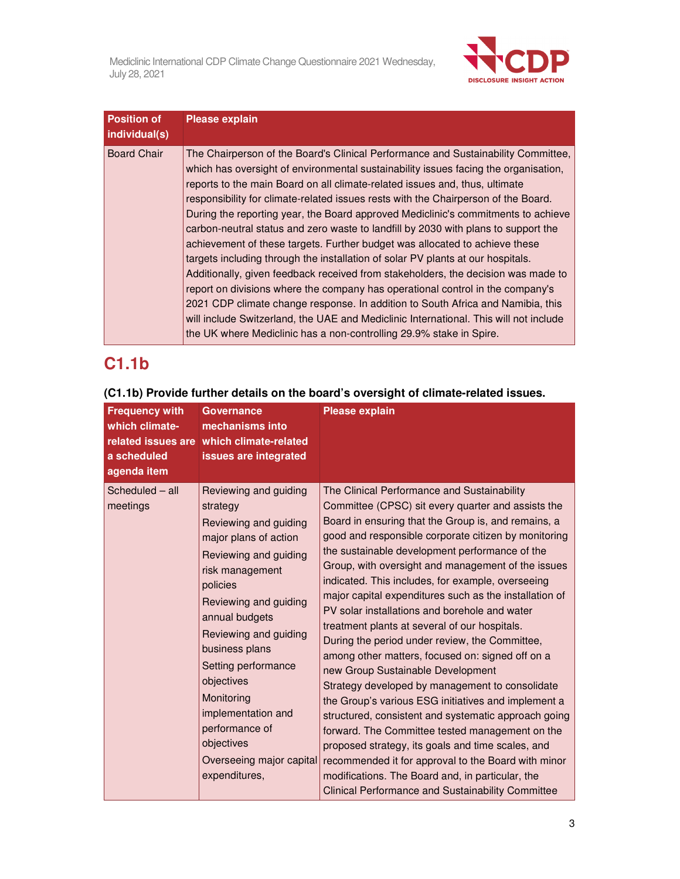

| <b>Position of</b><br>individual(s) | <b>Please explain</b>                                                                                                                                                                                                                                                                                                                                                                                                                                                                                                                                                                                                                                                                                                                                                                                                                                                                                                                                                                                                                                                                                                |
|-------------------------------------|----------------------------------------------------------------------------------------------------------------------------------------------------------------------------------------------------------------------------------------------------------------------------------------------------------------------------------------------------------------------------------------------------------------------------------------------------------------------------------------------------------------------------------------------------------------------------------------------------------------------------------------------------------------------------------------------------------------------------------------------------------------------------------------------------------------------------------------------------------------------------------------------------------------------------------------------------------------------------------------------------------------------------------------------------------------------------------------------------------------------|
| <b>Board Chair</b>                  | The Chairperson of the Board's Clinical Performance and Sustainability Committee,<br>which has oversight of environmental sustainability issues facing the organisation,<br>reports to the main Board on all climate-related issues and, thus, ultimate<br>responsibility for climate-related issues rests with the Chairperson of the Board.<br>During the reporting year, the Board approved Mediclinic's commitments to achieve<br>carbon-neutral status and zero waste to landfill by 2030 with plans to support the<br>achievement of these targets. Further budget was allocated to achieve these<br>targets including through the installation of solar PV plants at our hospitals.<br>Additionally, given feedback received from stakeholders, the decision was made to<br>report on divisions where the company has operational control in the company's<br>2021 CDP climate change response. In addition to South Africa and Namibia, this<br>will include Switzerland, the UAE and Mediclinic International. This will not include<br>the UK where Mediclinic has a non-controlling 29.9% stake in Spire. |

# **C1.1b**

| <b>Frequency with</b><br>which climate-<br>related issues are<br>a scheduled<br>agenda item | <b>Governance</b><br>mechanisms into<br>which climate-related<br>issues are integrated                                                                                                                                                                                                                                                                                                  | <b>Please explain</b>                                                                                                                                                                                                                                                                                                                                                                                                                                                                                                                                                                                                                                                                                                                                                                                                                                                                                                                                                                                                                                                                                                                 |
|---------------------------------------------------------------------------------------------|-----------------------------------------------------------------------------------------------------------------------------------------------------------------------------------------------------------------------------------------------------------------------------------------------------------------------------------------------------------------------------------------|---------------------------------------------------------------------------------------------------------------------------------------------------------------------------------------------------------------------------------------------------------------------------------------------------------------------------------------------------------------------------------------------------------------------------------------------------------------------------------------------------------------------------------------------------------------------------------------------------------------------------------------------------------------------------------------------------------------------------------------------------------------------------------------------------------------------------------------------------------------------------------------------------------------------------------------------------------------------------------------------------------------------------------------------------------------------------------------------------------------------------------------|
| Scheduled - all<br>meetings                                                                 | Reviewing and guiding<br>strategy<br>Reviewing and guiding<br>major plans of action<br>Reviewing and guiding<br>risk management<br>policies<br>Reviewing and guiding<br>annual budgets<br>Reviewing and guiding<br>business plans<br>Setting performance<br>objectives<br>Monitoring<br>implementation and<br>performance of<br>objectives<br>Overseeing major capital<br>expenditures, | The Clinical Performance and Sustainability<br>Committee (CPSC) sit every quarter and assists the<br>Board in ensuring that the Group is, and remains, a<br>good and responsible corporate citizen by monitoring<br>the sustainable development performance of the<br>Group, with oversight and management of the issues<br>indicated. This includes, for example, overseeing<br>major capital expenditures such as the installation of<br>PV solar installations and borehole and water<br>treatment plants at several of our hospitals.<br>During the period under review, the Committee,<br>among other matters, focused on: signed off on a<br>new Group Sustainable Development<br>Strategy developed by management to consolidate<br>the Group's various ESG initiatives and implement a<br>structured, consistent and systematic approach going<br>forward. The Committee tested management on the<br>proposed strategy, its goals and time scales, and<br>recommended it for approval to the Board with minor<br>modifications. The Board and, in particular, the<br><b>Clinical Performance and Sustainability Committee</b> |

**(C1.1b) Provide further details on the board's oversight of climate-related issues.**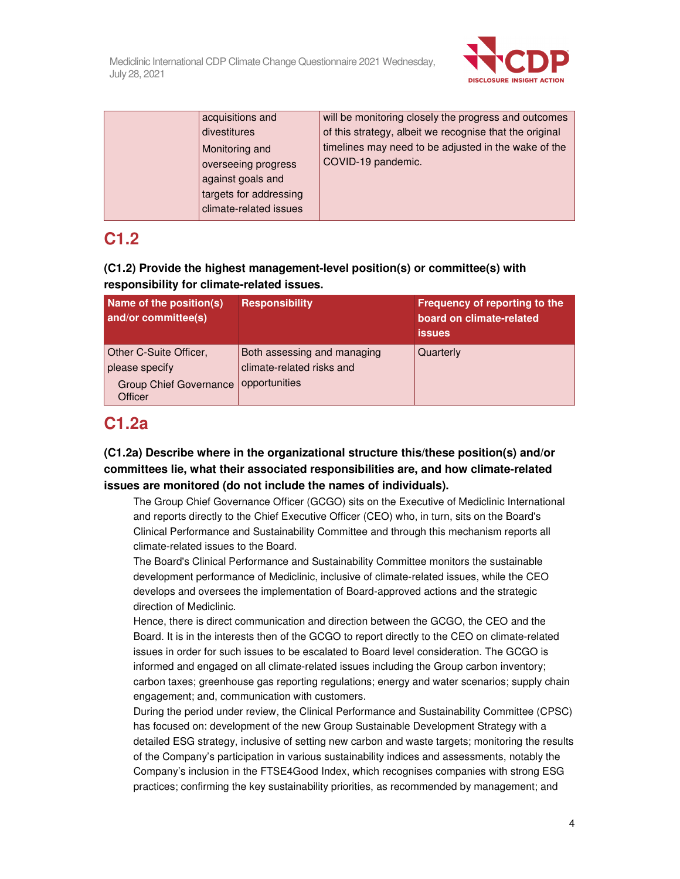

| acquisitions and       | will be monitoring closely the progress and outcomes    |
|------------------------|---------------------------------------------------------|
| divestitures           | of this strategy, albeit we recognise that the original |
| Monitoring and         | timelines may need to be adjusted in the wake of the    |
| overseeing progress    | COVID-19 pandemic.                                      |
| against goals and      |                                                         |
| targets for addressing |                                                         |
| climate-related issues |                                                         |

## **C1.2**

## **(C1.2) Provide the highest management-level position(s) or committee(s) with responsibility for climate-related issues.**

| Name of the position(s)<br>and/or committee(s)                                       | <b>Responsibility</b>                                                     | Frequency of reporting to the<br>board on climate-related<br><b>issues</b> |
|--------------------------------------------------------------------------------------|---------------------------------------------------------------------------|----------------------------------------------------------------------------|
| Other C-Suite Officer,<br>please specify<br><b>Group Chief Governance</b><br>Officer | Both assessing and managing<br>climate-related risks and<br>opportunities | Quarterly                                                                  |

## **C1.2a**

### **(C1.2a) Describe where in the organizational structure this/these position(s) and/or committees lie, what their associated responsibilities are, and how climate-related issues are monitored (do not include the names of individuals).**

The Group Chief Governance Officer (GCGO) sits on the Executive of Mediclinic International and reports directly to the Chief Executive Officer (CEO) who, in turn, sits on the Board's Clinical Performance and Sustainability Committee and through this mechanism reports all climate-related issues to the Board.

The Board's Clinical Performance and Sustainability Committee monitors the sustainable development performance of Mediclinic, inclusive of climate-related issues, while the CEO develops and oversees the implementation of Board-approved actions and the strategic direction of Mediclinic.

Hence, there is direct communication and direction between the GCGO, the CEO and the Board. It is in the interests then of the GCGO to report directly to the CEO on climate-related issues in order for such issues to be escalated to Board level consideration. The GCGO is informed and engaged on all climate-related issues including the Group carbon inventory; carbon taxes; greenhouse gas reporting regulations; energy and water scenarios; supply chain engagement; and, communication with customers.

During the period under review, the Clinical Performance and Sustainability Committee (CPSC) has focused on: development of the new Group Sustainable Development Strategy with a detailed ESG strategy, inclusive of setting new carbon and waste targets; monitoring the results of the Company's participation in various sustainability indices and assessments, notably the Company's inclusion in the FTSE4Good Index, which recognises companies with strong ESG practices; confirming the key sustainability priorities, as recommended by management; and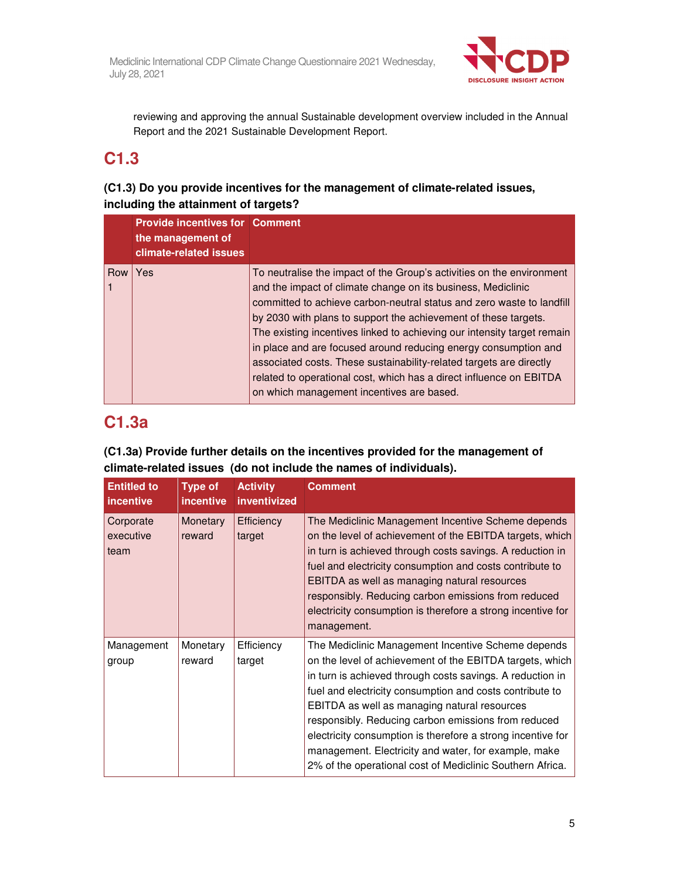

reviewing and approving the annual Sustainable development overview included in the Annual Report and the 2021 Sustainable Development Report.

## **C1.3**

### **(C1.3) Do you provide incentives for the management of climate-related issues, including the attainment of targets?**

|     | <b>Provide incentives for Comment</b><br>the management of<br>climate-related issues |                                                                                                                                                                                                                                                                                                                                                                                                                                                                                                                                                                                                                            |
|-----|--------------------------------------------------------------------------------------|----------------------------------------------------------------------------------------------------------------------------------------------------------------------------------------------------------------------------------------------------------------------------------------------------------------------------------------------------------------------------------------------------------------------------------------------------------------------------------------------------------------------------------------------------------------------------------------------------------------------------|
| Row | Yes                                                                                  | To neutralise the impact of the Group's activities on the environment<br>and the impact of climate change on its business, Mediclinic<br>committed to achieve carbon-neutral status and zero waste to landfill<br>by 2030 with plans to support the achievement of these targets.<br>The existing incentives linked to achieving our intensity target remain<br>in place and are focused around reducing energy consumption and<br>associated costs. These sustainability-related targets are directly<br>related to operational cost, which has a direct influence on EBITDA<br>on which management incentives are based. |

## **C1.3a**

## **(C1.3a) Provide further details on the incentives provided for the management of climate-related issues (do not include the names of individuals).**

| <b>Entitled to</b><br><i>incentive</i> | <b>Type of</b><br><i>incentive</i> | <b>Activity</b><br>inventivized | <b>Comment</b>                                                                                                                                                                                                                                                                                                                                                                                                                                                                                                                     |
|----------------------------------------|------------------------------------|---------------------------------|------------------------------------------------------------------------------------------------------------------------------------------------------------------------------------------------------------------------------------------------------------------------------------------------------------------------------------------------------------------------------------------------------------------------------------------------------------------------------------------------------------------------------------|
| Corporate<br>executive<br>team         | Monetary<br>reward                 | Efficiency<br>target            | The Mediclinic Management Incentive Scheme depends<br>on the level of achievement of the EBITDA targets, which<br>in turn is achieved through costs savings. A reduction in<br>fuel and electricity consumption and costs contribute to<br>EBITDA as well as managing natural resources<br>responsibly. Reducing carbon emissions from reduced<br>electricity consumption is therefore a strong incentive for<br>management.                                                                                                       |
| Management<br>group                    | Monetary<br>reward                 | Efficiency<br>target            | The Mediclinic Management Incentive Scheme depends<br>on the level of achievement of the EBITDA targets, which<br>in turn is achieved through costs savings. A reduction in<br>fuel and electricity consumption and costs contribute to<br>EBITDA as well as managing natural resources<br>responsibly. Reducing carbon emissions from reduced<br>electricity consumption is therefore a strong incentive for<br>management. Electricity and water, for example, make<br>2% of the operational cost of Mediclinic Southern Africa. |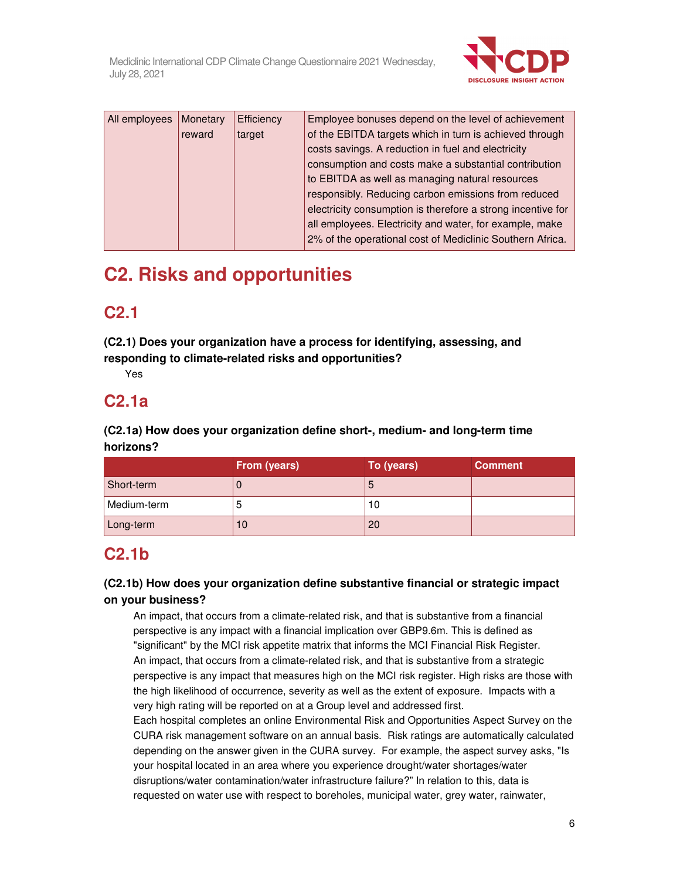

| All employees | Monetary | Efficiency | Employee bonuses depend on the level of achievement         |
|---------------|----------|------------|-------------------------------------------------------------|
|               | reward   | target     | of the EBITDA targets which in turn is achieved through     |
|               |          |            | costs savings. A reduction in fuel and electricity          |
|               |          |            | consumption and costs make a substantial contribution       |
|               |          |            | to EBITDA as well as managing natural resources             |
|               |          |            | responsibly. Reducing carbon emissions from reduced         |
|               |          |            | electricity consumption is therefore a strong incentive for |
|               |          |            | all employees. Electricity and water, for example, make     |
|               |          |            | 2% of the operational cost of Mediclinic Southern Africa.   |

# **C2. Risks and opportunities**

# **C2.1**

**(C2.1) Does your organization have a process for identifying, assessing, and responding to climate-related risks and opportunities?** 

Yes

## **C2.1a**

**(C2.1a) How does your organization define short-, medium- and long-term time horizons?** 

|             | From (years) | To (years) | <b>Comment</b> |
|-------------|--------------|------------|----------------|
| Short-term  |              | O          |                |
| Medium-term |              | 10         |                |
| Long-term   | 10           | 20         |                |

# **C2.1b**

### **(C2.1b) How does your organization define substantive financial or strategic impact on your business?**

An impact, that occurs from a climate-related risk, and that is substantive from a financial perspective is any impact with a financial implication over GBP9.6m. This is defined as "significant" by the MCI risk appetite matrix that informs the MCI Financial Risk Register. An impact, that occurs from a climate-related risk, and that is substantive from a strategic perspective is any impact that measures high on the MCI risk register. High risks are those with the high likelihood of occurrence, severity as well as the extent of exposure. Impacts with a very high rating will be reported on at a Group level and addressed first.

Each hospital completes an online Environmental Risk and Opportunities Aspect Survey on the CURA risk management software on an annual basis. Risk ratings are automatically calculated depending on the answer given in the CURA survey. For example, the aspect survey asks, "Is your hospital located in an area where you experience drought/water shortages/water disruptions/water contamination/water infrastructure failure?" In relation to this, data is requested on water use with respect to boreholes, municipal water, grey water, rainwater,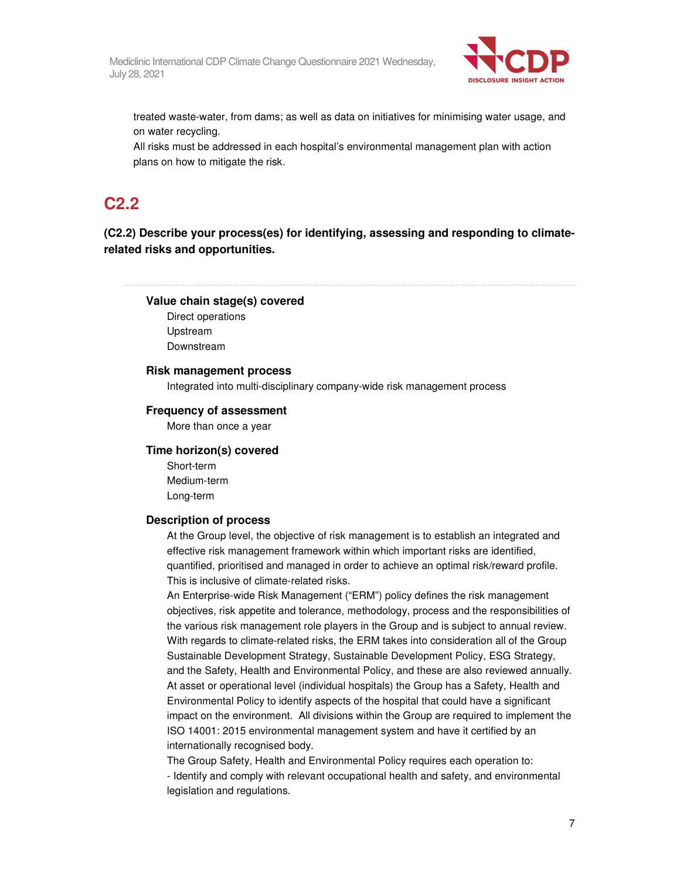

treated waste-water, from dams; as well as data on initiatives for minimising water usage, and on water recycling.

All risks must be addressed in each hospital's environmental management plan with action plans on how to mitigate the risk.

# **C2.2**

**(C2.2) Describe your process(es) for identifying, assessing and responding to climaterelated risks and opportunities.** 

#### **Value chain stage(s) covered**

Direct operations Upstream Downstream

#### **Risk management process**

Integrated into multi-disciplinary company-wide risk management process

#### **Frequency of assessment**

More than once a year

#### **Time horizon(s) covered**

Short-term Medium-term Long-term

#### **Description of process**

At the Group level, the objective of risk management is to establish an integrated and effective risk management framework within which important risks are identified, quantified, prioritised and managed in order to achieve an optimal risk/reward profile. This is inclusive of climate-related risks.

An Enterprise-wide Risk Management ("ERM") policy defines the risk management objectives, risk appetite and tolerance, methodology, process and the responsibilities of the various risk management role players in the Group and is subject to annual review. With regards to climate-related risks, the ERM takes into consideration all of the Group Sustainable Development Strategy, Sustainable Development Policy, ESG Strategy, and the Safety, Health and Environmental Policy, and these are also reviewed annually. At asset or operational level (individual hospitals) the Group has a Safety, Health and Environmental Policy to identify aspects of the hospital that could have a significant impact on the environment. All divisions within the Group are required to implement the ISO 14001: 2015 environmental management system and have it certified by an internationally recognised body.

The Group Safety, Health and Environmental Policy requires each operation to:

- Identify and comply with relevant occupational health and safety, and environmental legislation and regulations.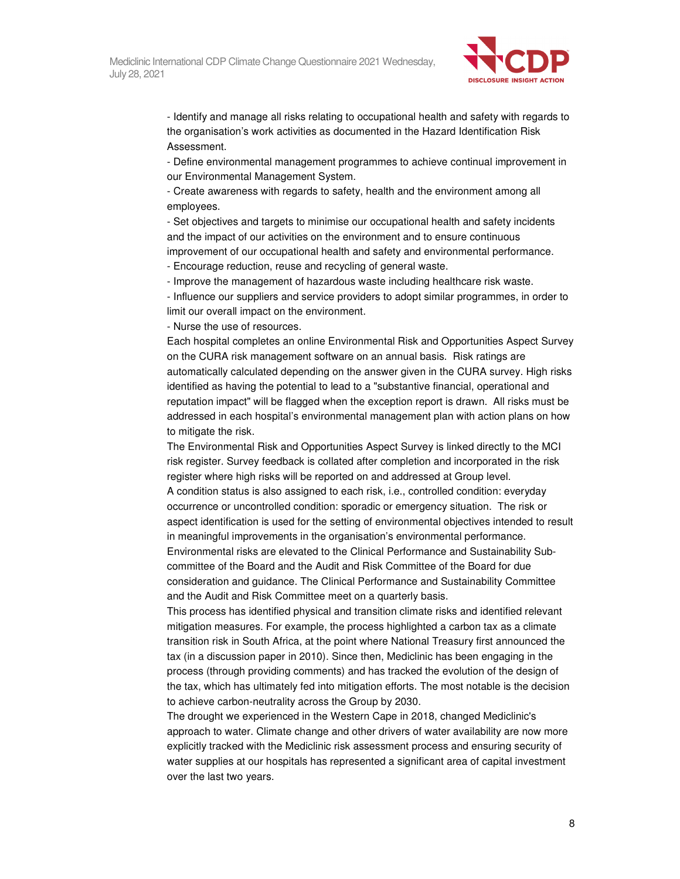

- Identify and manage all risks relating to occupational health and safety with regards to the organisation's work activities as documented in the Hazard Identification Risk Assessment.

- Define environmental management programmes to achieve continual improvement in our Environmental Management System.

- Create awareness with regards to safety, health and the environment among all employees.

- Set objectives and targets to minimise our occupational health and safety incidents and the impact of our activities on the environment and to ensure continuous improvement of our occupational health and safety and environmental performance.

- Encourage reduction, reuse and recycling of general waste.

- Improve the management of hazardous waste including healthcare risk waste.

- Influence our suppliers and service providers to adopt similar programmes, in order to limit our overall impact on the environment.

- Nurse the use of resources.

Each hospital completes an online Environmental Risk and Opportunities Aspect Survey on the CURA risk management software on an annual basis. Risk ratings are automatically calculated depending on the answer given in the CURA survey. High risks identified as having the potential to lead to a "substantive financial, operational and reputation impact" will be flagged when the exception report is drawn. All risks must be addressed in each hospital's environmental management plan with action plans on how to mitigate the risk.

The Environmental Risk and Opportunities Aspect Survey is linked directly to the MCI risk register. Survey feedback is collated after completion and incorporated in the risk register where high risks will be reported on and addressed at Group level.

A condition status is also assigned to each risk, i.e., controlled condition: everyday occurrence or uncontrolled condition: sporadic or emergency situation. The risk or aspect identification is used for the setting of environmental objectives intended to result in meaningful improvements in the organisation's environmental performance. Environmental risks are elevated to the Clinical Performance and Sustainability Subcommittee of the Board and the Audit and Risk Committee of the Board for due consideration and guidance. The Clinical Performance and Sustainability Committee and the Audit and Risk Committee meet on a quarterly basis.

This process has identified physical and transition climate risks and identified relevant mitigation measures. For example, the process highlighted a carbon tax as a climate transition risk in South Africa, at the point where National Treasury first announced the tax (in a discussion paper in 2010). Since then, Mediclinic has been engaging in the process (through providing comments) and has tracked the evolution of the design of the tax, which has ultimately fed into mitigation efforts. The most notable is the decision to achieve carbon-neutrality across the Group by 2030.

The drought we experienced in the Western Cape in 2018, changed Mediclinic's approach to water. Climate change and other drivers of water availability are now more explicitly tracked with the Mediclinic risk assessment process and ensuring security of water supplies at our hospitals has represented a significant area of capital investment over the last two years.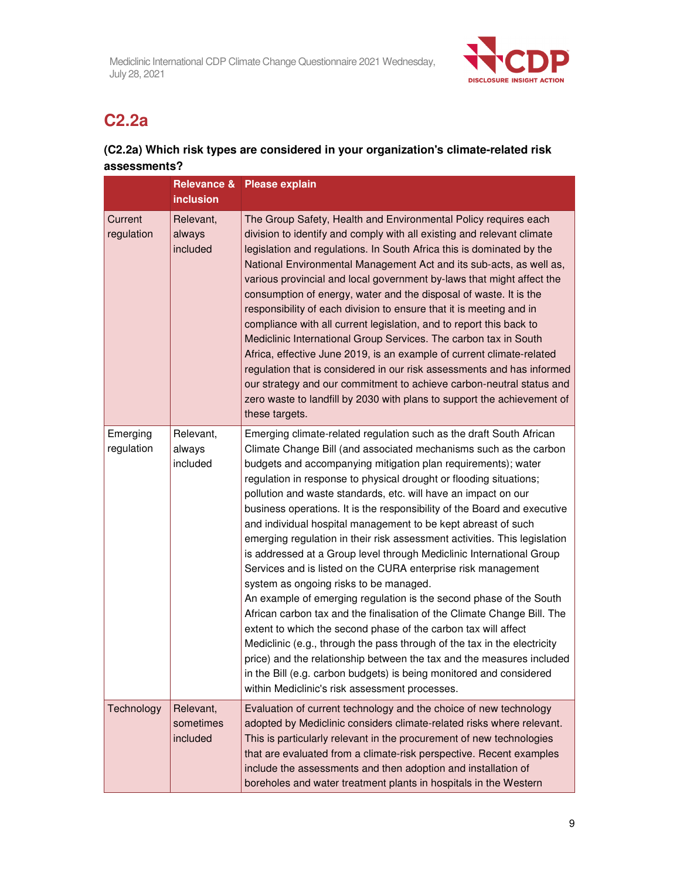

# **C2.2a**

## **(C2.2a) Which risk types are considered in your organization's climate-related risk assessments?**

|                        | <b>inclusion</b>                   | Relevance & Please explain                                                                                                                                                                                                                                                                                                                                                                                                                                                                                                                                                                                                                                                                                                                                                                                                                                                                                                                                                                                                                                                                                                                                                                                                                                      |
|------------------------|------------------------------------|-----------------------------------------------------------------------------------------------------------------------------------------------------------------------------------------------------------------------------------------------------------------------------------------------------------------------------------------------------------------------------------------------------------------------------------------------------------------------------------------------------------------------------------------------------------------------------------------------------------------------------------------------------------------------------------------------------------------------------------------------------------------------------------------------------------------------------------------------------------------------------------------------------------------------------------------------------------------------------------------------------------------------------------------------------------------------------------------------------------------------------------------------------------------------------------------------------------------------------------------------------------------|
| Current<br>regulation  | Relevant,<br>always<br>included    | The Group Safety, Health and Environmental Policy requires each<br>division to identify and comply with all existing and relevant climate<br>legislation and regulations. In South Africa this is dominated by the<br>National Environmental Management Act and its sub-acts, as well as,<br>various provincial and local government by-laws that might affect the<br>consumption of energy, water and the disposal of waste. It is the<br>responsibility of each division to ensure that it is meeting and in<br>compliance with all current legislation, and to report this back to<br>Mediclinic International Group Services. The carbon tax in South<br>Africa, effective June 2019, is an example of current climate-related<br>regulation that is considered in our risk assessments and has informed<br>our strategy and our commitment to achieve carbon-neutral status and<br>zero waste to landfill by 2030 with plans to support the achievement of<br>these targets.                                                                                                                                                                                                                                                                               |
| Emerging<br>regulation | Relevant,<br>always<br>included    | Emerging climate-related regulation such as the draft South African<br>Climate Change Bill (and associated mechanisms such as the carbon<br>budgets and accompanying mitigation plan requirements); water<br>regulation in response to physical drought or flooding situations;<br>pollution and waste standards, etc. will have an impact on our<br>business operations. It is the responsibility of the Board and executive<br>and individual hospital management to be kept abreast of such<br>emerging regulation in their risk assessment activities. This legislation<br>is addressed at a Group level through Mediclinic International Group<br>Services and is listed on the CURA enterprise risk management<br>system as ongoing risks to be managed.<br>An example of emerging regulation is the second phase of the South<br>African carbon tax and the finalisation of the Climate Change Bill. The<br>extent to which the second phase of the carbon tax will affect<br>Mediclinic (e.g., through the pass through of the tax in the electricity<br>price) and the relationship between the tax and the measures included<br>in the Bill (e.g. carbon budgets) is being monitored and considered<br>within Mediclinic's risk assessment processes. |
| Technology             | Relevant,<br>sometimes<br>included | Evaluation of current technology and the choice of new technology<br>adopted by Mediclinic considers climate-related risks where relevant.<br>This is particularly relevant in the procurement of new technologies<br>that are evaluated from a climate-risk perspective. Recent examples<br>include the assessments and then adoption and installation of<br>boreholes and water treatment plants in hospitals in the Western                                                                                                                                                                                                                                                                                                                                                                                                                                                                                                                                                                                                                                                                                                                                                                                                                                  |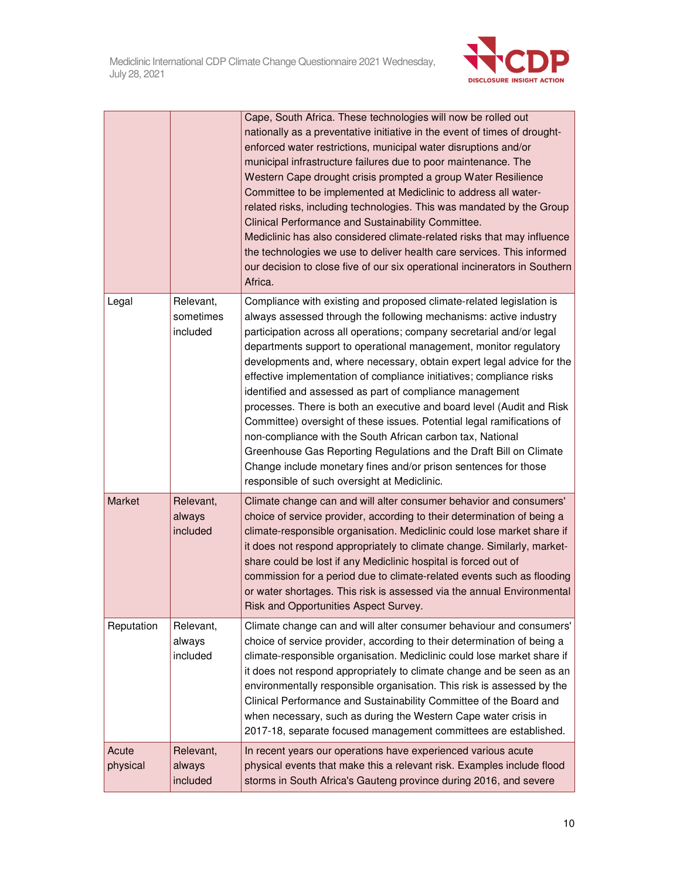

|                   |                                    | Cape, South Africa. These technologies will now be rolled out<br>nationally as a preventative initiative in the event of times of drought-<br>enforced water restrictions, municipal water disruptions and/or<br>municipal infrastructure failures due to poor maintenance. The<br>Western Cape drought crisis prompted a group Water Resilience<br>Committee to be implemented at Mediclinic to address all water-<br>related risks, including technologies. This was mandated by the Group<br>Clinical Performance and Sustainability Committee.<br>Mediclinic has also considered climate-related risks that may influence<br>the technologies we use to deliver health care services. This informed<br>our decision to close five of our six operational incinerators in Southern<br>Africa.                                                                                                               |
|-------------------|------------------------------------|----------------------------------------------------------------------------------------------------------------------------------------------------------------------------------------------------------------------------------------------------------------------------------------------------------------------------------------------------------------------------------------------------------------------------------------------------------------------------------------------------------------------------------------------------------------------------------------------------------------------------------------------------------------------------------------------------------------------------------------------------------------------------------------------------------------------------------------------------------------------------------------------------------------|
| Legal             | Relevant,<br>sometimes<br>included | Compliance with existing and proposed climate-related legislation is<br>always assessed through the following mechanisms: active industry<br>participation across all operations; company secretarial and/or legal<br>departments support to operational management, monitor regulatory<br>developments and, where necessary, obtain expert legal advice for the<br>effective implementation of compliance initiatives; compliance risks<br>identified and assessed as part of compliance management<br>processes. There is both an executive and board level (Audit and Risk<br>Committee) oversight of these issues. Potential legal ramifications of<br>non-compliance with the South African carbon tax, National<br>Greenhouse Gas Reporting Regulations and the Draft Bill on Climate<br>Change include monetary fines and/or prison sentences for those<br>responsible of such oversight at Mediclinic. |
| Market            | Relevant,<br>always<br>included    | Climate change can and will alter consumer behavior and consumers'<br>choice of service provider, according to their determination of being a<br>climate-responsible organisation. Mediclinic could lose market share if<br>it does not respond appropriately to climate change. Similarly, market-<br>share could be lost if any Mediclinic hospital is forced out of<br>commission for a period due to climate-related events such as flooding<br>or water shortages. This risk is assessed via the annual Environmental<br>Risk and Opportunities Aspect Survey.                                                                                                                                                                                                                                                                                                                                            |
| Reputation        | Relevant,<br>always<br>included    | Climate change can and will alter consumer behaviour and consumers'<br>choice of service provider, according to their determination of being a<br>climate-responsible organisation. Mediclinic could lose market share if<br>it does not respond appropriately to climate change and be seen as an<br>environmentally responsible organisation. This risk is assessed by the<br>Clinical Performance and Sustainability Committee of the Board and<br>when necessary, such as during the Western Cape water crisis in<br>2017-18, separate focused management committees are established.                                                                                                                                                                                                                                                                                                                      |
| Acute<br>physical | Relevant,<br>always<br>included    | In recent years our operations have experienced various acute<br>physical events that make this a relevant risk. Examples include flood<br>storms in South Africa's Gauteng province during 2016, and severe                                                                                                                                                                                                                                                                                                                                                                                                                                                                                                                                                                                                                                                                                                   |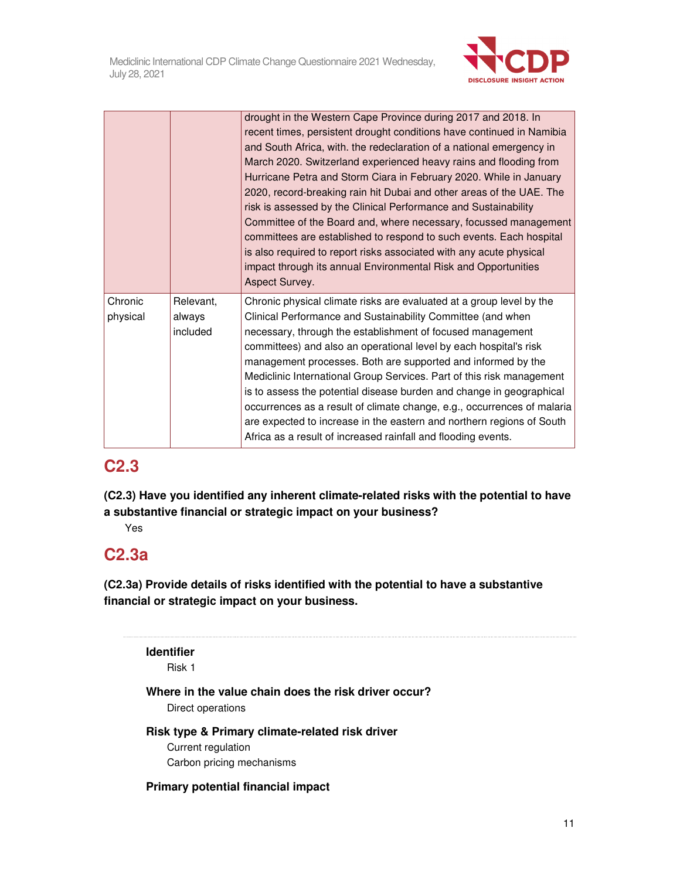

|                     |                                 | drought in the Western Cape Province during 2017 and 2018. In<br>recent times, persistent drought conditions have continued in Namibia<br>and South Africa, with. the redeclaration of a national emergency in<br>March 2020. Switzerland experienced heavy rains and flooding from<br>Hurricane Petra and Storm Ciara in February 2020. While in January<br>2020, record-breaking rain hit Dubai and other areas of the UAE. The<br>risk is assessed by the Clinical Performance and Sustainability<br>Committee of the Board and, where necessary, focussed management<br>committees are established to respond to such events. Each hospital<br>is also required to report risks associated with any acute physical<br>impact through its annual Environmental Risk and Opportunities<br>Aspect Survey. |
|---------------------|---------------------------------|------------------------------------------------------------------------------------------------------------------------------------------------------------------------------------------------------------------------------------------------------------------------------------------------------------------------------------------------------------------------------------------------------------------------------------------------------------------------------------------------------------------------------------------------------------------------------------------------------------------------------------------------------------------------------------------------------------------------------------------------------------------------------------------------------------|
| Chronic<br>physical | Relevant,<br>always<br>included | Chronic physical climate risks are evaluated at a group level by the<br>Clinical Performance and Sustainability Committee (and when<br>necessary, through the establishment of focused management<br>committees) and also an operational level by each hospital's risk<br>management processes. Both are supported and informed by the<br>Mediclinic International Group Services. Part of this risk management<br>is to assess the potential disease burden and change in geographical<br>occurrences as a result of climate change, e.g., occurrences of malaria<br>are expected to increase in the eastern and northern regions of South<br>Africa as a result of increased rainfall and flooding events.                                                                                               |

## **C2.3**

**(C2.3) Have you identified any inherent climate-related risks with the potential to have a substantive financial or strategic impact on your business?** 

Yes

# **C2.3a**

**(C2.3a) Provide details of risks identified with the potential to have a substantive financial or strategic impact on your business.** 

## **Identifier**

Risk 1

### **Where in the value chain does the risk driver occur?**  Direct operations

**Risk type & Primary climate-related risk driver**  Current regulation Carbon pricing mechanisms

### **Primary potential financial impact**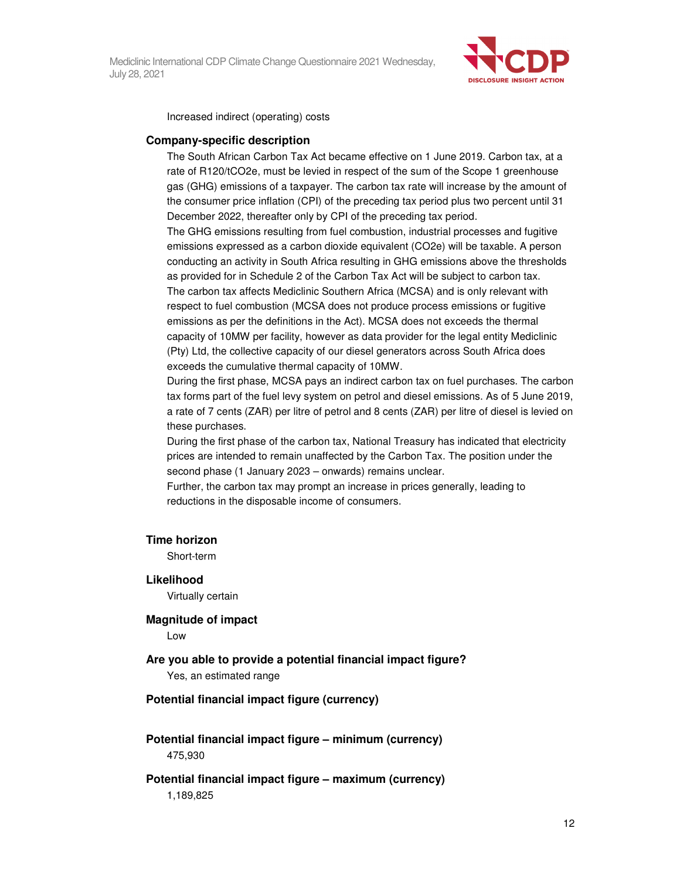

Increased indirect (operating) costs

#### **Company-specific description**

The South African Carbon Tax Act became effective on 1 June 2019. Carbon tax, at a rate of R120/tCO2e, must be levied in respect of the sum of the Scope 1 greenhouse gas (GHG) emissions of a taxpayer. The carbon tax rate will increase by the amount of the consumer price inflation (CPI) of the preceding tax period plus two percent until 31 December 2022, thereafter only by CPI of the preceding tax period.

The GHG emissions resulting from fuel combustion, industrial processes and fugitive emissions expressed as a carbon dioxide equivalent (CO2e) will be taxable. A person conducting an activity in South Africa resulting in GHG emissions above the thresholds as provided for in Schedule 2 of the Carbon Tax Act will be subject to carbon tax. The carbon tax affects Mediclinic Southern Africa (MCSA) and is only relevant with respect to fuel combustion (MCSA does not produce process emissions or fugitive emissions as per the definitions in the Act). MCSA does not exceeds the thermal capacity of 10MW per facility, however as data provider for the legal entity Mediclinic (Pty) Ltd, the collective capacity of our diesel generators across South Africa does exceeds the cumulative thermal capacity of 10MW.

During the first phase, MCSA pays an indirect carbon tax on fuel purchases. The carbon tax forms part of the fuel levy system on petrol and diesel emissions. As of 5 June 2019, a rate of 7 cents (ZAR) per litre of petrol and 8 cents (ZAR) per litre of diesel is levied on these purchases.

During the first phase of the carbon tax, National Treasury has indicated that electricity prices are intended to remain unaffected by the Carbon Tax. The position under the second phase (1 January 2023 – onwards) remains unclear.

Further, the carbon tax may prompt an increase in prices generally, leading to reductions in the disposable income of consumers.

#### **Time horizon**

Short-term

**Likelihood**  Virtually certain

**Magnitude of impact**  Low

#### **Are you able to provide a potential financial impact figure?**

Yes, an estimated range

#### **Potential financial impact figure (currency)**

**Potential financial impact figure – minimum (currency)**  475,930

#### **Potential financial impact figure – maximum (currency)**  1,189,825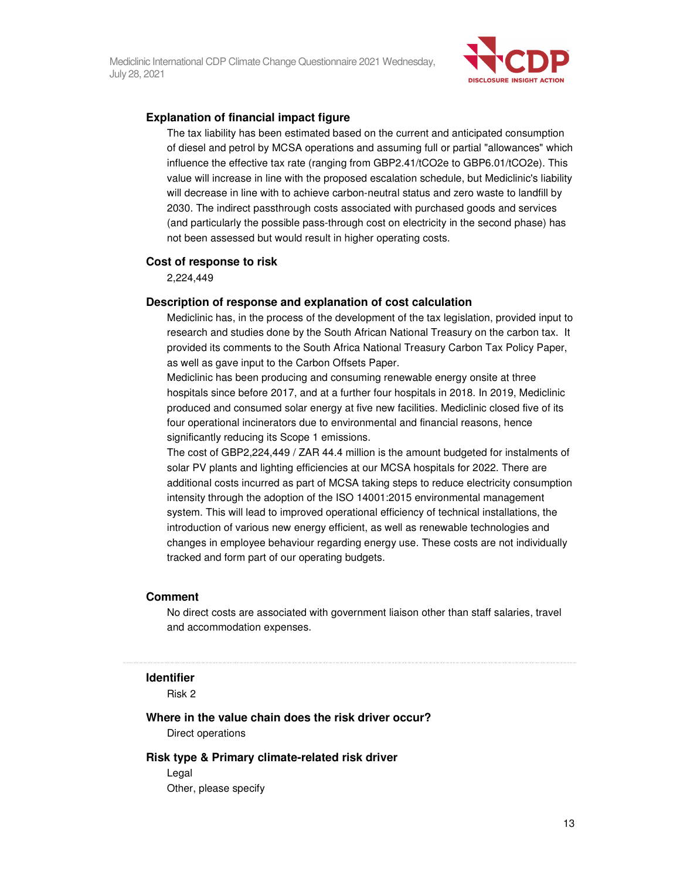

#### **Explanation of financial impact figure**

The tax liability has been estimated based on the current and anticipated consumption of diesel and petrol by MCSA operations and assuming full or partial "allowances" which influence the effective tax rate (ranging from GBP2.41/tCO2e to GBP6.01/tCO2e). This value will increase in line with the proposed escalation schedule, but Mediclinic's liability will decrease in line with to achieve carbon-neutral status and zero waste to landfill by 2030. The indirect passthrough costs associated with purchased goods and services (and particularly the possible pass-through cost on electricity in the second phase) has not been assessed but would result in higher operating costs.

#### **Cost of response to risk**

2,224,449

#### **Description of response and explanation of cost calculation**

Mediclinic has, in the process of the development of the tax legislation, provided input to research and studies done by the South African National Treasury on the carbon tax. It provided its comments to the South Africa National Treasury Carbon Tax Policy Paper, as well as gave input to the Carbon Offsets Paper.

Mediclinic has been producing and consuming renewable energy onsite at three hospitals since before 2017, and at a further four hospitals in 2018. In 2019, Mediclinic produced and consumed solar energy at five new facilities. Mediclinic closed five of its four operational incinerators due to environmental and financial reasons, hence significantly reducing its Scope 1 emissions.

The cost of GBP2,224,449 / ZAR 44.4 million is the amount budgeted for instalments of solar PV plants and lighting efficiencies at our MCSA hospitals for 2022. There are additional costs incurred as part of MCSA taking steps to reduce electricity consumption intensity through the adoption of the ISO 14001:2015 environmental management system. This will lead to improved operational efficiency of technical installations, the introduction of various new energy efficient, as well as renewable technologies and changes in employee behaviour regarding energy use. These costs are not individually tracked and form part of our operating budgets.

#### **Comment**

No direct costs are associated with government liaison other than staff salaries, travel and accommodation expenses.

#### **Identifier**

Risk 2

#### **Where in the value chain does the risk driver occur?**

Direct operations

#### **Risk type & Primary climate-related risk driver**

Legal Other, please specify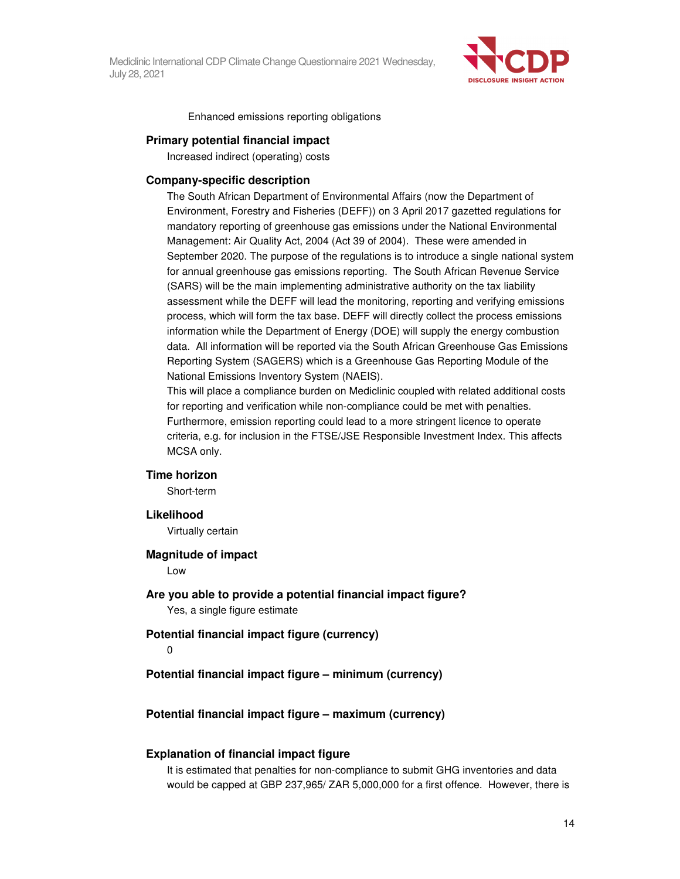

Enhanced emissions reporting obligations

#### **Primary potential financial impact**

Increased indirect (operating) costs

#### **Company-specific description**

The South African Department of Environmental Affairs (now the Department of Environment, Forestry and Fisheries (DEFF)) on 3 April 2017 gazetted regulations for mandatory reporting of greenhouse gas emissions under the National Environmental Management: Air Quality Act, 2004 (Act 39 of 2004). These were amended in September 2020. The purpose of the regulations is to introduce a single national system for annual greenhouse gas emissions reporting. The South African Revenue Service (SARS) will be the main implementing administrative authority on the tax liability assessment while the DEFF will lead the monitoring, reporting and verifying emissions process, which will form the tax base. DEFF will directly collect the process emissions information while the Department of Energy (DOE) will supply the energy combustion data. All information will be reported via the South African Greenhouse Gas Emissions Reporting System (SAGERS) which is a Greenhouse Gas Reporting Module of the National Emissions Inventory System (NAEIS).

This will place a compliance burden on Mediclinic coupled with related additional costs for reporting and verification while non-compliance could be met with penalties. Furthermore, emission reporting could lead to a more stringent licence to operate criteria, e.g. for inclusion in the FTSE/JSE Responsible Investment Index. This affects MCSA only.

#### **Time horizon**

Short-term

#### **Likelihood**

Virtually certain

#### **Magnitude of impact**

Low

#### **Are you able to provide a potential financial impact figure?**

Yes, a single figure estimate

#### **Potential financial impact figure (currency)**

0

**Potential financial impact figure – minimum (currency)** 

#### **Potential financial impact figure – maximum (currency)**

#### **Explanation of financial impact figure**

It is estimated that penalties for non-compliance to submit GHG inventories and data would be capped at GBP 237,965/ ZAR 5,000,000 for a first offence. However, there is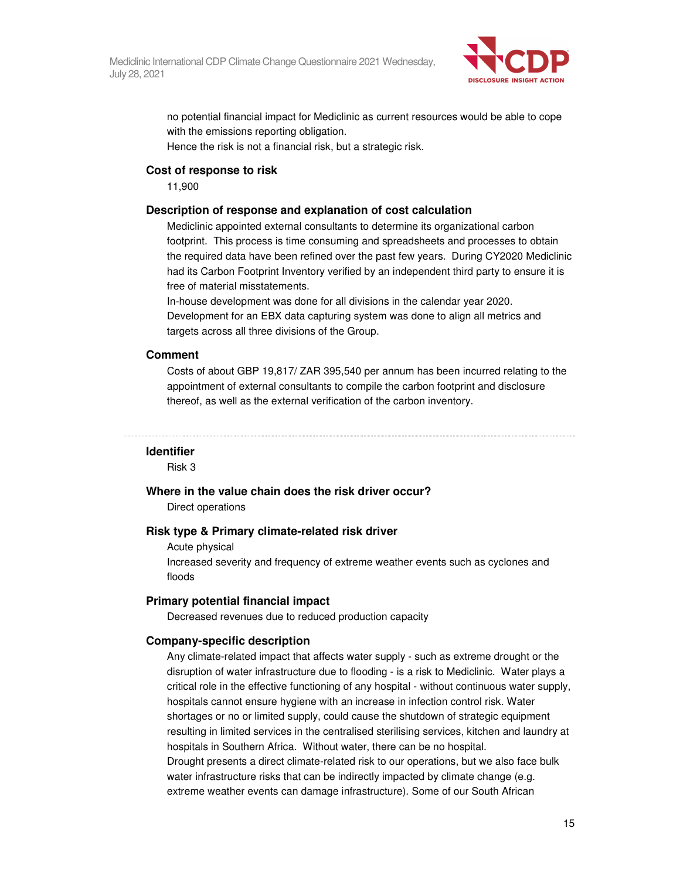

no potential financial impact for Mediclinic as current resources would be able to cope with the emissions reporting obligation.

Hence the risk is not a financial risk, but a strategic risk.

#### **Cost of response to risk**

11,900

#### **Description of response and explanation of cost calculation**

Mediclinic appointed external consultants to determine its organizational carbon footprint. This process is time consuming and spreadsheets and processes to obtain the required data have been refined over the past few years. During CY2020 Mediclinic had its Carbon Footprint Inventory verified by an independent third party to ensure it is free of material misstatements.

In-house development was done for all divisions in the calendar year 2020. Development for an EBX data capturing system was done to align all metrics and targets across all three divisions of the Group.

#### **Comment**

Costs of about GBP 19,817/ ZAR 395,540 per annum has been incurred relating to the appointment of external consultants to compile the carbon footprint and disclosure thereof, as well as the external verification of the carbon inventory.

#### **Identifier**

Risk 3

#### **Where in the value chain does the risk driver occur?**

Direct operations

#### **Risk type & Primary climate-related risk driver**

Acute physical

Increased severity and frequency of extreme weather events such as cyclones and floods

#### **Primary potential financial impact**

Decreased revenues due to reduced production capacity

#### **Company-specific description**

Any climate-related impact that affects water supply - such as extreme drought or the disruption of water infrastructure due to flooding - is a risk to Mediclinic. Water plays a critical role in the effective functioning of any hospital - without continuous water supply, hospitals cannot ensure hygiene with an increase in infection control risk. Water shortages or no or limited supply, could cause the shutdown of strategic equipment resulting in limited services in the centralised sterilising services, kitchen and laundry at hospitals in Southern Africa. Without water, there can be no hospital. Drought presents a direct climate-related risk to our operations, but we also face bulk water infrastructure risks that can be indirectly impacted by climate change (e.g. extreme weather events can damage infrastructure). Some of our South African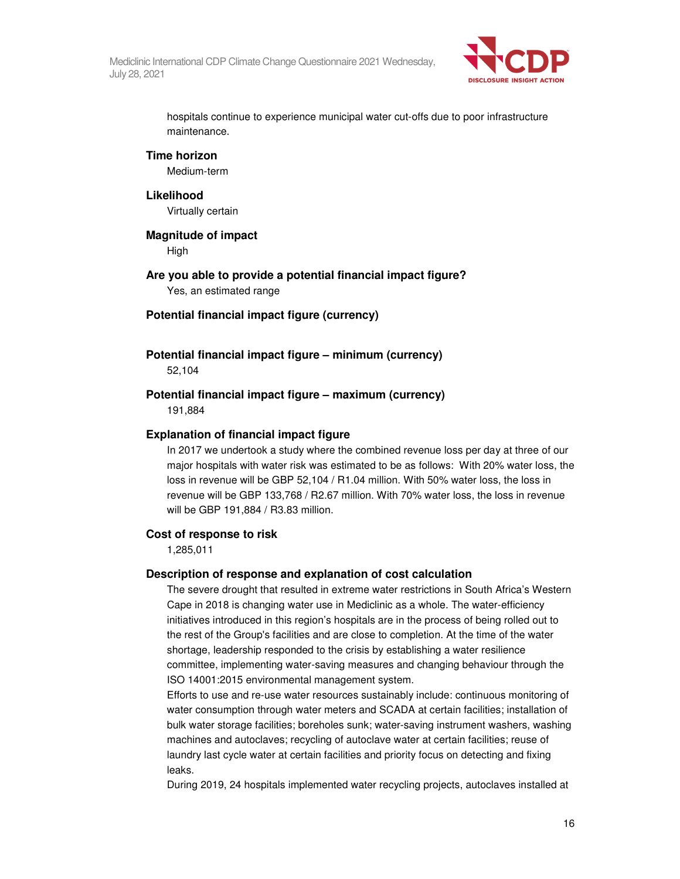

hospitals continue to experience municipal water cut-offs due to poor infrastructure maintenance.

#### **Time horizon**

Medium-term

#### **Likelihood**

Virtually certain

#### **Magnitude of impact**

High

# **Are you able to provide a potential financial impact figure?**

Yes, an estimated range

#### **Potential financial impact figure (currency)**

#### **Potential financial impact figure – minimum (currency)**  52,104

#### **Potential financial impact figure – maximum (currency)**  191,884

#### **Explanation of financial impact figure**

In 2017 we undertook a study where the combined revenue loss per day at three of our major hospitals with water risk was estimated to be as follows: With 20% water loss, the loss in revenue will be GBP 52,104 / R1.04 million. With 50% water loss, the loss in revenue will be GBP 133,768 / R2.67 million. With 70% water loss, the loss in revenue will be GBP 191,884 / R3.83 million.

#### **Cost of response to risk**

1,285,011

#### **Description of response and explanation of cost calculation**

The severe drought that resulted in extreme water restrictions in South Africa's Western Cape in 2018 is changing water use in Mediclinic as a whole. The water-efficiency initiatives introduced in this region's hospitals are in the process of being rolled out to the rest of the Group's facilities and are close to completion. At the time of the water shortage, leadership responded to the crisis by establishing a water resilience committee, implementing water-saving measures and changing behaviour through the ISO 14001:2015 environmental management system.

Efforts to use and re-use water resources sustainably include: continuous monitoring of water consumption through water meters and SCADA at certain facilities; installation of bulk water storage facilities; boreholes sunk; water-saving instrument washers, washing machines and autoclaves; recycling of autoclave water at certain facilities; reuse of laundry last cycle water at certain facilities and priority focus on detecting and fixing leaks.

During 2019, 24 hospitals implemented water recycling projects, autoclaves installed at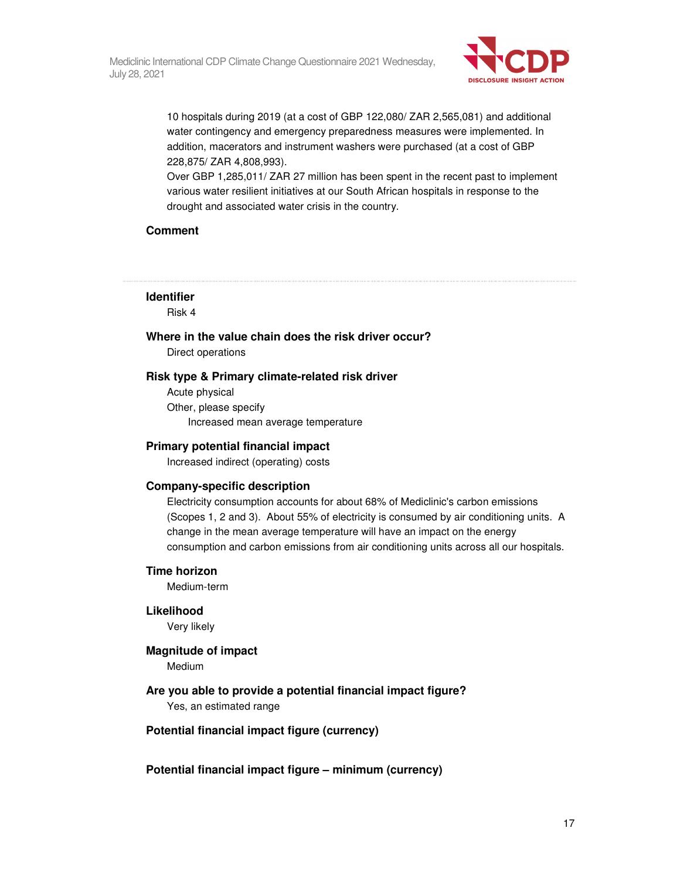

10 hospitals during 2019 (at a cost of GBP 122,080/ ZAR 2,565,081) and additional water contingency and emergency preparedness measures were implemented. In addition, macerators and instrument washers were purchased (at a cost of GBP 228,875/ ZAR 4,808,993).

Over GBP 1,285,011/ ZAR 27 million has been spent in the recent past to implement various water resilient initiatives at our South African hospitals in response to the drought and associated water crisis in the country.

#### **Comment**

#### **Identifier**

Risk 4

## **Where in the value chain does the risk driver occur?**

Direct operations

#### **Risk type & Primary climate-related risk driver**

Acute physical Other, please specify Increased mean average temperature

#### **Primary potential financial impact**

Increased indirect (operating) costs

#### **Company-specific description**

Electricity consumption accounts for about 68% of Mediclinic's carbon emissions (Scopes 1, 2 and 3). About 55% of electricity is consumed by air conditioning units. A change in the mean average temperature will have an impact on the energy consumption and carbon emissions from air conditioning units across all our hospitals.

#### **Time horizon**

Medium-term

#### **Likelihood**

Very likely

#### **Magnitude of impact**

Medium

#### **Are you able to provide a potential financial impact figure?**

Yes, an estimated range

#### **Potential financial impact figure (currency)**

**Potential financial impact figure – minimum (currency)**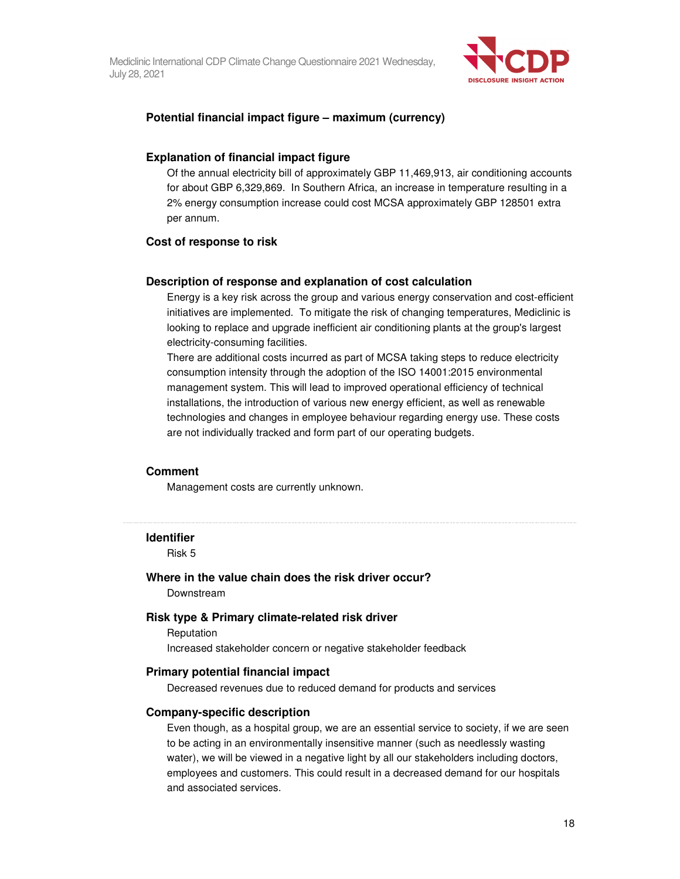

#### **Potential financial impact figure – maximum (currency)**

#### **Explanation of financial impact figure**

Of the annual electricity bill of approximately GBP 11,469,913, air conditioning accounts for about GBP 6,329,869. In Southern Africa, an increase in temperature resulting in a 2% energy consumption increase could cost MCSA approximately GBP 128501 extra per annum.

#### **Cost of response to risk**

#### **Description of response and explanation of cost calculation**

Energy is a key risk across the group and various energy conservation and cost-efficient initiatives are implemented. To mitigate the risk of changing temperatures, Mediclinic is looking to replace and upgrade inefficient air conditioning plants at the group's largest electricity-consuming facilities.

There are additional costs incurred as part of MCSA taking steps to reduce electricity consumption intensity through the adoption of the ISO 14001:2015 environmental management system. This will lead to improved operational efficiency of technical installations, the introduction of various new energy efficient, as well as renewable technologies and changes in employee behaviour regarding energy use. These costs are not individually tracked and form part of our operating budgets.

#### **Comment**

Management costs are currently unknown.

#### **Identifier**

Risk 5

#### **Where in the value chain does the risk driver occur?**  Downstream

#### **Risk type & Primary climate-related risk driver**

Reputation Increased stakeholder concern or negative stakeholder feedback

#### **Primary potential financial impact**

Decreased revenues due to reduced demand for products and services

#### **Company-specific description**

Even though, as a hospital group, we are an essential service to society, if we are seen to be acting in an environmentally insensitive manner (such as needlessly wasting water), we will be viewed in a negative light by all our stakeholders including doctors, employees and customers. This could result in a decreased demand for our hospitals and associated services.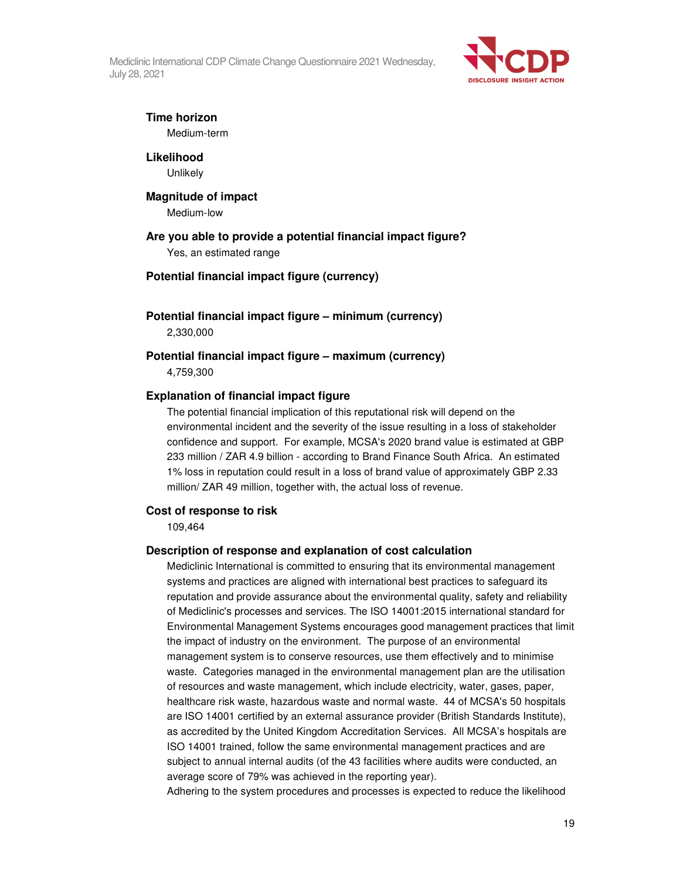

## **Time horizon**

Medium-term

**Likelihood Unlikely** 

#### **Magnitude of impact**

Medium-low

#### **Are you able to provide a potential financial impact figure?**

Yes, an estimated range

#### **Potential financial impact figure (currency)**

**Potential financial impact figure – minimum (currency)**  2,330,000

#### **Potential financial impact figure – maximum (currency)**  4,759,300

#### **Explanation of financial impact figure**

The potential financial implication of this reputational risk will depend on the environmental incident and the severity of the issue resulting in a loss of stakeholder confidence and support. For example, MCSA's 2020 brand value is estimated at GBP 233 million / ZAR 4.9 billion - according to Brand Finance South Africa. An estimated 1% loss in reputation could result in a loss of brand value of approximately GBP 2.33 million/ ZAR 49 million, together with, the actual loss of revenue.

#### **Cost of response to risk**

109,464

#### **Description of response and explanation of cost calculation**

Mediclinic International is committed to ensuring that its environmental management systems and practices are aligned with international best practices to safeguard its reputation and provide assurance about the environmental quality, safety and reliability of Mediclinic's processes and services. The ISO 14001:2015 international standard for Environmental Management Systems encourages good management practices that limit the impact of industry on the environment. The purpose of an environmental management system is to conserve resources, use them effectively and to minimise waste. Categories managed in the environmental management plan are the utilisation of resources and waste management, which include electricity, water, gases, paper, healthcare risk waste, hazardous waste and normal waste. 44 of MCSA's 50 hospitals are ISO 14001 certified by an external assurance provider (British Standards Institute), as accredited by the United Kingdom Accreditation Services. All MCSA's hospitals are ISO 14001 trained, follow the same environmental management practices and are subject to annual internal audits (of the 43 facilities where audits were conducted, an average score of 79% was achieved in the reporting year).

Adhering to the system procedures and processes is expected to reduce the likelihood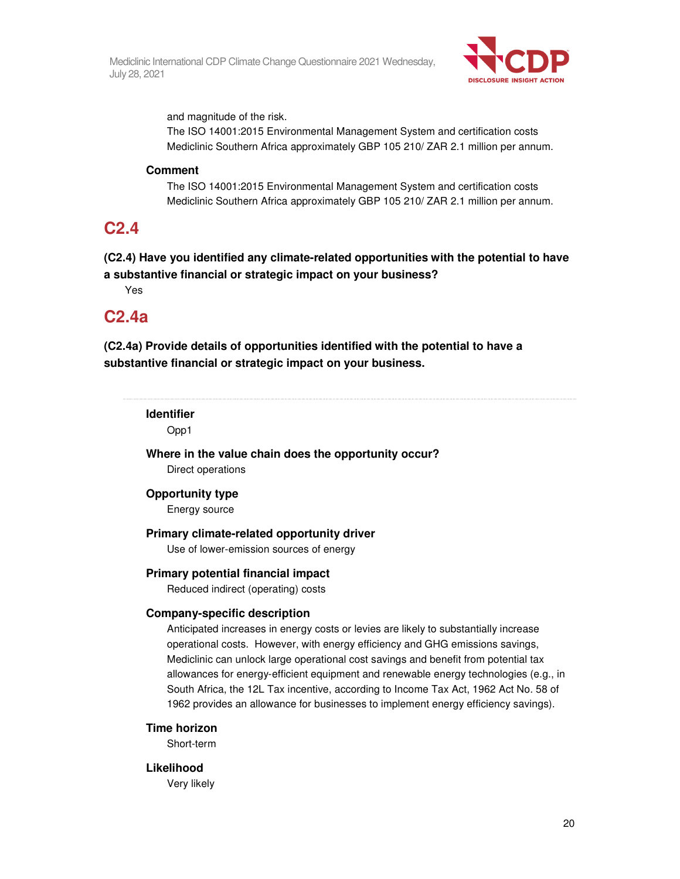

and magnitude of the risk.

The ISO 14001:2015 Environmental Management System and certification costs Mediclinic Southern Africa approximately GBP 105 210/ ZAR 2.1 million per annum.

#### **Comment**

The ISO 14001:2015 Environmental Management System and certification costs Mediclinic Southern Africa approximately GBP 105 210/ ZAR 2.1 million per annum.

## **C2.4**

**(C2.4) Have you identified any climate-related opportunities with the potential to have a substantive financial or strategic impact on your business?** 

Yes

## **C2.4a**

**(C2.4a) Provide details of opportunities identified with the potential to have a substantive financial or strategic impact on your business.** 

### **Identifier**

Opp1

**Where in the value chain does the opportunity occur?**  Direct operations

#### **Opportunity type**

Energy source

#### **Primary climate-related opportunity driver**

Use of lower-emission sources of energy

#### **Primary potential financial impact**

Reduced indirect (operating) costs

#### **Company-specific description**

Anticipated increases in energy costs or levies are likely to substantially increase operational costs. However, with energy efficiency and GHG emissions savings, Mediclinic can unlock large operational cost savings and benefit from potential tax allowances for energy-efficient equipment and renewable energy technologies (e.g., in South Africa, the 12L Tax incentive, according to Income Tax Act, 1962 Act No. 58 of 1962 provides an allowance for businesses to implement energy efficiency savings).

#### **Time horizon**

Short-term

#### **Likelihood**

Very likely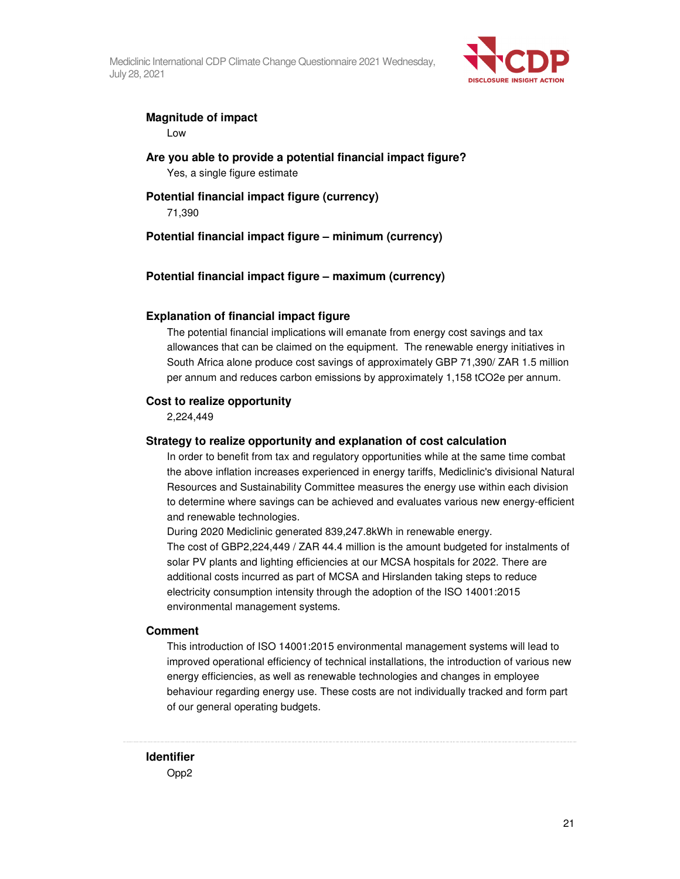

#### **Magnitude of impact**

Low

**Are you able to provide a potential financial impact figure?**  Yes, a single figure estimate

#### **Potential financial impact figure (currency)**  71,390

**Potential financial impact figure – minimum (currency)** 

#### **Potential financial impact figure – maximum (currency)**

#### **Explanation of financial impact figure**

The potential financial implications will emanate from energy cost savings and tax allowances that can be claimed on the equipment. The renewable energy initiatives in South Africa alone produce cost savings of approximately GBP 71,390/ ZAR 1.5 million per annum and reduces carbon emissions by approximately 1,158 tCO2e per annum.

#### **Cost to realize opportunity**

2,224,449

#### **Strategy to realize opportunity and explanation of cost calculation**

In order to benefit from tax and regulatory opportunities while at the same time combat the above inflation increases experienced in energy tariffs, Mediclinic's divisional Natural Resources and Sustainability Committee measures the energy use within each division to determine where savings can be achieved and evaluates various new energy-efficient and renewable technologies.

During 2020 Mediclinic generated 839,247.8kWh in renewable energy. The cost of GBP2,224,449 / ZAR 44.4 million is the amount budgeted for instalments of solar PV plants and lighting efficiencies at our MCSA hospitals for 2022. There are additional costs incurred as part of MCSA and Hirslanden taking steps to reduce electricity consumption intensity through the adoption of the ISO 14001:2015 environmental management systems.

#### **Comment**

This introduction of ISO 14001:2015 environmental management systems will lead to improved operational efficiency of technical installations, the introduction of various new energy efficiencies, as well as renewable technologies and changes in employee behaviour regarding energy use. These costs are not individually tracked and form part of our general operating budgets.

**Identifier** 

Opp2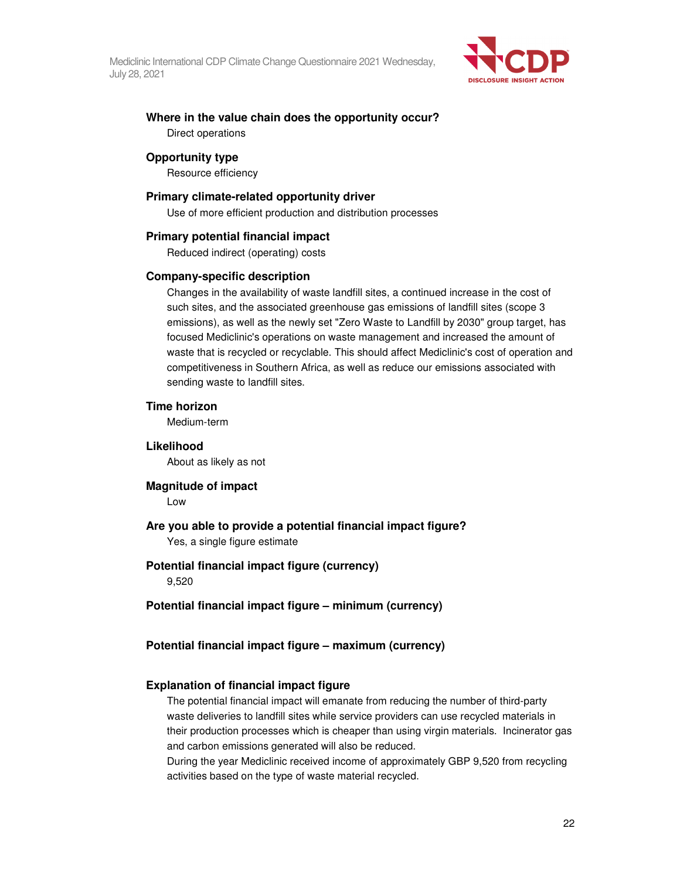

#### **Where in the value chain does the opportunity occur?**  Direct operations

#### **Opportunity type**

Resource efficiency

#### **Primary climate-related opportunity driver**

Use of more efficient production and distribution processes

#### **Primary potential financial impact**

Reduced indirect (operating) costs

#### **Company-specific description**

Changes in the availability of waste landfill sites, a continued increase in the cost of such sites, and the associated greenhouse gas emissions of landfill sites (scope 3 emissions), as well as the newly set "Zero Waste to Landfill by 2030" group target, has focused Mediclinic's operations on waste management and increased the amount of waste that is recycled or recyclable. This should affect Mediclinic's cost of operation and competitiveness in Southern Africa, as well as reduce our emissions associated with sending waste to landfill sites.

#### **Time horizon**

Medium-term

#### **Likelihood**

About as likely as not

## **Magnitude of impact**

Low

#### **Are you able to provide a potential financial impact figure?**  Yes, a single figure estimate

#### **Potential financial impact figure (currency)**

9,520

#### **Potential financial impact figure – minimum (currency)**

#### **Potential financial impact figure – maximum (currency)**

#### **Explanation of financial impact figure**

The potential financial impact will emanate from reducing the number of third-party waste deliveries to landfill sites while service providers can use recycled materials in their production processes which is cheaper than using virgin materials. Incinerator gas and carbon emissions generated will also be reduced.

During the year Mediclinic received income of approximately GBP 9,520 from recycling activities based on the type of waste material recycled.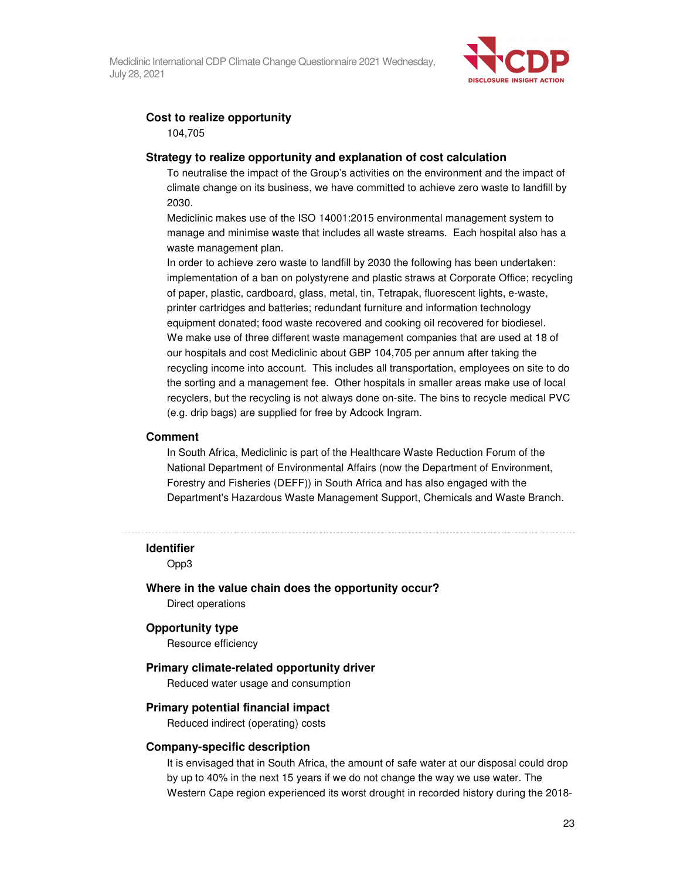

### **Cost to realize opportunity**

104,705

#### **Strategy to realize opportunity and explanation of cost calculation**

To neutralise the impact of the Group's activities on the environment and the impact of climate change on its business, we have committed to achieve zero waste to landfill by 2030.

Mediclinic makes use of the ISO 14001:2015 environmental management system to manage and minimise waste that includes all waste streams. Each hospital also has a waste management plan.

In order to achieve zero waste to landfill by 2030 the following has been undertaken: implementation of a ban on polystyrene and plastic straws at Corporate Office; recycling of paper, plastic, cardboard, glass, metal, tin, Tetrapak, fluorescent lights, e-waste, printer cartridges and batteries; redundant furniture and information technology equipment donated; food waste recovered and cooking oil recovered for biodiesel. We make use of three different waste management companies that are used at 18 of our hospitals and cost Mediclinic about GBP 104,705 per annum after taking the recycling income into account. This includes all transportation, employees on site to do the sorting and a management fee. Other hospitals in smaller areas make use of local recyclers, but the recycling is not always done on-site. The bins to recycle medical PVC (e.g. drip bags) are supplied for free by Adcock Ingram.

#### **Comment**

In South Africa, Mediclinic is part of the Healthcare Waste Reduction Forum of the National Department of Environmental Affairs (now the Department of Environment, Forestry and Fisheries (DEFF)) in South Africa and has also engaged with the Department's Hazardous Waste Management Support, Chemicals and Waste Branch.

#### **Identifier**

Opp3

#### **Where in the value chain does the opportunity occur?**

Direct operations

#### **Opportunity type**

Resource efficiency

#### **Primary climate-related opportunity driver**

Reduced water usage and consumption

#### **Primary potential financial impact**

Reduced indirect (operating) costs

#### **Company-specific description**

It is envisaged that in South Africa, the amount of safe water at our disposal could drop by up to 40% in the next 15 years if we do not change the way we use water. The Western Cape region experienced its worst drought in recorded history during the 2018-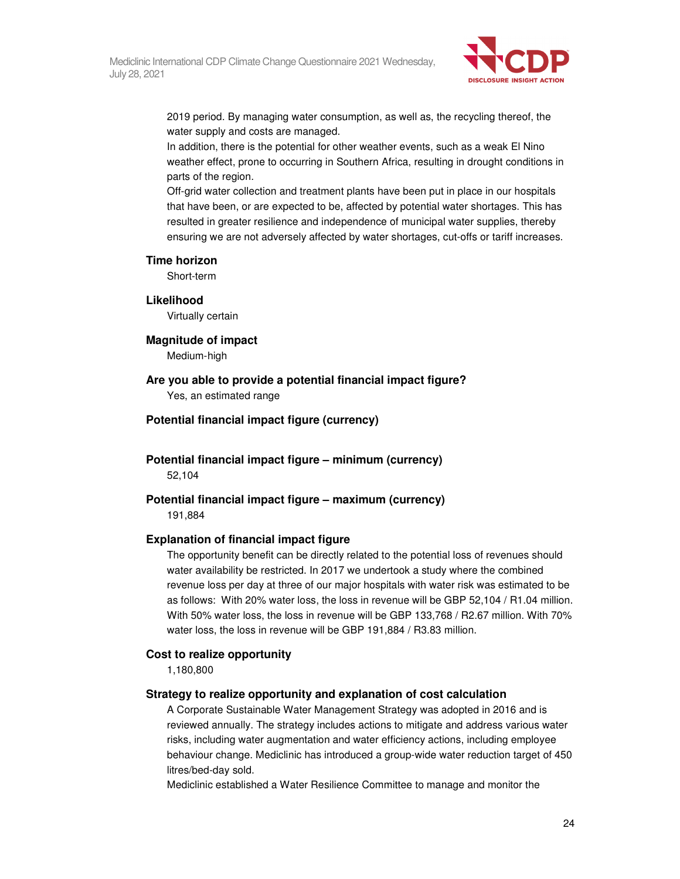

2019 period. By managing water consumption, as well as, the recycling thereof, the water supply and costs are managed.

In addition, there is the potential for other weather events, such as a weak El Nino weather effect, prone to occurring in Southern Africa, resulting in drought conditions in parts of the region.

Off-grid water collection and treatment plants have been put in place in our hospitals that have been, or are expected to be, affected by potential water shortages. This has resulted in greater resilience and independence of municipal water supplies, thereby ensuring we are not adversely affected by water shortages, cut-offs or tariff increases.

#### **Time horizon**

Short-term

#### **Likelihood**

Virtually certain

#### **Magnitude of impact**

Medium-high

**Are you able to provide a potential financial impact figure?**  Yes, an estimated range

**Potential financial impact figure (currency)** 

**Potential financial impact figure – minimum (currency)**  52,104

**Potential financial impact figure – maximum (currency)**  191,884

#### **Explanation of financial impact figure**

The opportunity benefit can be directly related to the potential loss of revenues should water availability be restricted. In 2017 we undertook a study where the combined revenue loss per day at three of our major hospitals with water risk was estimated to be as follows: With 20% water loss, the loss in revenue will be GBP 52,104 / R1.04 million. With 50% water loss, the loss in revenue will be GBP 133,768 / R2.67 million. With 70% water loss, the loss in revenue will be GBP 191,884 / R3.83 million.

#### **Cost to realize opportunity**

1,180,800

#### **Strategy to realize opportunity and explanation of cost calculation**

A Corporate Sustainable Water Management Strategy was adopted in 2016 and is reviewed annually. The strategy includes actions to mitigate and address various water risks, including water augmentation and water efficiency actions, including employee behaviour change. Mediclinic has introduced a group-wide water reduction target of 450 litres/bed-day sold.

Mediclinic established a Water Resilience Committee to manage and monitor the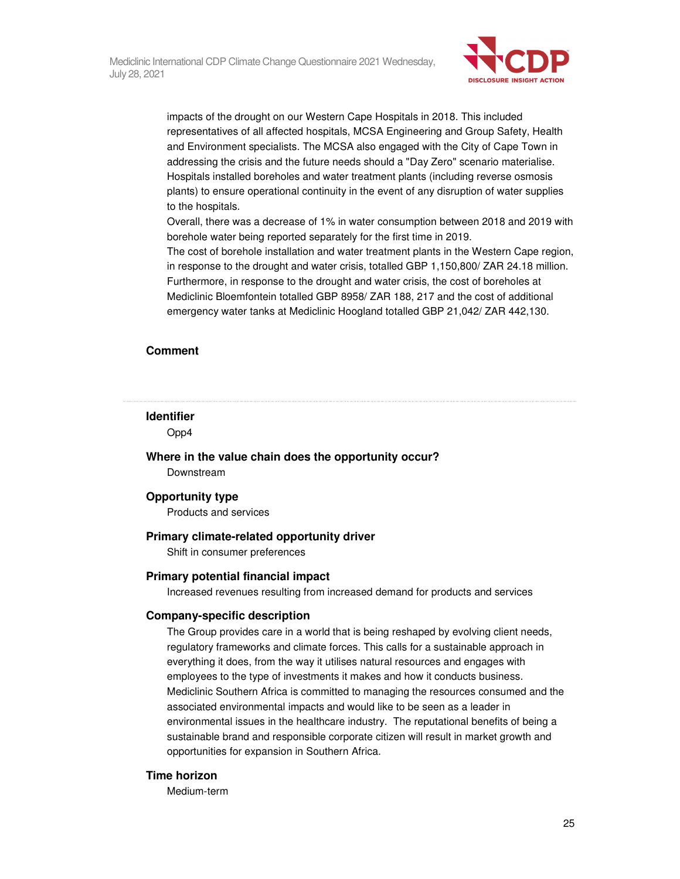

impacts of the drought on our Western Cape Hospitals in 2018. This included representatives of all affected hospitals, MCSA Engineering and Group Safety, Health and Environment specialists. The MCSA also engaged with the City of Cape Town in addressing the crisis and the future needs should a "Day Zero" scenario materialise. Hospitals installed boreholes and water treatment plants (including reverse osmosis plants) to ensure operational continuity in the event of any disruption of water supplies to the hospitals.

Overall, there was a decrease of 1% in water consumption between 2018 and 2019 with borehole water being reported separately for the first time in 2019.

The cost of borehole installation and water treatment plants in the Western Cape region, in response to the drought and water crisis, totalled GBP 1,150,800/ ZAR 24.18 million. Furthermore, in response to the drought and water crisis, the cost of boreholes at Mediclinic Bloemfontein totalled GBP 8958/ ZAR 188, 217 and the cost of additional emergency water tanks at Mediclinic Hoogland totalled GBP 21,042/ ZAR 442,130.

#### **Comment**

#### **Identifier**

Opp4

**Where in the value chain does the opportunity occur?**  Downstream

#### **Opportunity type**

Products and services

#### **Primary climate-related opportunity driver**

Shift in consumer preferences

#### **Primary potential financial impact**

Increased revenues resulting from increased demand for products and services

#### **Company-specific description**

The Group provides care in a world that is being reshaped by evolving client needs, regulatory frameworks and climate forces. This calls for a sustainable approach in everything it does, from the way it utilises natural resources and engages with employees to the type of investments it makes and how it conducts business. Mediclinic Southern Africa is committed to managing the resources consumed and the associated environmental impacts and would like to be seen as a leader in environmental issues in the healthcare industry. The reputational benefits of being a sustainable brand and responsible corporate citizen will result in market growth and opportunities for expansion in Southern Africa.

#### **Time horizon**

Medium-term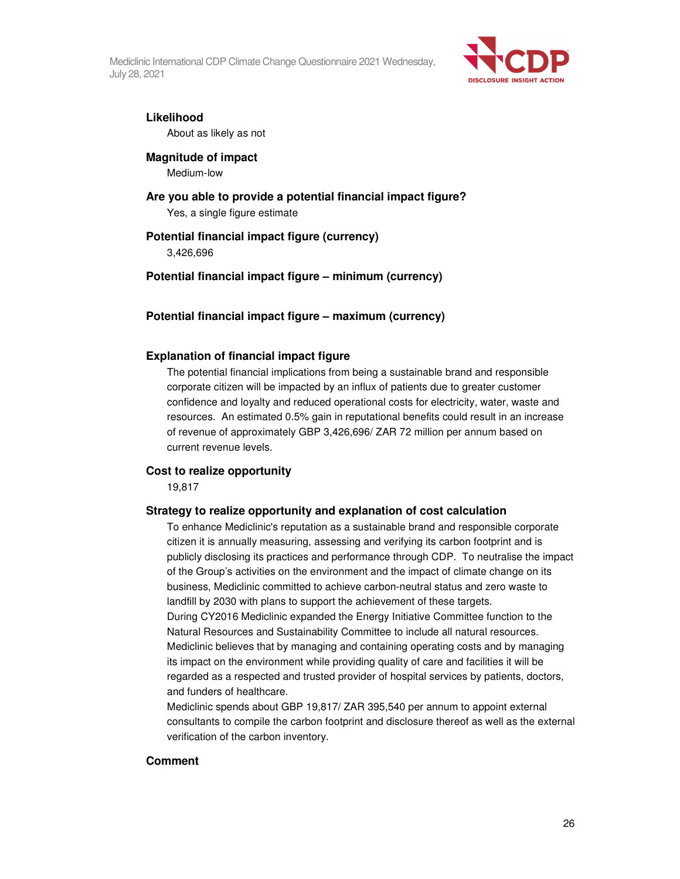

#### **Likelihood**

About as likely as not

#### **Magnitude of impact**

Medium-low

#### **Are you able to provide a potential financial impact figure?**

Yes, a single figure estimate

#### **Potential financial impact figure (currency)**

3,426,696

#### **Potential financial impact figure – minimum (currency)**

#### **Potential financial impact figure – maximum (currency)**

#### **Explanation of financial impact figure**

The potential financial implications from being a sustainable brand and responsible corporate citizen will be impacted by an influx of patients due to greater customer confidence and loyalty and reduced operational costs for electricity, water, waste and resources. An estimated 0.5% gain in reputational benefits could result in an increase of revenue of approximately GBP 3,426,696/ ZAR 72 million per annum based on current revenue levels.

#### **Cost to realize opportunity**

19,817

#### **Strategy to realize opportunity and explanation of cost calculation**

To enhance Mediclinic's reputation as a sustainable brand and responsible corporate citizen it is annually measuring, assessing and verifying its carbon footprint and is publicly disclosing its practices and performance through CDP. To neutralise the impact of the Group's activities on the environment and the impact of climate change on its business, Mediclinic committed to achieve carbon-neutral status and zero waste to landfill by 2030 with plans to support the achievement of these targets. During CY2016 Mediclinic expanded the Energy Initiative Committee function to the Natural Resources and Sustainability Committee to include all natural resources. Mediclinic believes that by managing and containing operating costs and by managing its impact on the environment while providing quality of care and facilities it will be regarded as a respected and trusted provider of hospital services by patients, doctors, and funders of healthcare.

Mediclinic spends about GBP 19,817/ ZAR 395,540 per annum to appoint external consultants to compile the carbon footprint and disclosure thereof as well as the external verification of the carbon inventory.

#### **Comment**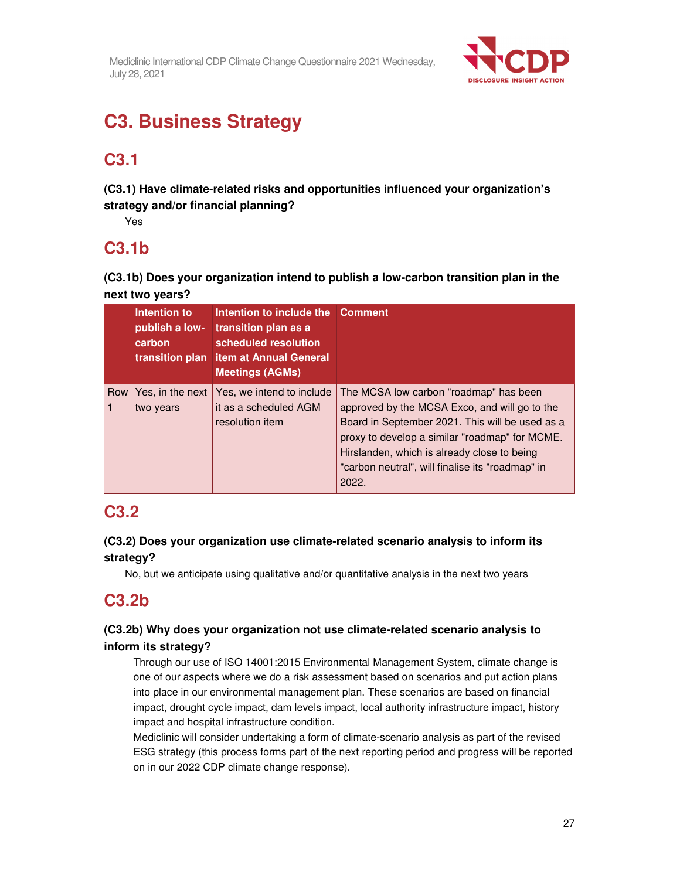

# **C3. Business Strategy**

# **C3.1**

**(C3.1) Have climate-related risks and opportunities influenced your organization's strategy and/or financial planning?** 

Yes

## **C3.1b**

**(C3.1b) Does your organization intend to publish a low-carbon transition plan in the next two years?** 

|     | Intention to<br>publish a low-<br>carbon<br>transition plan | Intention to include the Comment<br>transition plan as a<br>scheduled resolution<br><b>item at Annual General</b><br><b>Meetings (AGMs)</b> |                                                                                                                                                                                                                                                                                                          |
|-----|-------------------------------------------------------------|---------------------------------------------------------------------------------------------------------------------------------------------|----------------------------------------------------------------------------------------------------------------------------------------------------------------------------------------------------------------------------------------------------------------------------------------------------------|
| Row | Yes, in the next<br>two years                               | Yes, we intend to include<br>it as a scheduled AGM<br>resolution item                                                                       | The MCSA low carbon "roadmap" has been<br>approved by the MCSA Exco, and will go to the<br>Board in September 2021. This will be used as a<br>proxy to develop a similar "roadmap" for MCME.<br>Hirslanden, which is already close to being<br>"carbon neutral", will finalise its "roadmap" in<br>2022. |

# **C3.2**

## **(C3.2) Does your organization use climate-related scenario analysis to inform its strategy?**

No, but we anticipate using qualitative and/or quantitative analysis in the next two years

# **C3.2b**

### **(C3.2b) Why does your organization not use climate-related scenario analysis to inform its strategy?**

Through our use of ISO 14001:2015 Environmental Management System, climate change is one of our aspects where we do a risk assessment based on scenarios and put action plans into place in our environmental management plan. These scenarios are based on financial impact, drought cycle impact, dam levels impact, local authority infrastructure impact, history impact and hospital infrastructure condition.

Mediclinic will consider undertaking a form of climate-scenario analysis as part of the revised ESG strategy (this process forms part of the next reporting period and progress will be reported on in our 2022 CDP climate change response).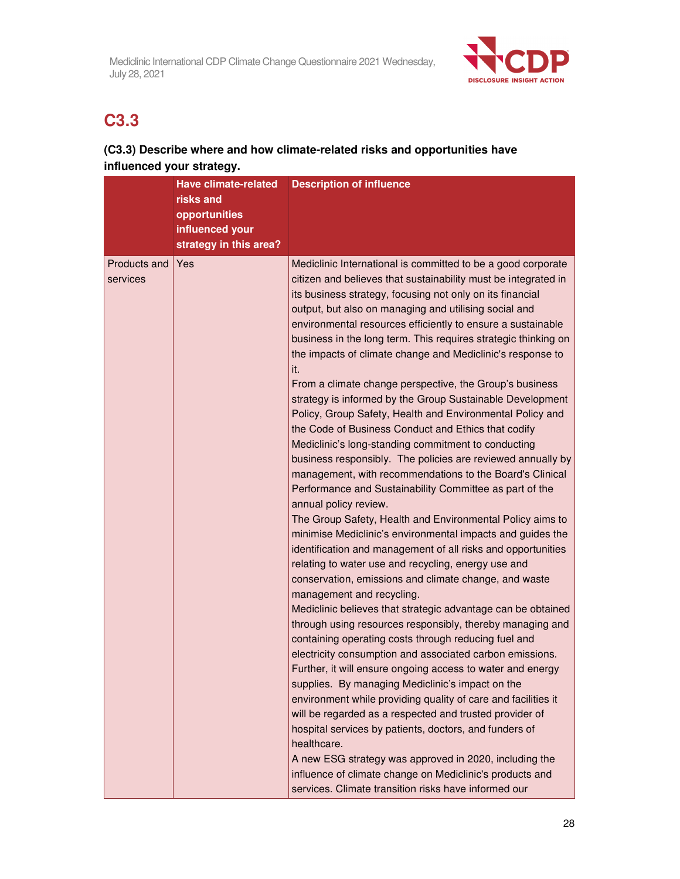

# **C3.3**

## **(C3.3) Describe where and how climate-related risks and opportunities have influenced your strategy.**

|                          | <b>Have climate-related</b> | <b>Description of influence</b>                                                                                                                                                                                                                                                                                                                                                                                                                                                                                                                                                                                                                                                                                                                                                                                                                                                                                                                                                                                                                                                                                                                                                                                                                                                                                                                                                                                                                                                                                                                                                                                                                                                                                                                                                                                                                                                                                                                                                                                    |
|--------------------------|-----------------------------|--------------------------------------------------------------------------------------------------------------------------------------------------------------------------------------------------------------------------------------------------------------------------------------------------------------------------------------------------------------------------------------------------------------------------------------------------------------------------------------------------------------------------------------------------------------------------------------------------------------------------------------------------------------------------------------------------------------------------------------------------------------------------------------------------------------------------------------------------------------------------------------------------------------------------------------------------------------------------------------------------------------------------------------------------------------------------------------------------------------------------------------------------------------------------------------------------------------------------------------------------------------------------------------------------------------------------------------------------------------------------------------------------------------------------------------------------------------------------------------------------------------------------------------------------------------------------------------------------------------------------------------------------------------------------------------------------------------------------------------------------------------------------------------------------------------------------------------------------------------------------------------------------------------------------------------------------------------------------------------------------------------------|
|                          | risks and                   |                                                                                                                                                                                                                                                                                                                                                                                                                                                                                                                                                                                                                                                                                                                                                                                                                                                                                                                                                                                                                                                                                                                                                                                                                                                                                                                                                                                                                                                                                                                                                                                                                                                                                                                                                                                                                                                                                                                                                                                                                    |
|                          | opportunities               |                                                                                                                                                                                                                                                                                                                                                                                                                                                                                                                                                                                                                                                                                                                                                                                                                                                                                                                                                                                                                                                                                                                                                                                                                                                                                                                                                                                                                                                                                                                                                                                                                                                                                                                                                                                                                                                                                                                                                                                                                    |
|                          | influenced your             |                                                                                                                                                                                                                                                                                                                                                                                                                                                                                                                                                                                                                                                                                                                                                                                                                                                                                                                                                                                                                                                                                                                                                                                                                                                                                                                                                                                                                                                                                                                                                                                                                                                                                                                                                                                                                                                                                                                                                                                                                    |
|                          | strategy in this area?      |                                                                                                                                                                                                                                                                                                                                                                                                                                                                                                                                                                                                                                                                                                                                                                                                                                                                                                                                                                                                                                                                                                                                                                                                                                                                                                                                                                                                                                                                                                                                                                                                                                                                                                                                                                                                                                                                                                                                                                                                                    |
| Products and<br>services | Yes                         | Mediclinic International is committed to be a good corporate<br>citizen and believes that sustainability must be integrated in<br>its business strategy, focusing not only on its financial<br>output, but also on managing and utilising social and<br>environmental resources efficiently to ensure a sustainable<br>business in the long term. This requires strategic thinking on<br>the impacts of climate change and Mediclinic's response to<br>it.<br>From a climate change perspective, the Group's business<br>strategy is informed by the Group Sustainable Development<br>Policy, Group Safety, Health and Environmental Policy and<br>the Code of Business Conduct and Ethics that codify<br>Mediclinic's long-standing commitment to conducting<br>business responsibly. The policies are reviewed annually by<br>management, with recommendations to the Board's Clinical<br>Performance and Sustainability Committee as part of the<br>annual policy review.<br>The Group Safety, Health and Environmental Policy aims to<br>minimise Mediclinic's environmental impacts and guides the<br>identification and management of all risks and opportunities<br>relating to water use and recycling, energy use and<br>conservation, emissions and climate change, and waste<br>management and recycling.<br>Mediclinic believes that strategic advantage can be obtained<br>through using resources responsibly, thereby managing and<br>containing operating costs through reducing fuel and<br>electricity consumption and associated carbon emissions.<br>Further, it will ensure ongoing access to water and energy<br>supplies. By managing Mediclinic's impact on the<br>environment while providing quality of care and facilities it<br>will be regarded as a respected and trusted provider of<br>hospital services by patients, doctors, and funders of<br>healthcare.<br>A new ESG strategy was approved in 2020, including the<br>influence of climate change on Mediclinic's products and |
|                          |                             | services. Climate transition risks have informed our                                                                                                                                                                                                                                                                                                                                                                                                                                                                                                                                                                                                                                                                                                                                                                                                                                                                                                                                                                                                                                                                                                                                                                                                                                                                                                                                                                                                                                                                                                                                                                                                                                                                                                                                                                                                                                                                                                                                                               |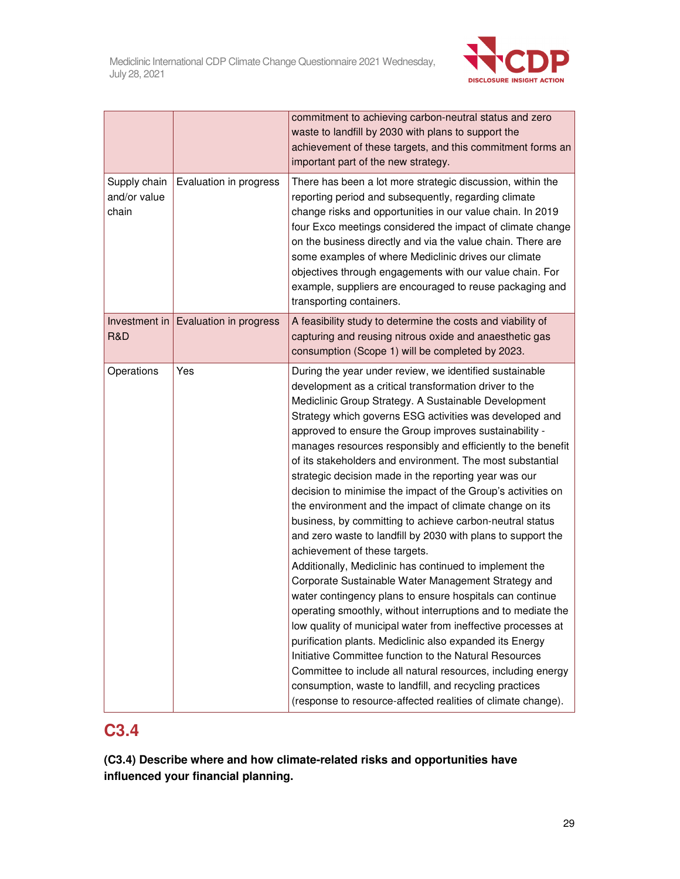

|                                       |                        | commitment to achieving carbon-neutral status and zero<br>waste to landfill by 2030 with plans to support the<br>achievement of these targets, and this commitment forms an<br>important part of the new strategy.                                                                                                                                                                                                                                                                                                                                                                                                                                                                                                                                                                                                                                                                                                                                                                                                                                                                                                                                                                                                                                                                                                                                                                                          |
|---------------------------------------|------------------------|-------------------------------------------------------------------------------------------------------------------------------------------------------------------------------------------------------------------------------------------------------------------------------------------------------------------------------------------------------------------------------------------------------------------------------------------------------------------------------------------------------------------------------------------------------------------------------------------------------------------------------------------------------------------------------------------------------------------------------------------------------------------------------------------------------------------------------------------------------------------------------------------------------------------------------------------------------------------------------------------------------------------------------------------------------------------------------------------------------------------------------------------------------------------------------------------------------------------------------------------------------------------------------------------------------------------------------------------------------------------------------------------------------------|
| Supply chain<br>and/or value<br>chain | Evaluation in progress | There has been a lot more strategic discussion, within the<br>reporting period and subsequently, regarding climate<br>change risks and opportunities in our value chain. In 2019<br>four Exco meetings considered the impact of climate change<br>on the business directly and via the value chain. There are<br>some examples of where Mediclinic drives our climate<br>objectives through engagements with our value chain. For<br>example, suppliers are encouraged to reuse packaging and<br>transporting containers.                                                                                                                                                                                                                                                                                                                                                                                                                                                                                                                                                                                                                                                                                                                                                                                                                                                                                   |
| Investment in<br>R&D                  | Evaluation in progress | A feasibility study to determine the costs and viability of<br>capturing and reusing nitrous oxide and anaesthetic gas<br>consumption (Scope 1) will be completed by 2023.                                                                                                                                                                                                                                                                                                                                                                                                                                                                                                                                                                                                                                                                                                                                                                                                                                                                                                                                                                                                                                                                                                                                                                                                                                  |
| Operations                            | Yes                    | During the year under review, we identified sustainable<br>development as a critical transformation driver to the<br>Mediclinic Group Strategy. A Sustainable Development<br>Strategy which governs ESG activities was developed and<br>approved to ensure the Group improves sustainability -<br>manages resources responsibly and efficiently to the benefit<br>of its stakeholders and environment. The most substantial<br>strategic decision made in the reporting year was our<br>decision to minimise the impact of the Group's activities on<br>the environment and the impact of climate change on its<br>business, by committing to achieve carbon-neutral status<br>and zero waste to landfill by 2030 with plans to support the<br>achievement of these targets.<br>Additionally, Mediclinic has continued to implement the<br>Corporate Sustainable Water Management Strategy and<br>water contingency plans to ensure hospitals can continue<br>operating smoothly, without interruptions and to mediate the<br>low quality of municipal water from ineffective processes at<br>purification plants. Mediclinic also expanded its Energy<br>Initiative Committee function to the Natural Resources<br>Committee to include all natural resources, including energy<br>consumption, waste to landfill, and recycling practices<br>(response to resource-affected realities of climate change). |

# **C3.4**

**(C3.4) Describe where and how climate-related risks and opportunities have influenced your financial planning.**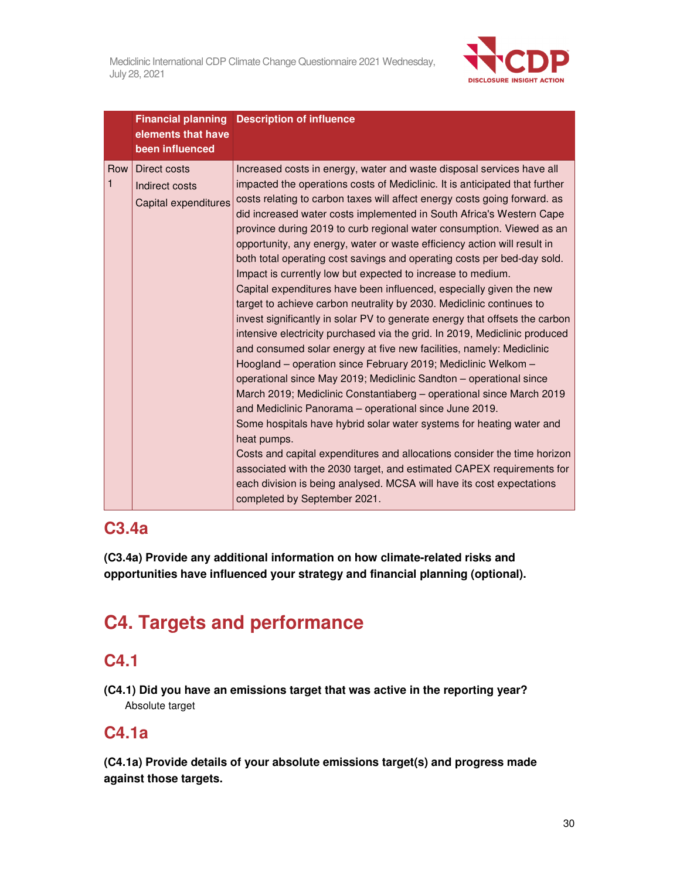

|                     | elements that have<br>been influenced                  | <b>Financial planning Description of influence</b>                                                                                                                                                                                                                                                                                                                                                                                                                                                                                                                                                                                                                                                                                                                                                                                                                                                                                                                                                                                                                                                                                                                                                                                                                                                                                                                                                                                                                                                                                                                                                                         |
|---------------------|--------------------------------------------------------|----------------------------------------------------------------------------------------------------------------------------------------------------------------------------------------------------------------------------------------------------------------------------------------------------------------------------------------------------------------------------------------------------------------------------------------------------------------------------------------------------------------------------------------------------------------------------------------------------------------------------------------------------------------------------------------------------------------------------------------------------------------------------------------------------------------------------------------------------------------------------------------------------------------------------------------------------------------------------------------------------------------------------------------------------------------------------------------------------------------------------------------------------------------------------------------------------------------------------------------------------------------------------------------------------------------------------------------------------------------------------------------------------------------------------------------------------------------------------------------------------------------------------------------------------------------------------------------------------------------------------|
| Row<br>$\mathbf{1}$ | Direct costs<br>Indirect costs<br>Capital expenditures | Increased costs in energy, water and waste disposal services have all<br>impacted the operations costs of Mediclinic. It is anticipated that further<br>costs relating to carbon taxes will affect energy costs going forward. as<br>did increased water costs implemented in South Africa's Western Cape<br>province during 2019 to curb regional water consumption. Viewed as an<br>opportunity, any energy, water or waste efficiency action will result in<br>both total operating cost savings and operating costs per bed-day sold.<br>Impact is currently low but expected to increase to medium.<br>Capital expenditures have been influenced, especially given the new<br>target to achieve carbon neutrality by 2030. Mediclinic continues to<br>invest significantly in solar PV to generate energy that offsets the carbon<br>intensive electricity purchased via the grid. In 2019, Mediclinic produced<br>and consumed solar energy at five new facilities, namely: Mediclinic<br>Hoogland – operation since February 2019; Mediclinic Welkom –<br>operational since May 2019; Mediclinic Sandton - operational since<br>March 2019; Mediclinic Constantiaberg - operational since March 2019<br>and Mediclinic Panorama - operational since June 2019.<br>Some hospitals have hybrid solar water systems for heating water and<br>heat pumps.<br>Costs and capital expenditures and allocations consider the time horizon<br>associated with the 2030 target, and estimated CAPEX requirements for<br>each division is being analysed. MCSA will have its cost expectations<br>completed by September 2021. |

## **C3.4a**

**(C3.4a) Provide any additional information on how climate-related risks and opportunities have influenced your strategy and financial planning (optional).** 

# **C4. Targets and performance**

## **C4.1**

**(C4.1) Did you have an emissions target that was active in the reporting year?**  Absolute target

## **C4.1a**

**(C4.1a) Provide details of your absolute emissions target(s) and progress made against those targets.**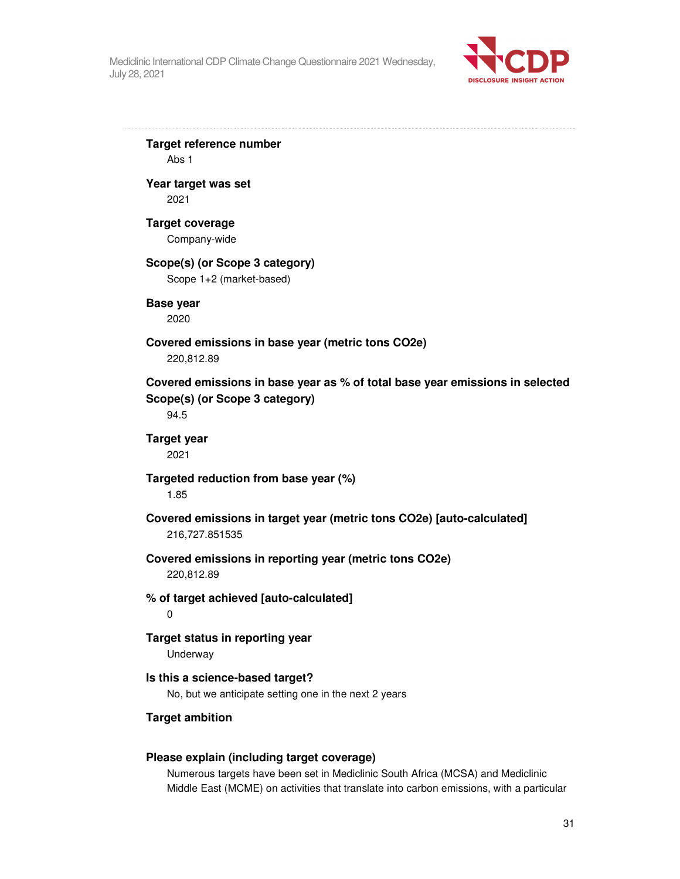

**Target reference number**  Abs 1 **Year target was set**  2021 **Target coverage**  Company-wide **Scope(s) (or Scope 3 category)**  Scope 1+2 (market-based) **Base year**  2020 **Covered emissions in base year (metric tons CO2e)**  220,812.89 **Covered emissions in base year as % of total base year emissions in selected Scope(s) (or Scope 3 category)**  94.5 **Target year**  2021 **Targeted reduction from base year (%)**  1.85 **Covered emissions in target year (metric tons CO2e) [auto-calculated]**  216,727.851535 **Covered emissions in reporting year (metric tons CO2e)**  220,812.89 **% of target achieved [auto-calculated]**   $\Omega$ **Target status in reporting year**  Underway **Is this a science-based target?**  No, but we anticipate setting one in the next 2 years **Target ambition Please explain (including target coverage)** 

Numerous targets have been set in Mediclinic South Africa (MCSA) and Mediclinic Middle East (MCME) on activities that translate into carbon emissions, with a particular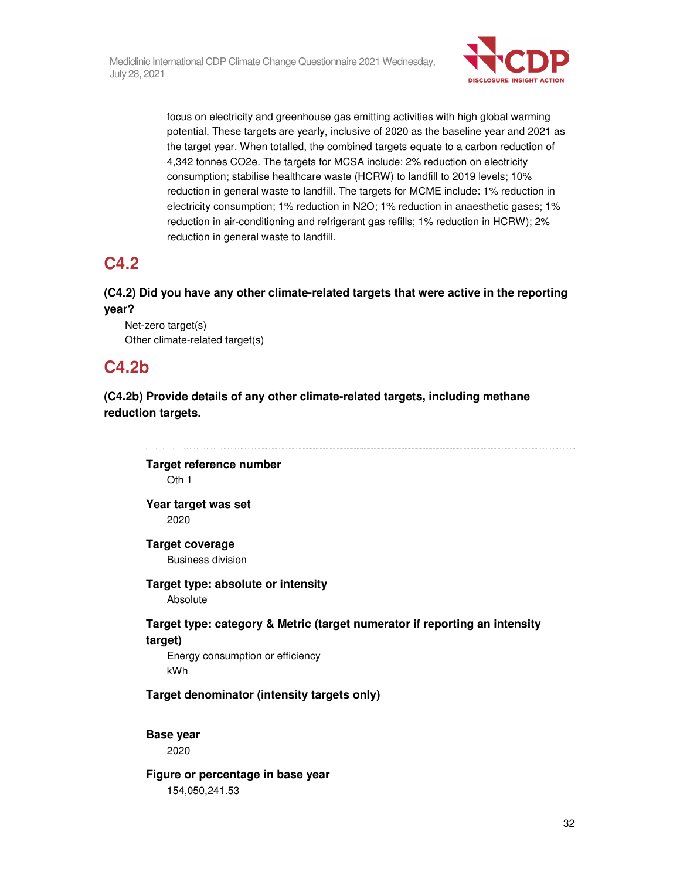

focus on electricity and greenhouse gas emitting activities with high global warming potential. These targets are yearly, inclusive of 2020 as the baseline year and 2021 as the target year. When totalled, the combined targets equate to a carbon reduction of 4,342 tonnes CO2e. The targets for MCSA include: 2% reduction on electricity consumption; stabilise healthcare waste (HCRW) to landfill to 2019 levels; 10% reduction in general waste to landfill. The targets for MCME include: 1% reduction in electricity consumption; 1% reduction in N2O; 1% reduction in anaesthetic gases; 1% reduction in air-conditioning and refrigerant gas refills; 1% reduction in HCRW); 2% reduction in general waste to landfill.

## **C4.2**

### **(C4.2) Did you have any other climate-related targets that were active in the reporting year?**

Net-zero target(s) Other climate-related target(s)

## **C4.2b**

**(C4.2b) Provide details of any other climate-related targets, including methane reduction targets.** 

**Target reference number**  Oth 1 **Year target was set**  2020 **Target coverage**  Business division **Target type: absolute or intensity**  Absolute **Target type: category & Metric (target numerator if reporting an intensity target)**  Energy consumption or efficiency kWh **Target denominator (intensity targets only) Base year**  2020 **Figure or percentage in base year** 

154,050,241.53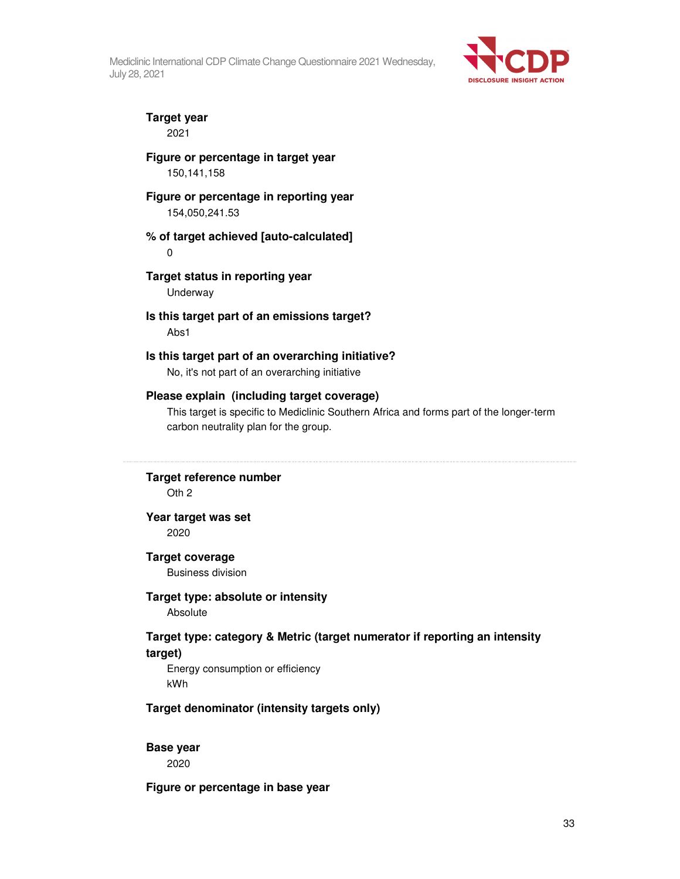

# **Target year**

2021

#### **Figure or percentage in target year**  150,141,158

### **Figure or percentage in reporting year**

154,050,241.53

#### **% of target achieved [auto-calculated]**

0

## **Target status in reporting year**

Underway

#### **Is this target part of an emissions target?**  Abs1

#### **Is this target part of an overarching initiative?**  No, it's not part of an overarching initiative

### **Please explain (including target coverage)**

This target is specific to Mediclinic Southern Africa and forms part of the longer-term carbon neutrality plan for the group.

#### **Target reference number**

Oth 2

#### **Year target was set**  2020

#### **Target coverage**

Business division

#### **Target type: absolute or intensity**

Absolute

### **Target type: category & Metric (target numerator if reporting an intensity target)**

Energy consumption or efficiency kWh

#### **Target denominator (intensity targets only)**

#### **Base year**

2020

#### **Figure or percentage in base year**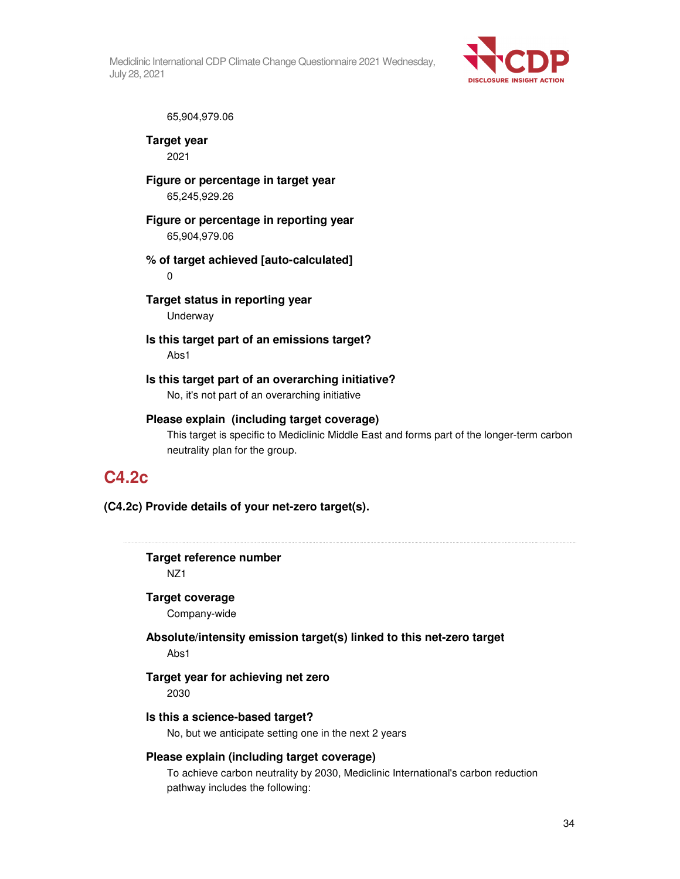

65,904,979.06

**Target year**  2021

**Figure or percentage in target year**  65,245,929.26

**Figure or percentage in reporting year**  65,904,979.06

**% of target achieved [auto-calculated]**  0

**Target status in reporting year**  Underway

**Is this target part of an emissions target?**  Abs1

**Is this target part of an overarching initiative?**  No, it's not part of an overarching initiative

**Please explain (including target coverage)**  This target is specific to Mediclinic Middle East and forms part of the longer-term carbon

## neutrality plan for the group.

## **C4.2c**

**(C4.2c) Provide details of your net-zero target(s).**

**Target reference number**  NZ1

**Target coverage** 

Company-wide

**Absolute/intensity emission target(s) linked to this net-zero target**  Abs1

### **Target year for achieving net zero**

2030

#### **Is this a science-based target?**

No, but we anticipate setting one in the next 2 years

#### **Please explain (including target coverage)**

To achieve carbon neutrality by 2030, Mediclinic International's carbon reduction pathway includes the following: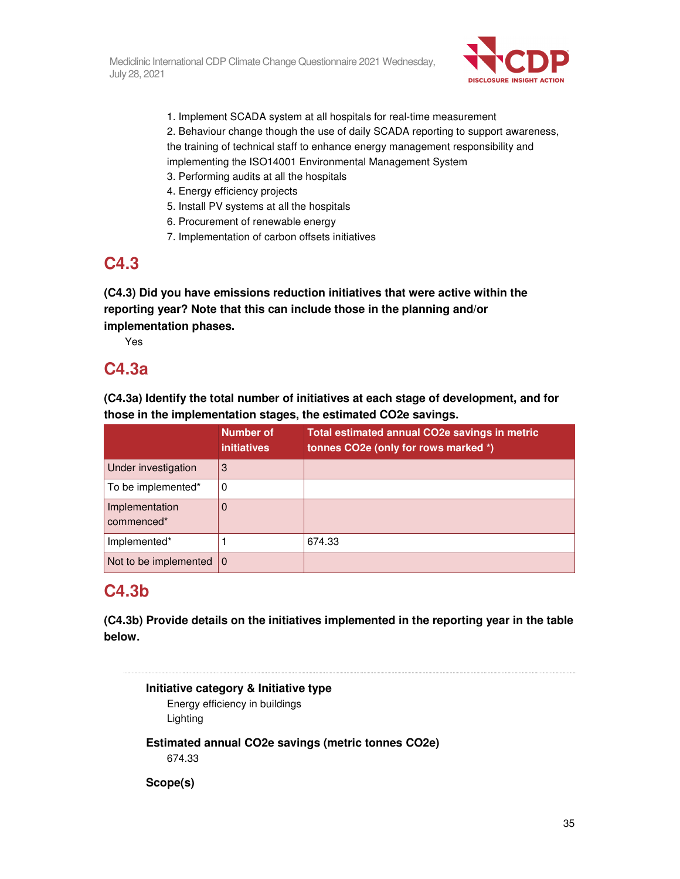

- 1. Implement SCADA system at all hospitals for real-time measurement
- 2. Behaviour change though the use of daily SCADA reporting to support awareness, the training of technical staff to enhance energy management responsibility and
- implementing the ISO14001 Environmental Management System
- 3. Performing audits at all the hospitals
- 4. Energy efficiency projects
- 5. Install PV systems at all the hospitals
- 6. Procurement of renewable energy
- 7. Implementation of carbon offsets initiatives

# **C4.3**

**(C4.3) Did you have emissions reduction initiatives that were active within the reporting year? Note that this can include those in the planning and/or implementation phases.** 

Yes

## **C4.3a**

**(C4.3a) Identify the total number of initiatives at each stage of development, and for those in the implementation stages, the estimated CO2e savings.** 

|                              | <b>Number of</b><br><i>initiatives</i> | Total estimated annual CO2e savings in metric<br>tonnes CO2e (only for rows marked *) |
|------------------------------|----------------------------------------|---------------------------------------------------------------------------------------|
| Under investigation          | 3                                      |                                                                                       |
| To be implemented*           | 0                                      |                                                                                       |
| Implementation<br>commenced* | 0                                      |                                                                                       |
| Implemented*                 |                                        | 674.33                                                                                |
| Not to be implemented        | $\mathbf 0$                            |                                                                                       |

# **C4.3b**

**(C4.3b) Provide details on the initiatives implemented in the reporting year in the table below.** 

**Initiative category & Initiative type**  Energy efficiency in buildings Lighting **Estimated annual CO2e savings (metric tonnes CO2e)**  674.33 **Scope(s)**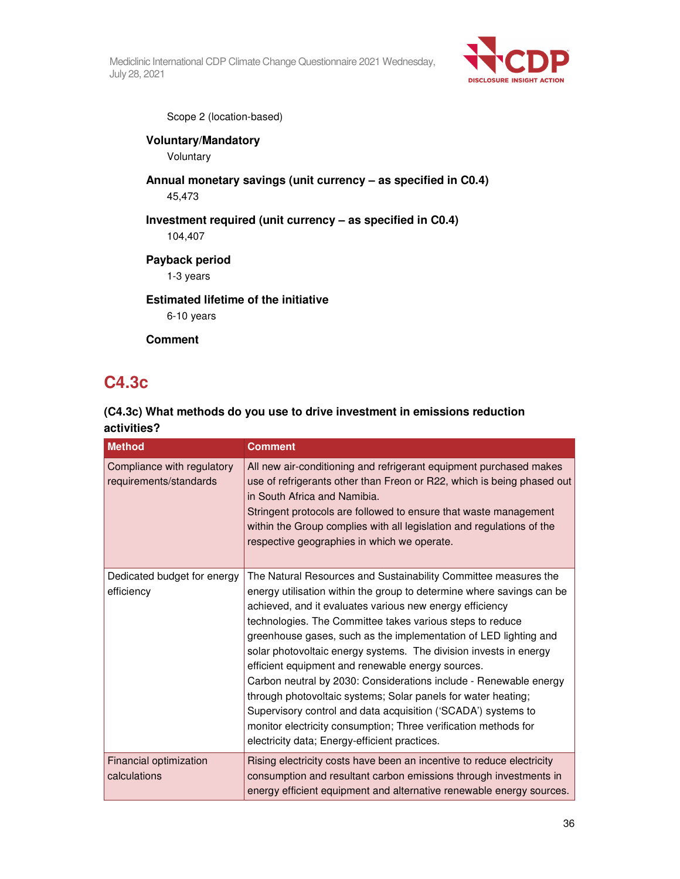

Scope 2 (location-based)

### **Voluntary/Mandatory**

Voluntary

**Annual monetary savings (unit currency – as specified in C0.4)**  45,473

**Investment required (unit currency – as specified in C0.4)** 

104,407

**Payback period** 

1-3 years

### **Estimated lifetime of the initiative**

6-10 years

**Comment** 

# **C4.3c**

## **(C4.3c) What methods do you use to drive investment in emissions reduction activities?**

| <b>Method</b>                                        | <b>Comment</b>                                                                                                                                                                                                                                                                                                                                                                                                                                                                                                                                                                                                                                                                                                                                                                             |
|------------------------------------------------------|--------------------------------------------------------------------------------------------------------------------------------------------------------------------------------------------------------------------------------------------------------------------------------------------------------------------------------------------------------------------------------------------------------------------------------------------------------------------------------------------------------------------------------------------------------------------------------------------------------------------------------------------------------------------------------------------------------------------------------------------------------------------------------------------|
| Compliance with regulatory<br>requirements/standards | All new air-conditioning and refrigerant equipment purchased makes<br>use of refrigerants other than Freon or R22, which is being phased out<br>in South Africa and Namibia.<br>Stringent protocols are followed to ensure that waste management<br>within the Group complies with all legislation and regulations of the<br>respective geographies in which we operate.                                                                                                                                                                                                                                                                                                                                                                                                                   |
| Dedicated budget for energy<br>efficiency            | The Natural Resources and Sustainability Committee measures the<br>energy utilisation within the group to determine where savings can be<br>achieved, and it evaluates various new energy efficiency<br>technologies. The Committee takes various steps to reduce<br>greenhouse gases, such as the implementation of LED lighting and<br>solar photovoltaic energy systems. The division invests in energy<br>efficient equipment and renewable energy sources.<br>Carbon neutral by 2030: Considerations include - Renewable energy<br>through photovoltaic systems; Solar panels for water heating;<br>Supervisory control and data acquisition ('SCADA') systems to<br>monitor electricity consumption; Three verification methods for<br>electricity data; Energy-efficient practices. |
| Financial optimization<br>calculations               | Rising electricity costs have been an incentive to reduce electricity<br>consumption and resultant carbon emissions through investments in<br>energy efficient equipment and alternative renewable energy sources.                                                                                                                                                                                                                                                                                                                                                                                                                                                                                                                                                                         |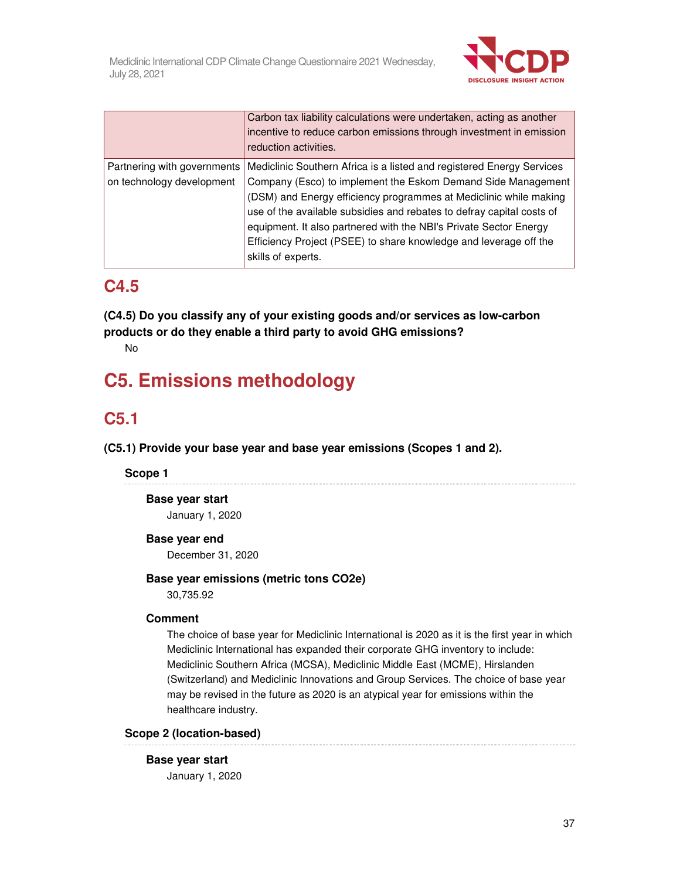

|                                                          | Carbon tax liability calculations were undertaken, acting as another<br>incentive to reduce carbon emissions through investment in emission<br>reduction activities.                                                                                                                                                                                                                                                                                |
|----------------------------------------------------------|-----------------------------------------------------------------------------------------------------------------------------------------------------------------------------------------------------------------------------------------------------------------------------------------------------------------------------------------------------------------------------------------------------------------------------------------------------|
| Partnering with governments<br>on technology development | Mediclinic Southern Africa is a listed and registered Energy Services<br>Company (Esco) to implement the Eskom Demand Side Management<br>(DSM) and Energy efficiency programmes at Mediclinic while making<br>use of the available subsidies and rebates to defray capital costs of<br>equipment. It also partnered with the NBI's Private Sector Energy<br>Efficiency Project (PSEE) to share knowledge and leverage off the<br>skills of experts. |

# **C4.5**

**(C4.5) Do you classify any of your existing goods and/or services as low-carbon products or do they enable a third party to avoid GHG emissions?** 

No

# **C5. Emissions methodology**

# **C5.1**

**(C5.1) Provide your base year and base year emissions (Scopes 1 and 2).** 

## **Scope 1**

**Base year start** 

January 1, 2020

## **Base year end**

December 31, 2020

## **Base year emissions (metric tons CO2e)**

30,735.92

## **Comment**

The choice of base year for Mediclinic International is 2020 as it is the first year in which Mediclinic International has expanded their corporate GHG inventory to include: Mediclinic Southern Africa (MCSA), Mediclinic Middle East (MCME), Hirslanden (Switzerland) and Mediclinic Innovations and Group Services. The choice of base year may be revised in the future as 2020 is an atypical year for emissions within the healthcare industry.

## **Scope 2 (location-based)**

**Base year start**  January 1, 2020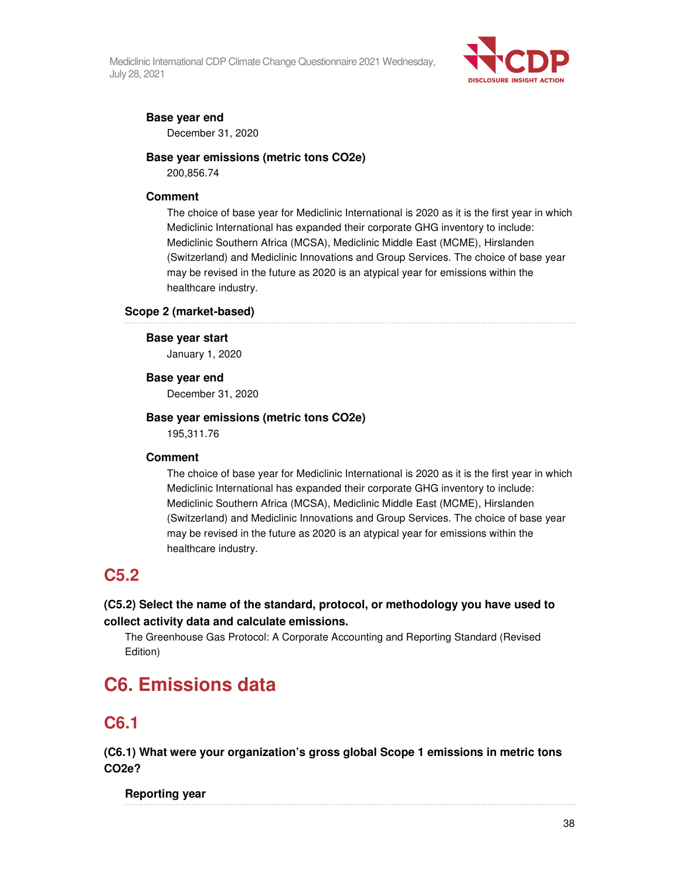

## **Base year end**

December 31, 2020

## **Base year emissions (metric tons CO2e)**

200,856.74

### **Comment**

The choice of base year for Mediclinic International is 2020 as it is the first year in which Mediclinic International has expanded their corporate GHG inventory to include: Mediclinic Southern Africa (MCSA), Mediclinic Middle East (MCME), Hirslanden (Switzerland) and Mediclinic Innovations and Group Services. The choice of base year may be revised in the future as 2020 is an atypical year for emissions within the healthcare industry.

### **Scope 2 (market-based)**

# **Base year start**

January 1, 2020

### **Base year end**

December 31, 2020

## **Base year emissions (metric tons CO2e)**

195,311.76

## **Comment**

The choice of base year for Mediclinic International is 2020 as it is the first year in which Mediclinic International has expanded their corporate GHG inventory to include: Mediclinic Southern Africa (MCSA), Mediclinic Middle East (MCME), Hirslanden (Switzerland) and Mediclinic Innovations and Group Services. The choice of base year may be revised in the future as 2020 is an atypical year for emissions within the healthcare industry.

# **C5.2**

## **(C5.2) Select the name of the standard, protocol, or methodology you have used to collect activity data and calculate emissions.**

The Greenhouse Gas Protocol: A Corporate Accounting and Reporting Standard (Revised Edition)

# **C6. Emissions data**

# **C6.1**

**(C6.1) What were your organization's gross global Scope 1 emissions in metric tons CO2e?** 

**Reporting year**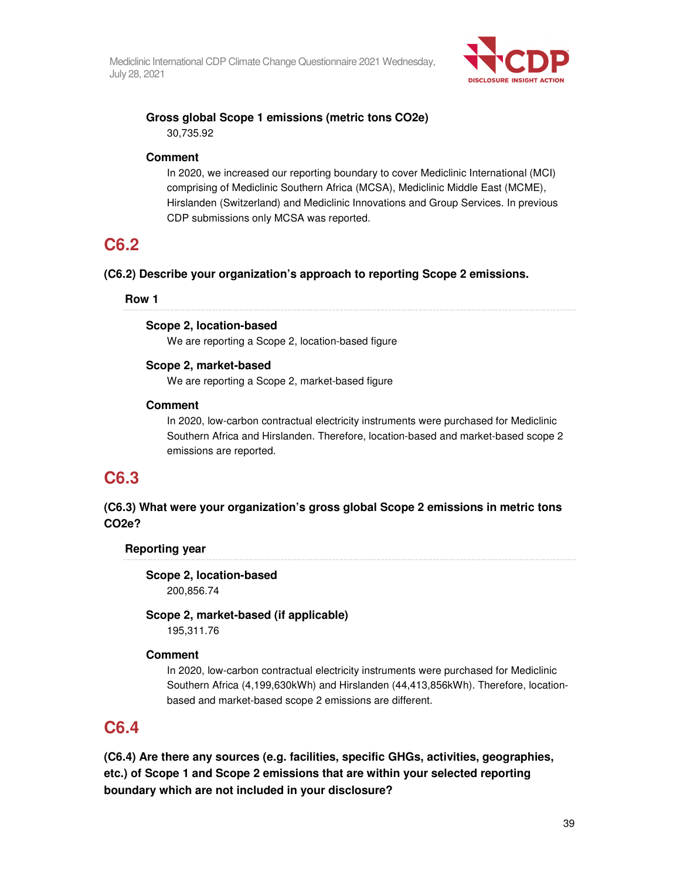

## **Gross global Scope 1 emissions (metric tons CO2e)**  30,735.92

### **Comment**

In 2020, we increased our reporting boundary to cover Mediclinic International (MCI) comprising of Mediclinic Southern Africa (MCSA), Mediclinic Middle East (MCME), Hirslanden (Switzerland) and Mediclinic Innovations and Group Services. In previous CDP submissions only MCSA was reported.

# **C6.2**

## **(C6.2) Describe your organization's approach to reporting Scope 2 emissions.**

### **Row 1**

## **Scope 2, location-based**

We are reporting a Scope 2, location-based figure

## **Scope 2, market-based**

We are reporting a Scope 2, market-based figure

## **Comment**

In 2020, low-carbon contractual electricity instruments were purchased for Mediclinic Southern Africa and Hirslanden. Therefore, location-based and market-based scope 2 emissions are reported.

# **C6.3**

## **(C6.3) What were your organization's gross global Scope 2 emissions in metric tons CO2e?**

## **Reporting year**

**Scope 2, location-based**  200,856.74

## **Scope 2, market-based (if applicable)**

195,311.76

## **Comment**

In 2020, low-carbon contractual electricity instruments were purchased for Mediclinic Southern Africa (4,199,630kWh) and Hirslanden (44,413,856kWh). Therefore, locationbased and market-based scope 2 emissions are different.

# **C6.4**

**(C6.4) Are there any sources (e.g. facilities, specific GHGs, activities, geographies, etc.) of Scope 1 and Scope 2 emissions that are within your selected reporting boundary which are not included in your disclosure?**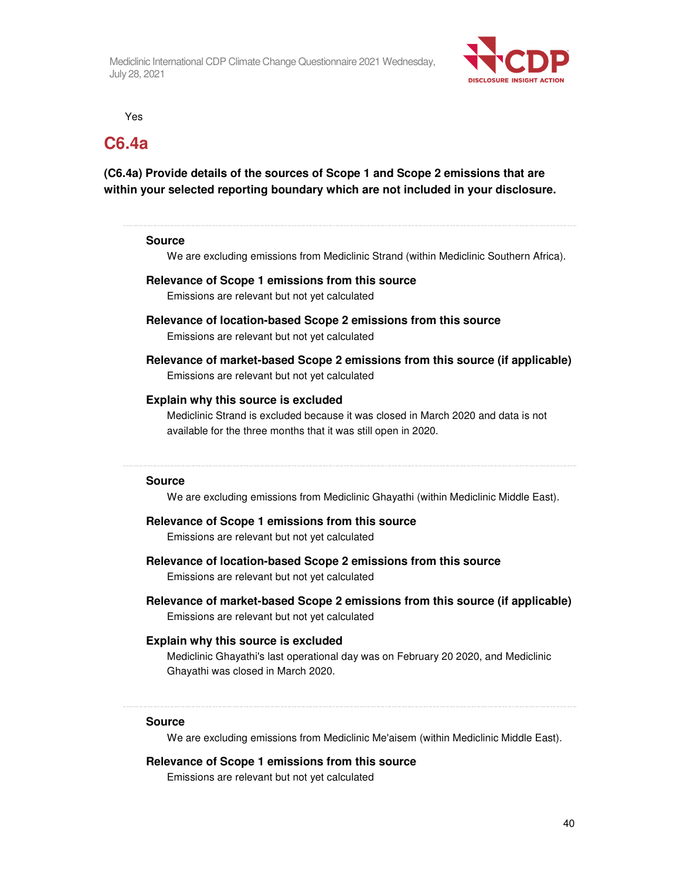

Yes

# **C6.4a**

**(C6.4a) Provide details of the sources of Scope 1 and Scope 2 emissions that are within your selected reporting boundary which are not included in your disclosure.** 

### **Source**

We are excluding emissions from Mediclinic Strand (within Mediclinic Southern Africa).

## **Relevance of Scope 1 emissions from this source**  Emissions are relevant but not yet calculated

- **Relevance of location-based Scope 2 emissions from this source**  Emissions are relevant but not yet calculated
- **Relevance of market-based Scope 2 emissions from this source (if applicable)**  Emissions are relevant but not yet calculated

### **Explain why this source is excluded**

Mediclinic Strand is excluded because it was closed in March 2020 and data is not available for the three months that it was still open in 2020.

#### **Source**

We are excluding emissions from Mediclinic Ghayathi (within Mediclinic Middle East).

## **Relevance of Scope 1 emissions from this source**

Emissions are relevant but not yet calculated

- **Relevance of location-based Scope 2 emissions from this source**  Emissions are relevant but not yet calculated
- **Relevance of market-based Scope 2 emissions from this source (if applicable)**  Emissions are relevant but not yet calculated

### **Explain why this source is excluded**

Mediclinic Ghayathi's last operational day was on February 20 2020, and Mediclinic Ghayathi was closed in March 2020.

#### **Source**

We are excluding emissions from Mediclinic Me'aisem (within Mediclinic Middle East).

#### **Relevance of Scope 1 emissions from this source**

Emissions are relevant but not yet calculated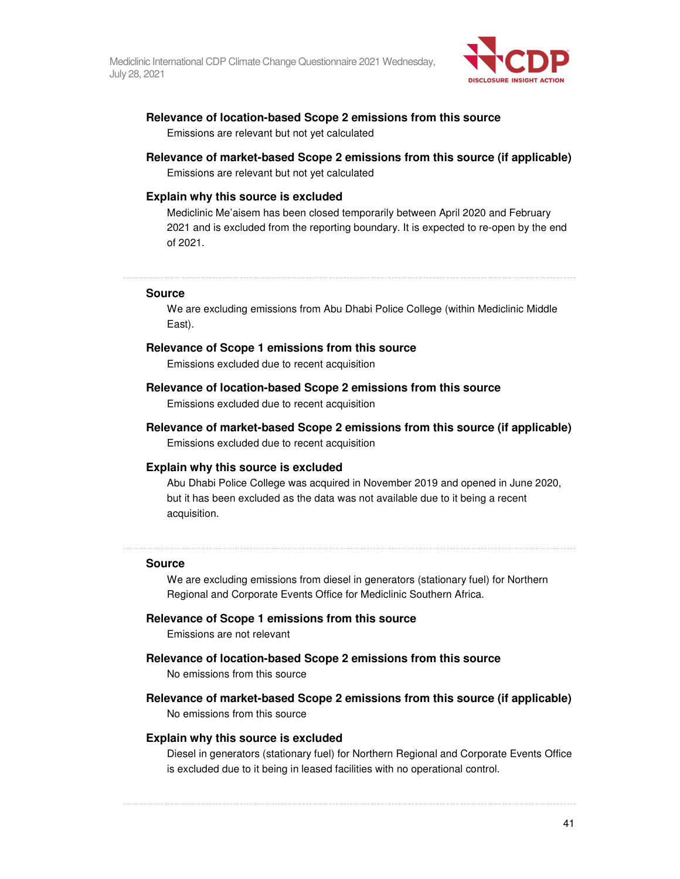

### **Relevance of location-based Scope 2 emissions from this source**

Emissions are relevant but not yet calculated

### **Relevance of market-based Scope 2 emissions from this source (if applicable)**

Emissions are relevant but not yet calculated

#### **Explain why this source is excluded**

Mediclinic Me'aisem has been closed temporarily between April 2020 and February 2021 and is excluded from the reporting boundary. It is expected to re-open by the end of 2021.

#### **Source**

We are excluding emissions from Abu Dhabi Police College (within Mediclinic Middle East).

#### **Relevance of Scope 1 emissions from this source**

Emissions excluded due to recent acquisition

### **Relevance of location-based Scope 2 emissions from this source**

Emissions excluded due to recent acquisition

**Relevance of market-based Scope 2 emissions from this source (if applicable)**  Emissions excluded due to recent acquisition

#### **Explain why this source is excluded**

Abu Dhabi Police College was acquired in November 2019 and opened in June 2020, but it has been excluded as the data was not available due to it being a recent acquisition.

#### **Source**

We are excluding emissions from diesel in generators (stationary fuel) for Northern Regional and Corporate Events Office for Mediclinic Southern Africa.

#### **Relevance of Scope 1 emissions from this source**

Emissions are not relevant

#### **Relevance of location-based Scope 2 emissions from this source**

No emissions from this source

**Relevance of market-based Scope 2 emissions from this source (if applicable)** 

No emissions from this source

#### **Explain why this source is excluded**

Diesel in generators (stationary fuel) for Northern Regional and Corporate Events Office is excluded due to it being in leased facilities with no operational control.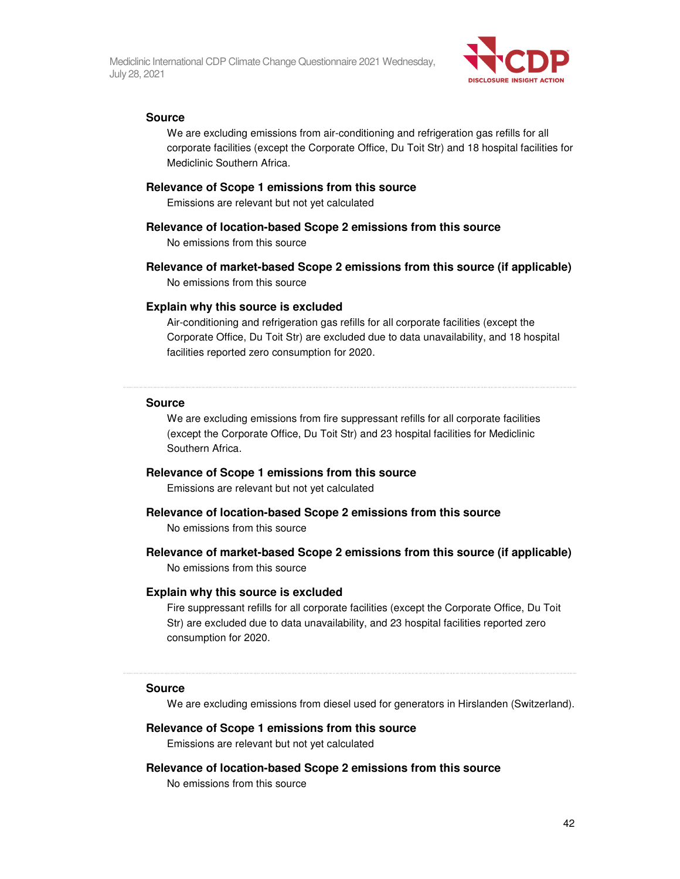

#### **Source**

We are excluding emissions from air-conditioning and refrigeration gas refills for all corporate facilities (except the Corporate Office, Du Toit Str) and 18 hospital facilities for Mediclinic Southern Africa.

#### **Relevance of Scope 1 emissions from this source**

Emissions are relevant but not yet calculated

#### **Relevance of location-based Scope 2 emissions from this source**

No emissions from this source

#### **Relevance of market-based Scope 2 emissions from this source (if applicable)**

No emissions from this source

#### **Explain why this source is excluded**

Air-conditioning and refrigeration gas refills for all corporate facilities (except the Corporate Office, Du Toit Str) are excluded due to data unavailability, and 18 hospital facilities reported zero consumption for 2020.

#### **Source**

We are excluding emissions from fire suppressant refills for all corporate facilities (except the Corporate Office, Du Toit Str) and 23 hospital facilities for Mediclinic Southern Africa.

#### **Relevance of Scope 1 emissions from this source**

Emissions are relevant but not yet calculated

#### **Relevance of location-based Scope 2 emissions from this source**

No emissions from this source

#### **Relevance of market-based Scope 2 emissions from this source (if applicable)**

No emissions from this source

#### **Explain why this source is excluded**

Fire suppressant refills for all corporate facilities (except the Corporate Office, Du Toit Str) are excluded due to data unavailability, and 23 hospital facilities reported zero consumption for 2020.

#### **Source**

We are excluding emissions from diesel used for generators in Hirslanden (Switzerland).

#### **Relevance of Scope 1 emissions from this source**

Emissions are relevant but not yet calculated

#### **Relevance of location-based Scope 2 emissions from this source**

No emissions from this source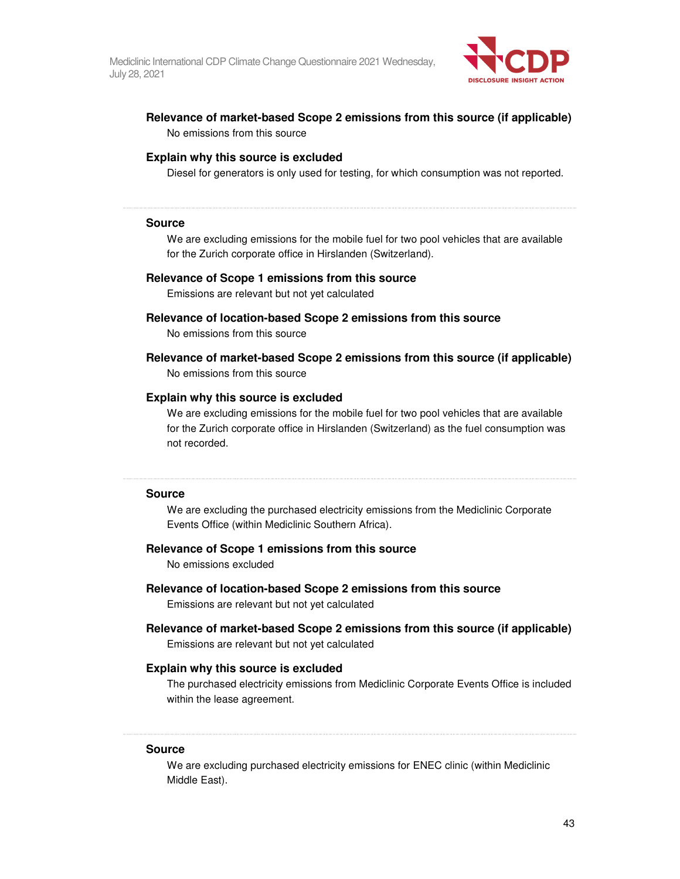

### **Relevance of market-based Scope 2 emissions from this source (if applicable)**  No emissions from this source

#### **Explain why this source is excluded**

Diesel for generators is only used for testing, for which consumption was not reported.

#### **Source**

We are excluding emissions for the mobile fuel for two pool vehicles that are available for the Zurich corporate office in Hirslanden (Switzerland).

#### **Relevance of Scope 1 emissions from this source**

Emissions are relevant but not yet calculated

## **Relevance of location-based Scope 2 emissions from this source**

No emissions from this source

### **Relevance of market-based Scope 2 emissions from this source (if applicable)**  No emissions from this source

#### **Explain why this source is excluded**

We are excluding emissions for the mobile fuel for two pool vehicles that are available for the Zurich corporate office in Hirslanden (Switzerland) as the fuel consumption was not recorded.

#### **Source**

We are excluding the purchased electricity emissions from the Mediclinic Corporate Events Office (within Mediclinic Southern Africa).

#### **Relevance of Scope 1 emissions from this source**

No emissions excluded

#### **Relevance of location-based Scope 2 emissions from this source**

Emissions are relevant but not yet calculated

**Relevance of market-based Scope 2 emissions from this source (if applicable)**  Emissions are relevant but not yet calculated

#### **Explain why this source is excluded**

The purchased electricity emissions from Mediclinic Corporate Events Office is included within the lease agreement.

#### **Source**

We are excluding purchased electricity emissions for ENEC clinic (within Mediclinic Middle East).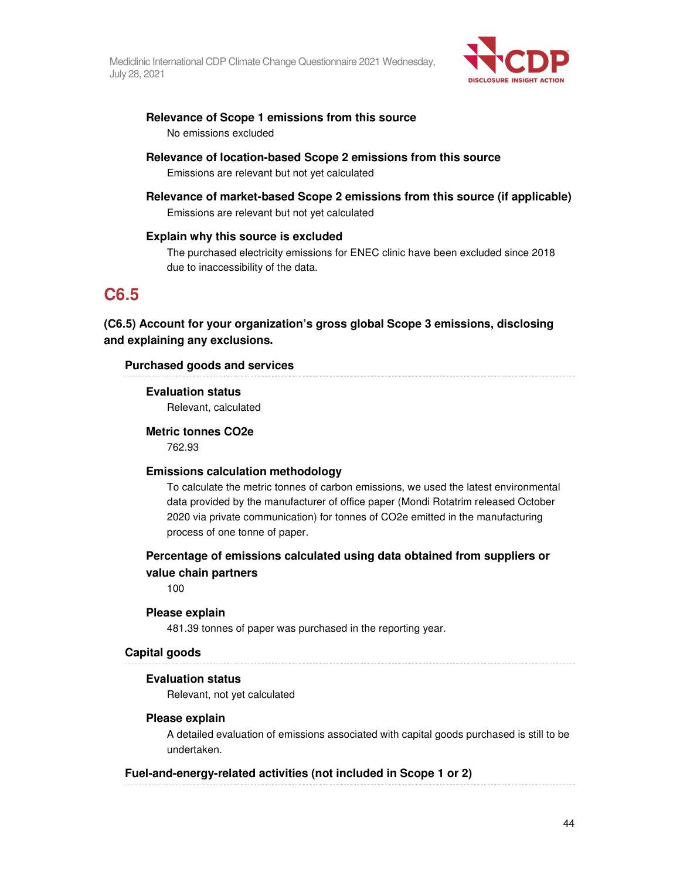

## **Relevance of Scope 1 emissions from this source**  No emissions excluded

- **Relevance of location-based Scope 2 emissions from this source**  Emissions are relevant but not yet calculated
- **Relevance of market-based Scope 2 emissions from this source (if applicable)**  Emissions are relevant but not yet calculated

### **Explain why this source is excluded**

The purchased electricity emissions for ENEC clinic have been excluded since 2018 due to inaccessibility of the data.

# **C6.5**

## **(C6.5) Account for your organization's gross global Scope 3 emissions, disclosing and explaining any exclusions.**

### **Purchased goods and services**

### **Evaluation status**

Relevant, calculated

### **Metric tonnes CO2e**

762.93

### **Emissions calculation methodology**

To calculate the metric tonnes of carbon emissions, we used the latest environmental data provided by the manufacturer of office paper (Mondi Rotatrim released October 2020 via private communication) for tonnes of CO2e emitted in the manufacturing process of one tonne of paper.

## **Percentage of emissions calculated using data obtained from suppliers or value chain partners**

100

### **Please explain**

481.39 tonnes of paper was purchased in the reporting year.

### **Capital goods**

## **Evaluation status**

Relevant, not yet calculated

### **Please explain**

A detailed evaluation of emissions associated with capital goods purchased is still to be undertaken.

## **Fuel-and-energy-related activities (not included in Scope 1 or 2)**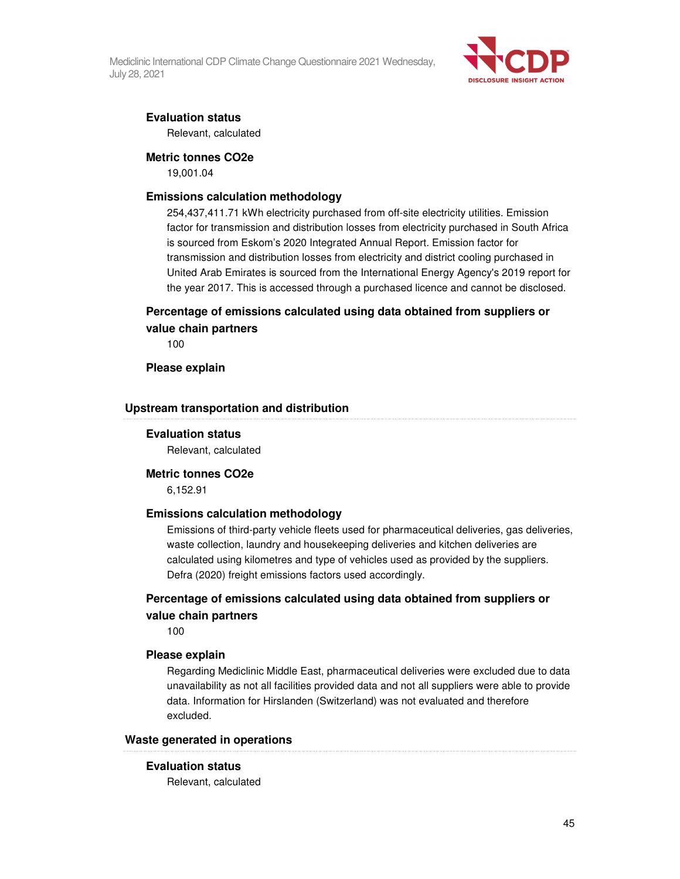

### **Evaluation status**

Relevant, calculated

#### **Metric tonnes CO2e**

19,001.04

#### **Emissions calculation methodology**

254,437,411.71 kWh electricity purchased from off-site electricity utilities. Emission factor for transmission and distribution losses from electricity purchased in South Africa is sourced from Eskom's 2020 Integrated Annual Report. Emission factor for transmission and distribution losses from electricity and district cooling purchased in United Arab Emirates is sourced from the International Energy Agency's 2019 report for the year 2017. This is accessed through a purchased licence and cannot be disclosed.

## **Percentage of emissions calculated using data obtained from suppliers or value chain partners**

100

#### **Please explain**

#### **Upstream transportation and distribution**

#### **Evaluation status**

Relevant, calculated

### **Metric tonnes CO2e**

6,152.91

#### **Emissions calculation methodology**

Emissions of third-party vehicle fleets used for pharmaceutical deliveries, gas deliveries, waste collection, laundry and housekeeping deliveries and kitchen deliveries are calculated using kilometres and type of vehicles used as provided by the suppliers. Defra (2020) freight emissions factors used accordingly.

## **Percentage of emissions calculated using data obtained from suppliers or value chain partners**

100

#### **Please explain**

Regarding Mediclinic Middle East, pharmaceutical deliveries were excluded due to data unavailability as not all facilities provided data and not all suppliers were able to provide data. Information for Hirslanden (Switzerland) was not evaluated and therefore excluded.

### **Waste generated in operations**

#### **Evaluation status**

Relevant, calculated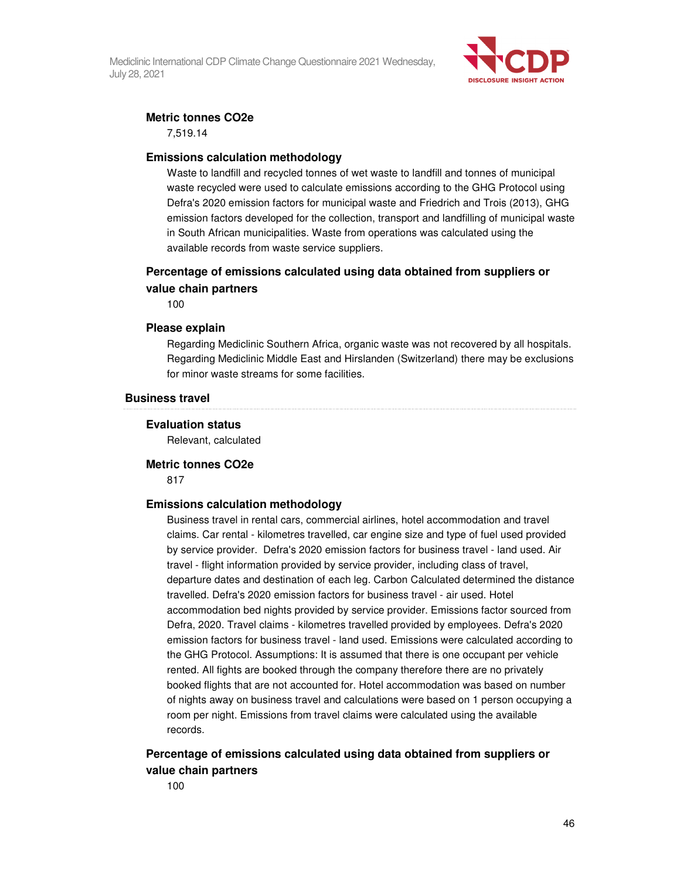

### **Metric tonnes CO2e**

7,519.14

#### **Emissions calculation methodology**

Waste to landfill and recycled tonnes of wet waste to landfill and tonnes of municipal waste recycled were used to calculate emissions according to the GHG Protocol using Defra's 2020 emission factors for municipal waste and Friedrich and Trois (2013), GHG emission factors developed for the collection, transport and landfilling of municipal waste in South African municipalities. Waste from operations was calculated using the available records from waste service suppliers.

## **Percentage of emissions calculated using data obtained from suppliers or value chain partners**

100

### **Please explain**

Regarding Mediclinic Southern Africa, organic waste was not recovered by all hospitals. Regarding Mediclinic Middle East and Hirslanden (Switzerland) there may be exclusions for minor waste streams for some facilities.

#### **Business travel**

#### **Evaluation status**

Relevant, calculated

# **Metric tonnes CO2e**

817

### **Emissions calculation methodology**

Business travel in rental cars, commercial airlines, hotel accommodation and travel claims. Car rental - kilometres travelled, car engine size and type of fuel used provided by service provider. Defra's 2020 emission factors for business travel - land used. Air travel - flight information provided by service provider, including class of travel, departure dates and destination of each leg. Carbon Calculated determined the distance travelled. Defra's 2020 emission factors for business travel - air used. Hotel accommodation bed nights provided by service provider. Emissions factor sourced from Defra, 2020. Travel claims - kilometres travelled provided by employees. Defra's 2020 emission factors for business travel - land used. Emissions were calculated according to the GHG Protocol. Assumptions: It is assumed that there is one occupant per vehicle rented. All fights are booked through the company therefore there are no privately booked flights that are not accounted for. Hotel accommodation was based on number of nights away on business travel and calculations were based on 1 person occupying a room per night. Emissions from travel claims were calculated using the available records.

## **Percentage of emissions calculated using data obtained from suppliers or value chain partners**

100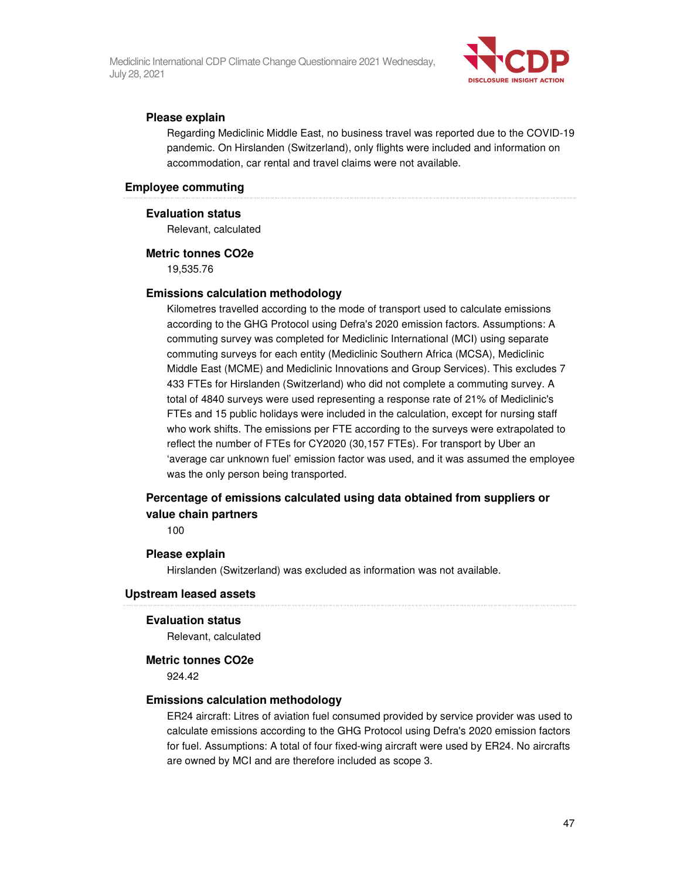

### **Please explain**

Regarding Mediclinic Middle East, no business travel was reported due to the COVID-19 pandemic. On Hirslanden (Switzerland), only flights were included and information on accommodation, car rental and travel claims were not available.

#### **Employee commuting**

#### **Evaluation status**

Relevant, calculated

#### **Metric tonnes CO2e**

19,535.76

#### **Emissions calculation methodology**

Kilometres travelled according to the mode of transport used to calculate emissions according to the GHG Protocol using Defra's 2020 emission factors. Assumptions: A commuting survey was completed for Mediclinic International (MCI) using separate commuting surveys for each entity (Mediclinic Southern Africa (MCSA), Mediclinic Middle East (MCME) and Mediclinic Innovations and Group Services). This excludes 7 433 FTEs for Hirslanden (Switzerland) who did not complete a commuting survey. A total of 4840 surveys were used representing a response rate of 21% of Mediclinic's FTEs and 15 public holidays were included in the calculation, except for nursing staff who work shifts. The emissions per FTE according to the surveys were extrapolated to reflect the number of FTEs for CY2020 (30,157 FTEs). For transport by Uber an 'average car unknown fuel' emission factor was used, and it was assumed the employee was the only person being transported.

## **Percentage of emissions calculated using data obtained from suppliers or value chain partners**

100

#### **Please explain**

Hirslanden (Switzerland) was excluded as information was not available.

#### **Upstream leased assets**

#### **Evaluation status**

Relevant, calculated

#### **Metric tonnes CO2e**

924.42

#### **Emissions calculation methodology**

ER24 aircraft: Litres of aviation fuel consumed provided by service provider was used to calculate emissions according to the GHG Protocol using Defra's 2020 emission factors for fuel. Assumptions: A total of four fixed-wing aircraft were used by ER24. No aircrafts are owned by MCI and are therefore included as scope 3.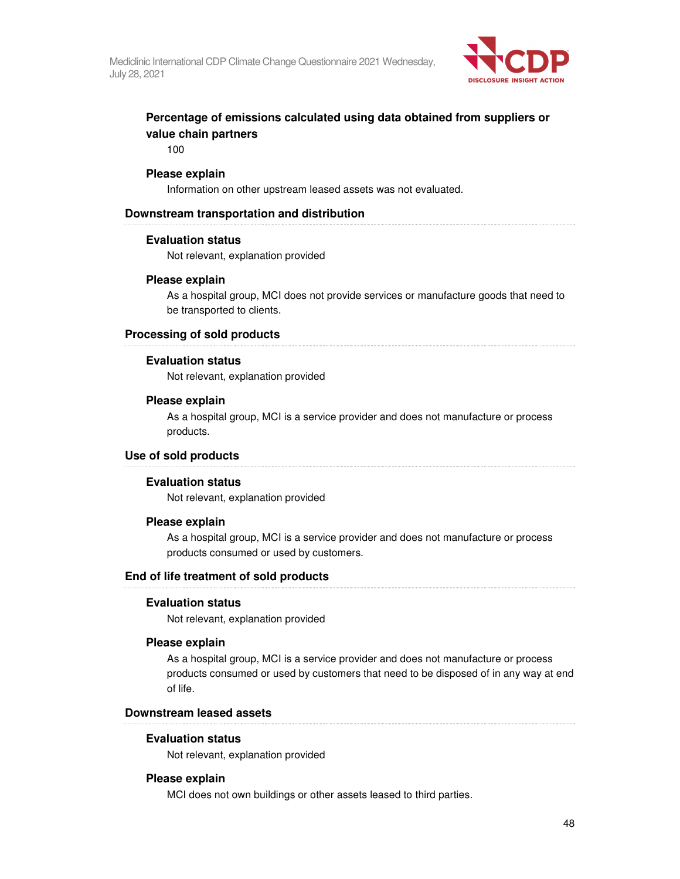

## **Percentage of emissions calculated using data obtained from suppliers or value chain partners**

100

#### **Please explain**

Information on other upstream leased assets was not evaluated.

#### **Downstream transportation and distribution**

#### **Evaluation status**

Not relevant, explanation provided

#### **Please explain**

As a hospital group, MCI does not provide services or manufacture goods that need to be transported to clients.

#### **Processing of sold products**

#### **Evaluation status**

Not relevant, explanation provided

#### **Please explain**

As a hospital group, MCI is a service provider and does not manufacture or process products.

### **Use of sold products**

#### **Evaluation status**

Not relevant, explanation provided

#### **Please explain**

As a hospital group, MCI is a service provider and does not manufacture or process products consumed or used by customers.

### **End of life treatment of sold products**

#### **Evaluation status**

Not relevant, explanation provided

#### **Please explain**

As a hospital group, MCI is a service provider and does not manufacture or process products consumed or used by customers that need to be disposed of in any way at end of life.

#### **Downstream leased assets**

#### **Evaluation status**

Not relevant, explanation provided

#### **Please explain**

MCI does not own buildings or other assets leased to third parties.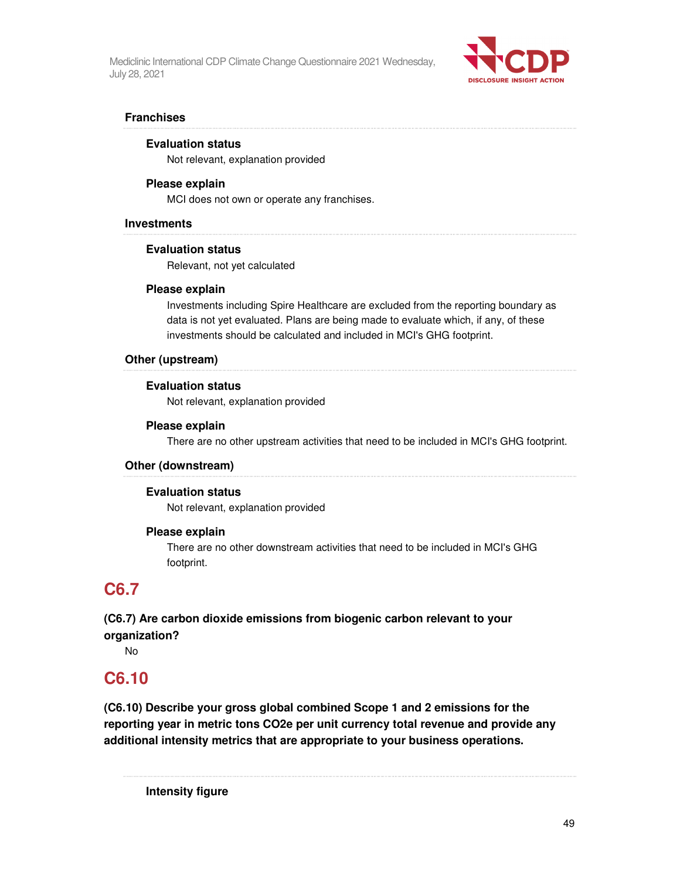

### **Franchises**

#### **Evaluation status**

Not relevant, explanation provided

#### **Please explain**

MCI does not own or operate any franchises.

#### **Investments**

#### **Evaluation status**

Relevant, not yet calculated

#### **Please explain**

Investments including Spire Healthcare are excluded from the reporting boundary as data is not yet evaluated. Plans are being made to evaluate which, if any, of these investments should be calculated and included in MCI's GHG footprint.

#### **Other (upstream)**

#### **Evaluation status**

Not relevant, explanation provided

#### **Please explain**

There are no other upstream activities that need to be included in MCI's GHG footprint.

### **Other (downstream)**

#### **Evaluation status**

Not relevant, explanation provided

#### **Please explain**

There are no other downstream activities that need to be included in MCI's GHG footprint.

# **C6.7**

## **(C6.7) Are carbon dioxide emissions from biogenic carbon relevant to your organization?**

No

## **C6.10**

**(C6.10) Describe your gross global combined Scope 1 and 2 emissions for the reporting year in metric tons CO2e per unit currency total revenue and provide any additional intensity metrics that are appropriate to your business operations.** 

**Intensity figure**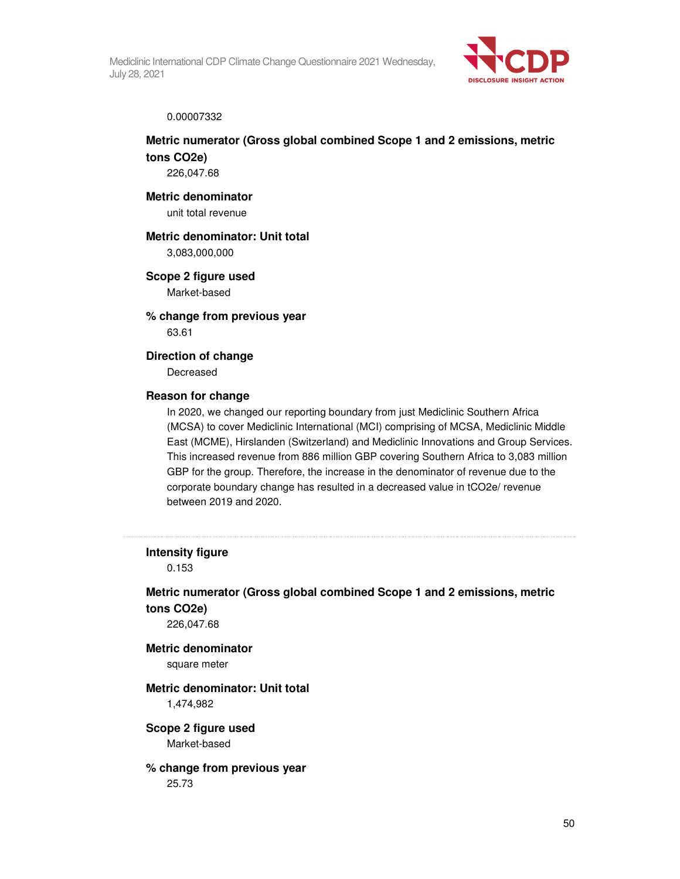

#### 0.00007332

## **Metric numerator (Gross global combined Scope 1 and 2 emissions, metric tons CO2e)**

226,047.68

### **Metric denominator**

unit total revenue

#### **Metric denominator: Unit total**

3,083,000,000

#### **Scope 2 figure used**

Market-based

### **% change from previous year**  63.61

# **Direction of change**

Decreased

### **Reason for change**

In 2020, we changed our reporting boundary from just Mediclinic Southern Africa (MCSA) to cover Mediclinic International (MCI) comprising of MCSA, Mediclinic Middle East (MCME), Hirslanden (Switzerland) and Mediclinic Innovations and Group Services. This increased revenue from 886 million GBP covering Southern Africa to 3,083 million GBP for the group. Therefore, the increase in the denominator of revenue due to the corporate boundary change has resulted in a decreased value in tCO2e/ revenue between 2019 and 2020.

#### **Intensity figure**

0.153

## **Metric numerator (Gross global combined Scope 1 and 2 emissions, metric tons CO2e)**

226,047.68

### **Metric denominator**  square meter

### **Metric denominator: Unit total**  1,474,982

**Scope 2 figure used**  Market-based

## **% change from previous year**

25.73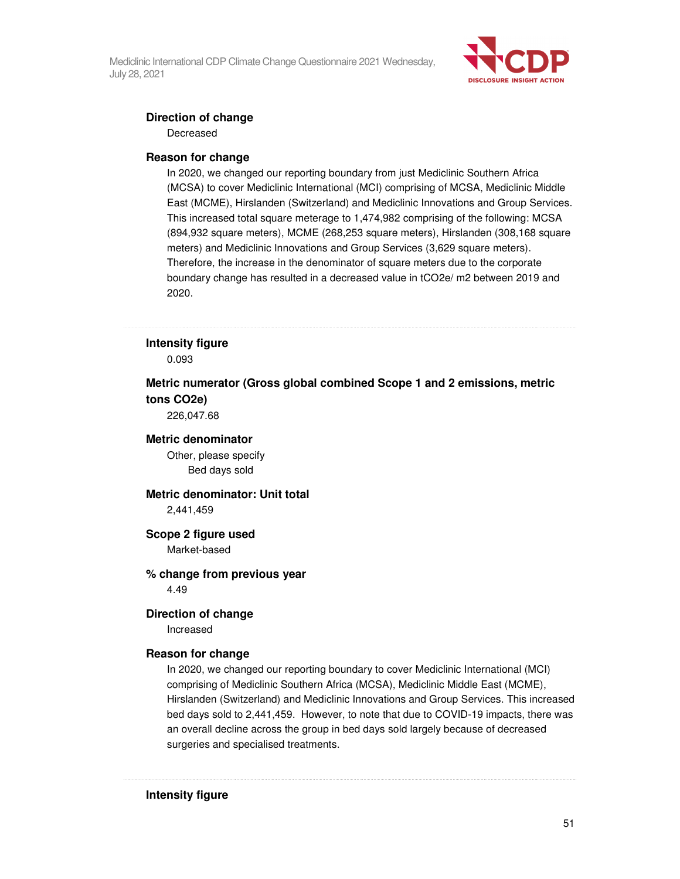

### **Direction of change**

Decreased

#### **Reason for change**

In 2020, we changed our reporting boundary from just Mediclinic Southern Africa (MCSA) to cover Mediclinic International (MCI) comprising of MCSA, Mediclinic Middle East (MCME), Hirslanden (Switzerland) and Mediclinic Innovations and Group Services. This increased total square meterage to 1,474,982 comprising of the following: MCSA (894,932 square meters), MCME (268,253 square meters), Hirslanden (308,168 square meters) and Mediclinic Innovations and Group Services (3,629 square meters). Therefore, the increase in the denominator of square meters due to the corporate boundary change has resulted in a decreased value in tCO2e/ m2 between 2019 and 2020.

## **Intensity figure**

0.093

## **Metric numerator (Gross global combined Scope 1 and 2 emissions, metric tons CO2e)**

226,047.68

### **Metric denominator**

Other, please specify Bed days sold

### **Metric denominator: Unit total**

2,441,459

### **Scope 2 figure used**

Market-based

#### **% change from previous year**  4.49

### **Direction of change**

Increased

#### **Reason for change**

In 2020, we changed our reporting boundary to cover Mediclinic International (MCI) comprising of Mediclinic Southern Africa (MCSA), Mediclinic Middle East (MCME), Hirslanden (Switzerland) and Mediclinic Innovations and Group Services. This increased bed days sold to 2,441,459. However, to note that due to COVID-19 impacts, there was an overall decline across the group in bed days sold largely because of decreased surgeries and specialised treatments.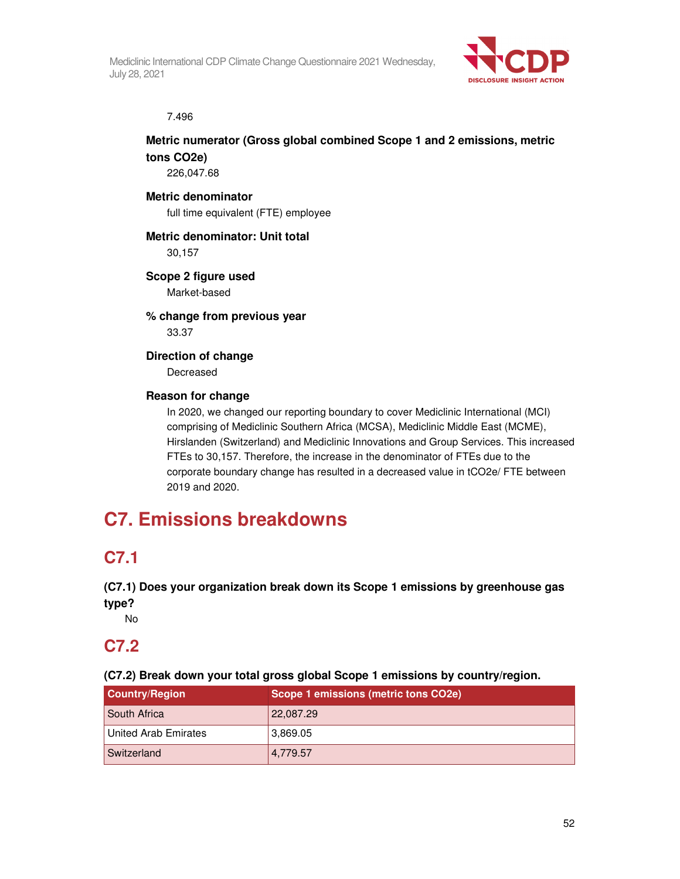

7.496

## **Metric numerator (Gross global combined Scope 1 and 2 emissions, metric tons CO2e)**

226,047.68

## **Metric denominator**

full time equivalent (FTE) employee

## **Metric denominator: Unit total**

30,157

## **Scope 2 figure used**

Market-based

## **% change from previous year**  33.37

## **Direction of change**  Decreased

## **Reason for change**

In 2020, we changed our reporting boundary to cover Mediclinic International (MCI) comprising of Mediclinic Southern Africa (MCSA), Mediclinic Middle East (MCME), Hirslanden (Switzerland) and Mediclinic Innovations and Group Services. This increased FTEs to 30,157. Therefore, the increase in the denominator of FTEs due to the corporate boundary change has resulted in a decreased value in tCO2e/ FTE between 2019 and 2020.

# **C7. Emissions breakdowns**

# **C7.1**

**(C7.1) Does your organization break down its Scope 1 emissions by greenhouse gas type?** 

No

# **C7.2**

**(C7.2) Break down your total gross global Scope 1 emissions by country/region.** 

| <b>Country/Region</b> | Scope 1 emissions (metric tons CO2e) |  |
|-----------------------|--------------------------------------|--|
| <b>South Africa</b>   | 22,087.29                            |  |
| United Arab Emirates  | 3,869.05                             |  |
| Switzerland           | 4,779.57                             |  |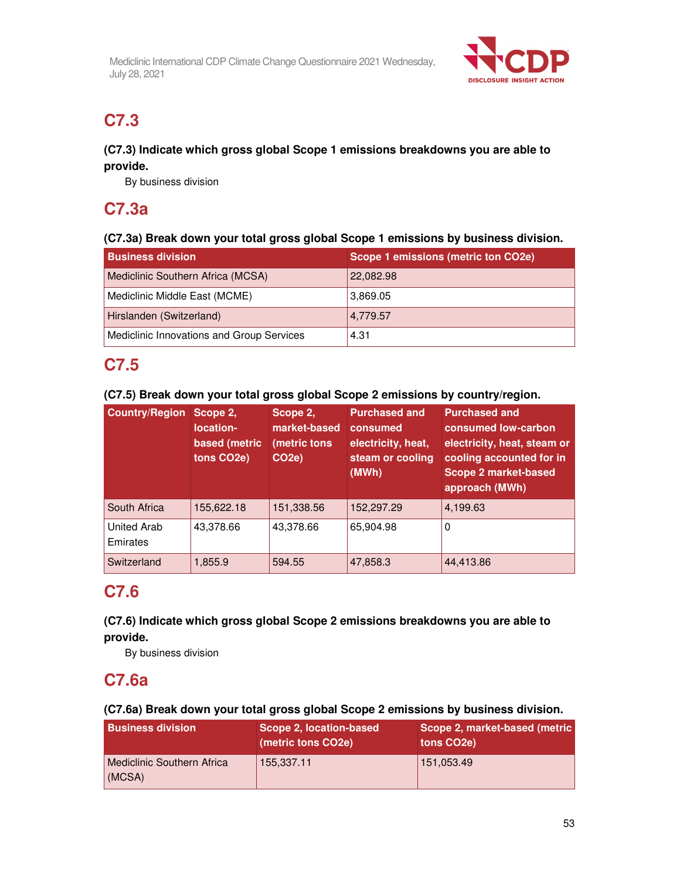

# **C7.3**

## **(C7.3) Indicate which gross global Scope 1 emissions breakdowns you are able to provide.**

By business division

# **C7.3a**

## **(C7.3a) Break down your total gross global Scope 1 emissions by business division.**

| <b>Business division</b>                  | Scope 1 emissions (metric ton CO2e) |
|-------------------------------------------|-------------------------------------|
| Mediclinic Southern Africa (MCSA)         | 22,082.98                           |
| Mediclinic Middle East (MCME)             | 3.869.05                            |
| Hirslanden (Switzerland)                  | 4,779.57                            |
| Mediclinic Innovations and Group Services | 4.31                                |

# **C7.5**

## **(C7.5) Break down your total gross global Scope 2 emissions by country/region.**

| <b>Country/Region</b>          | Scope 2,<br>location-<br>based (metric<br>tons CO <sub>2</sub> e) | Scope 2,<br>market-based<br>(metric tons<br>CO <sub>2e</sub> ) | <b>Purchased and</b><br>consumed<br>electricity, heat,<br>steam or cooling<br>(MWh) | <b>Purchased and</b><br>consumed low-carbon<br>electricity, heat, steam or<br>cooling accounted for in<br><b>Scope 2 market-based</b><br>approach (MWh) |
|--------------------------------|-------------------------------------------------------------------|----------------------------------------------------------------|-------------------------------------------------------------------------------------|---------------------------------------------------------------------------------------------------------------------------------------------------------|
| South Africa                   | 155,622.18                                                        | 151,338.56                                                     | 152,297.29                                                                          | 4,199.63                                                                                                                                                |
| <b>United Arab</b><br>Emirates | 43,378.66                                                         | 43,378.66                                                      | 65,904.98                                                                           | 0                                                                                                                                                       |
| Switzerland                    | 1,855.9                                                           | 594.55                                                         | 47,858.3                                                                            | 44,413.86                                                                                                                                               |

# **C7.6**

## **(C7.6) Indicate which gross global Scope 2 emissions breakdowns you are able to provide.**

By business division

# **C7.6a**

## **(C7.6a) Break down your total gross global Scope 2 emissions by business division.**

| <b>Business division</b>             | Scope 2, location-based<br>(metric tons CO2e) | Scope 2, market-based (metric<br>tons CO <sub>2</sub> e) |
|--------------------------------------|-----------------------------------------------|----------------------------------------------------------|
| Mediclinic Southern Africa<br>(MCSA) | 155,337.11                                    | 151,053.49                                               |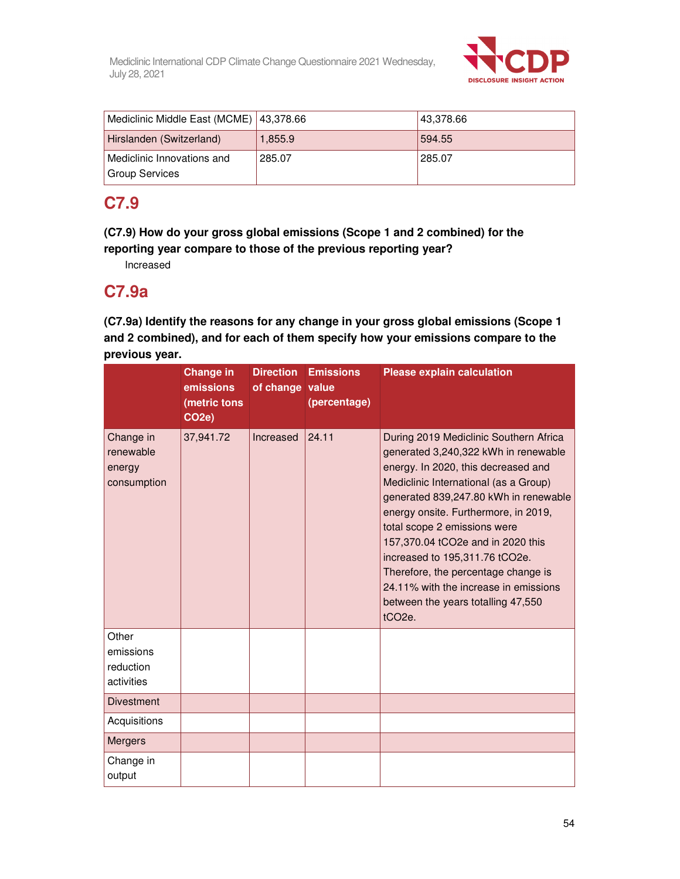

| Mediclinic Middle East (MCME)   43,378.66    |         | 43,378.66 |
|----------------------------------------------|---------|-----------|
| Hirslanden (Switzerland)                     | 1.855.9 | 594.55    |
| Mediclinic Innovations and<br>Group Services | 285.07  | 285.07    |

# **C7.9**

**(C7.9) How do your gross global emissions (Scope 1 and 2 combined) for the reporting year compare to those of the previous reporting year?** 

Increased

# **C7.9a**

**(C7.9a) Identify the reasons for any change in your gross global emissions (Scope 1 and 2 combined), and for each of them specify how your emissions compare to the previous year.** 

|                                                 | <b>Change in</b><br>emissions<br>(metric tons<br>CO <sub>2</sub> e) | <b>Direction</b><br>of change value | <b>Emissions</b><br>(percentage) | <b>Please explain calculation</b>                                                                                                                                                                                                                                                                                                                                                                                                                                                                   |
|-------------------------------------------------|---------------------------------------------------------------------|-------------------------------------|----------------------------------|-----------------------------------------------------------------------------------------------------------------------------------------------------------------------------------------------------------------------------------------------------------------------------------------------------------------------------------------------------------------------------------------------------------------------------------------------------------------------------------------------------|
| Change in<br>renewable<br>energy<br>consumption | 37,941.72                                                           | Increased                           | 24.11                            | During 2019 Mediclinic Southern Africa<br>generated 3,240,322 kWh in renewable<br>energy. In 2020, this decreased and<br>Mediclinic International (as a Group)<br>generated 839,247.80 kWh in renewable<br>energy onsite. Furthermore, in 2019,<br>total scope 2 emissions were<br>157,370.04 tCO2e and in 2020 this<br>increased to 195,311.76 tCO2e.<br>Therefore, the percentage change is<br>24.11% with the increase in emissions<br>between the years totalling 47,550<br>tCO <sub>2e</sub> . |
| Other<br>emissions<br>reduction<br>activities   |                                                                     |                                     |                                  |                                                                                                                                                                                                                                                                                                                                                                                                                                                                                                     |
| <b>Divestment</b>                               |                                                                     |                                     |                                  |                                                                                                                                                                                                                                                                                                                                                                                                                                                                                                     |
| Acquisitions                                    |                                                                     |                                     |                                  |                                                                                                                                                                                                                                                                                                                                                                                                                                                                                                     |
| <b>Mergers</b>                                  |                                                                     |                                     |                                  |                                                                                                                                                                                                                                                                                                                                                                                                                                                                                                     |
| Change in<br>output                             |                                                                     |                                     |                                  |                                                                                                                                                                                                                                                                                                                                                                                                                                                                                                     |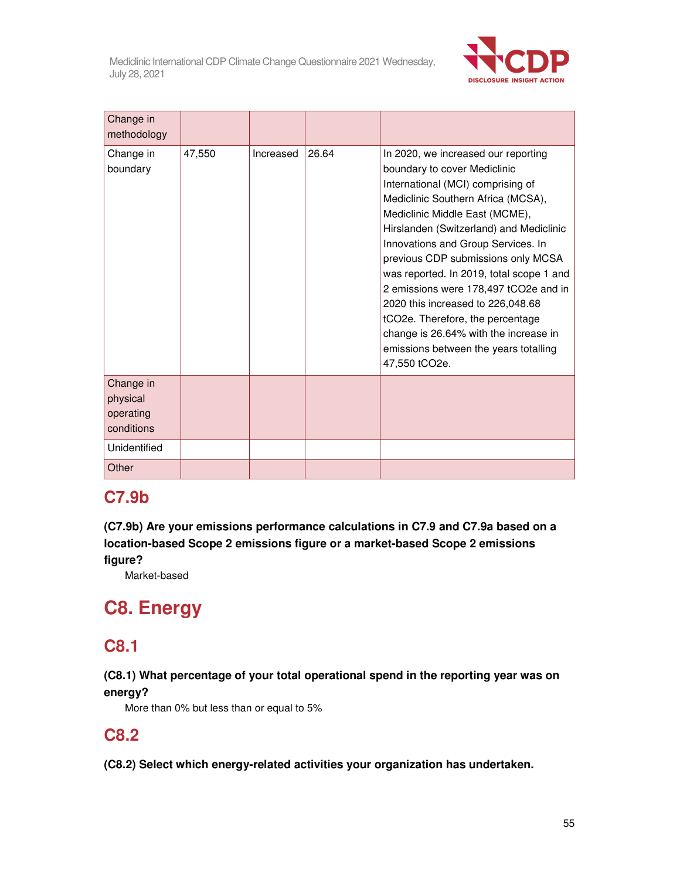

| Change in<br>methodology                         |        |           |       |                                                                                                                                                                                                                                                                                                                                                                                                                                                                                                                                                                          |
|--------------------------------------------------|--------|-----------|-------|--------------------------------------------------------------------------------------------------------------------------------------------------------------------------------------------------------------------------------------------------------------------------------------------------------------------------------------------------------------------------------------------------------------------------------------------------------------------------------------------------------------------------------------------------------------------------|
| Change in<br>boundary                            | 47,550 | Increased | 26.64 | In 2020, we increased our reporting<br>boundary to cover Mediclinic<br>International (MCI) comprising of<br>Mediclinic Southern Africa (MCSA),<br>Mediclinic Middle East (MCME),<br>Hirslanden (Switzerland) and Mediclinic<br>Innovations and Group Services. In<br>previous CDP submissions only MCSA<br>was reported. In 2019, total scope 1 and<br>2 emissions were 178,497 tCO2e and in<br>2020 this increased to 226,048.68<br>tCO2e. Therefore, the percentage<br>change is 26.64% with the increase in<br>emissions between the years totalling<br>47,550 tCO2e. |
| Change in<br>physical<br>operating<br>conditions |        |           |       |                                                                                                                                                                                                                                                                                                                                                                                                                                                                                                                                                                          |
| Unidentified                                     |        |           |       |                                                                                                                                                                                                                                                                                                                                                                                                                                                                                                                                                                          |
| Other                                            |        |           |       |                                                                                                                                                                                                                                                                                                                                                                                                                                                                                                                                                                          |

# **C7.9b**

**(C7.9b) Are your emissions performance calculations in C7.9 and C7.9a based on a location-based Scope 2 emissions figure or a market-based Scope 2 emissions figure?** 

Market-based

# **C8. Energy**

# **C8.1**

## **(C8.1) What percentage of your total operational spend in the reporting year was on energy?**

More than 0% but less than or equal to 5%

# **C8.2**

**(C8.2) Select which energy-related activities your organization has undertaken.**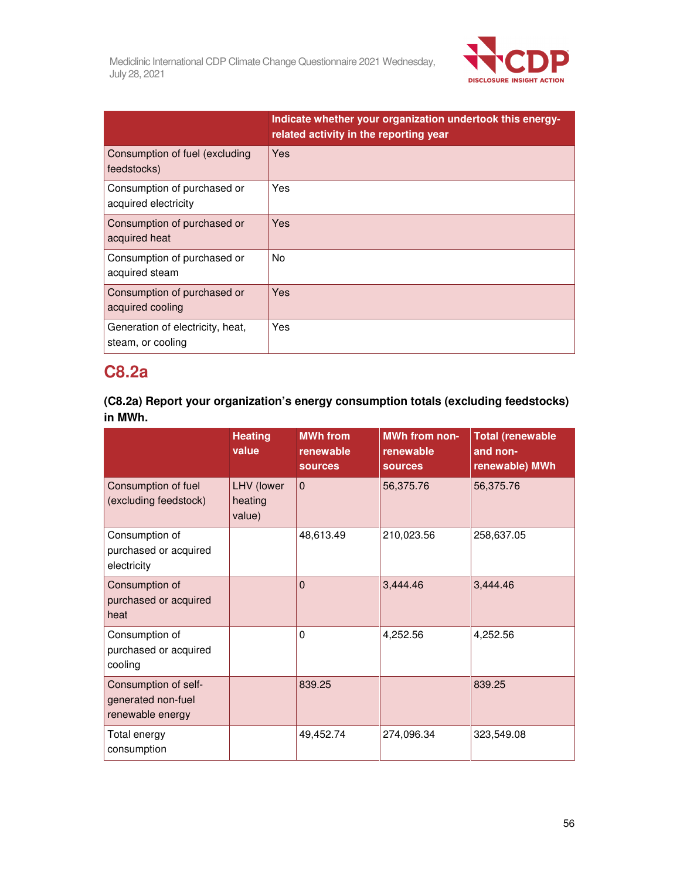

|                                                       | Indicate whether your organization undertook this energy-<br>related activity in the reporting year |
|-------------------------------------------------------|-----------------------------------------------------------------------------------------------------|
| Consumption of fuel (excluding<br>feedstocks)         | Yes                                                                                                 |
| Consumption of purchased or<br>acquired electricity   | Yes                                                                                                 |
| Consumption of purchased or<br>acquired heat          | Yes                                                                                                 |
| Consumption of purchased or<br>acquired steam         | No.                                                                                                 |
| Consumption of purchased or<br>acquired cooling       | Yes                                                                                                 |
| Generation of electricity, heat,<br>steam, or cooling | Yes                                                                                                 |

# **C8.2a**

**(C8.2a) Report your organization's energy consumption totals (excluding feedstocks) in MWh.** 

|                                                                | <b>Heating</b><br>value         | <b>MWh from</b><br>renewable<br><b>sources</b> | <b>MWh from non-</b><br>renewable<br><b>sources</b> | <b>Total (renewable</b><br>and non-<br>renewable) MWh |
|----------------------------------------------------------------|---------------------------------|------------------------------------------------|-----------------------------------------------------|-------------------------------------------------------|
| Consumption of fuel<br>(excluding feedstock)                   | LHV (lower<br>heating<br>value) | $\Omega$                                       | 56,375.76                                           | 56,375.76                                             |
| Consumption of<br>purchased or acquired<br>electricity         |                                 | 48,613.49                                      | 210,023.56                                          | 258,637.05                                            |
| Consumption of<br>purchased or acquired<br>heat                |                                 | $\Omega$                                       | 3,444.46                                            | 3,444.46                                              |
| Consumption of<br>purchased or acquired<br>cooling             |                                 | $\Omega$                                       | 4,252.56                                            | 4,252.56                                              |
| Consumption of self-<br>generated non-fuel<br>renewable energy |                                 | 839.25                                         |                                                     | 839.25                                                |
| Total energy<br>consumption                                    |                                 | 49,452.74                                      | 274,096.34                                          | 323,549.08                                            |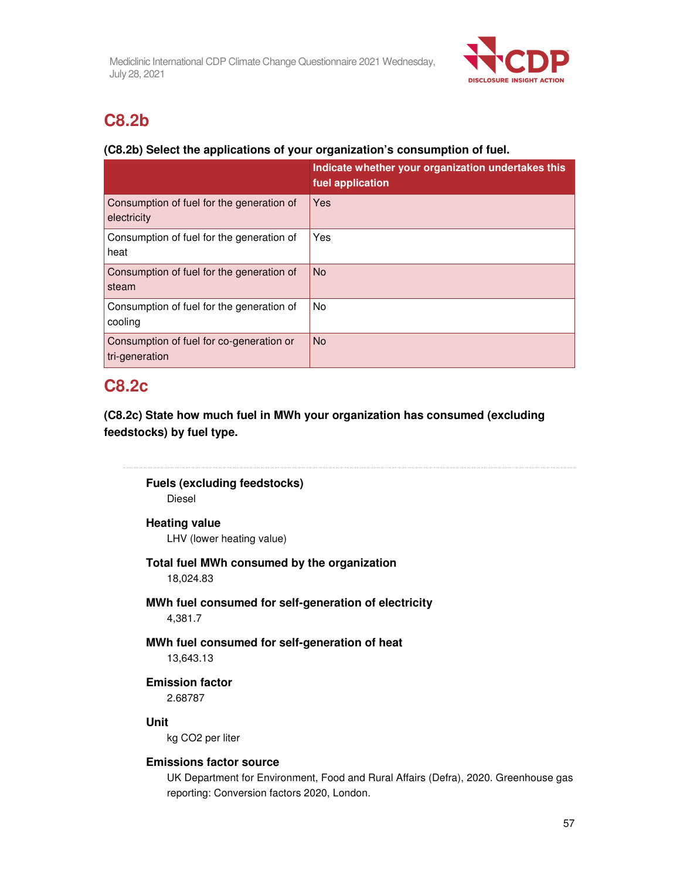

# **C8.2b**

## **(C8.2b) Select the applications of your organization's consumption of fuel.**

|                                                            | Indicate whether your organization undertakes this<br>fuel application |
|------------------------------------------------------------|------------------------------------------------------------------------|
| Consumption of fuel for the generation of<br>electricity   | Yes                                                                    |
| Consumption of fuel for the generation of<br>heat          | Yes                                                                    |
| Consumption of fuel for the generation of<br>steam         | <b>No</b>                                                              |
| Consumption of fuel for the generation of<br>cooling       | <b>No</b>                                                              |
| Consumption of fuel for co-generation or<br>tri-generation | <b>No</b>                                                              |

# **C8.2c**

**(C8.2c) State how much fuel in MWh your organization has consumed (excluding feedstocks) by fuel type.** 

**Fuels (excluding feedstocks)** 

Diesel

## **Heating value**

LHV (lower heating value)

## **Total fuel MWh consumed by the organization**

18,024.83

## **MWh fuel consumed for self-generation of electricity**  4,381.7

# **MWh fuel consumed for self-generation of heat**

13,643.13

## **Emission factor**

2.68787

## **Unit**

kg CO2 per liter

## **Emissions factor source**

UK Department for Environment, Food and Rural Affairs (Defra), 2020. Greenhouse gas reporting: Conversion factors 2020, London.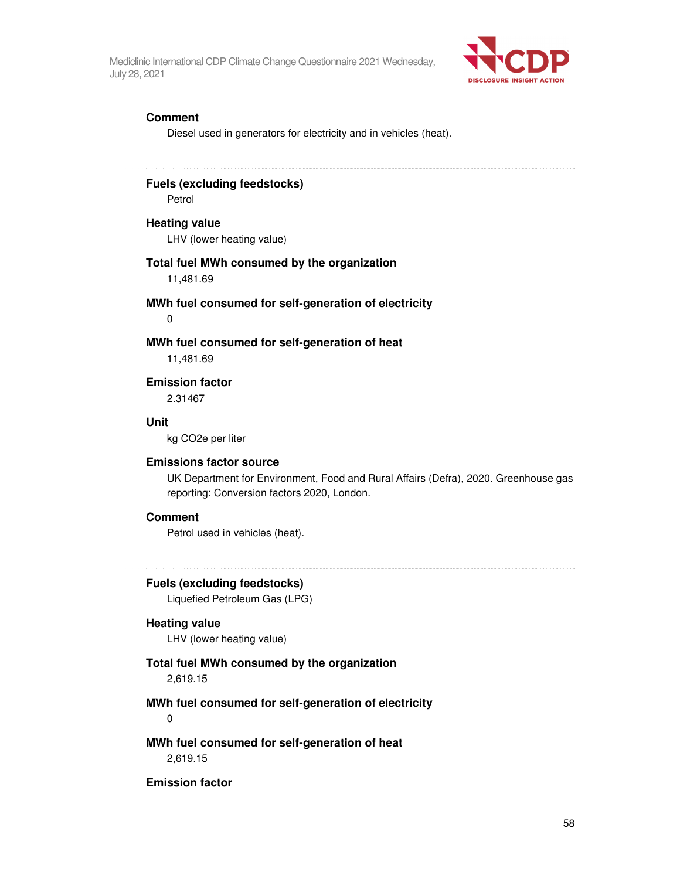

### **Comment**

Diesel used in generators for electricity and in vehicles (heat).

## **Fuels (excluding feedstocks)**

Petrol

### **Heating value**

LHV (lower heating value)

### **Total fuel MWh consumed by the organization**

11,481.69

## **MWh fuel consumed for self-generation of electricity**

0

### **MWh fuel consumed for self-generation of heat**

11,481.69

#### **Emission factor**

2.31467

#### **Unit**

kg CO2e per liter

#### **Emissions factor source**

UK Department for Environment, Food and Rural Affairs (Defra), 2020. Greenhouse gas reporting: Conversion factors 2020, London.

### **Comment**

Petrol used in vehicles (heat).

#### **Fuels (excluding feedstocks)**

Liquefied Petroleum Gas (LPG)

#### **Heating value**

LHV (lower heating value)

### **Total fuel MWh consumed by the organization**

2,619.15

### **MWh fuel consumed for self-generation of electricity**

0

## **MWh fuel consumed for self-generation of heat**  2,619.15

#### **Emission factor**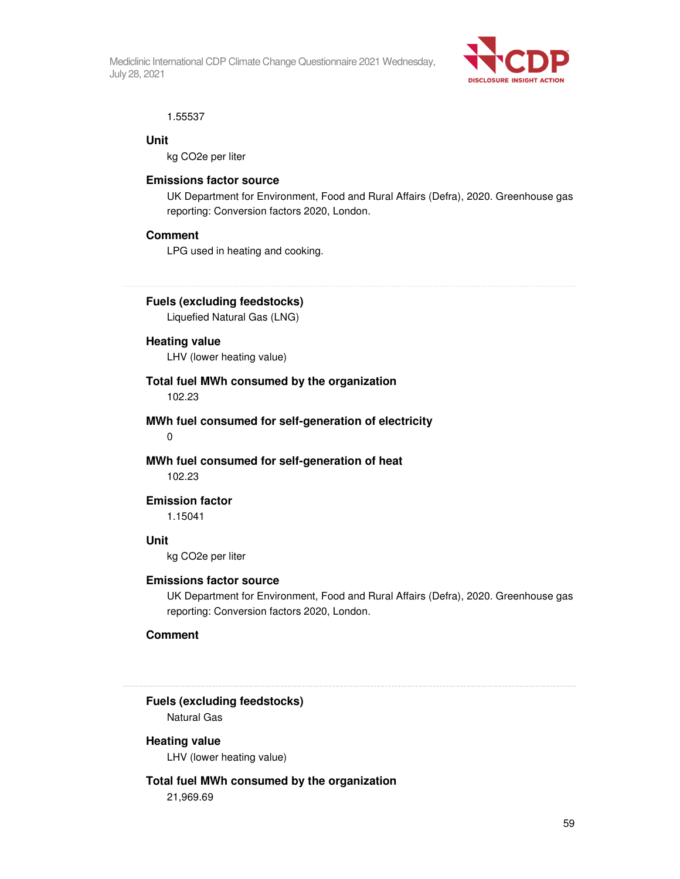

#### 1.55537

#### **Unit**

kg CO2e per liter

### **Emissions factor source**

UK Department for Environment, Food and Rural Affairs (Defra), 2020. Greenhouse gas reporting: Conversion factors 2020, London.

### **Comment**

LPG used in heating and cooking.

## **Fuels (excluding feedstocks)**

Liquefied Natural Gas (LNG)

## **Heating value**

LHV (lower heating value)

#### **Total fuel MWh consumed by the organization**  102.23

**MWh fuel consumed for self-generation of electricity** 

0

## **MWh fuel consumed for self-generation of heat**

102.23

## **Emission factor**

1.15041

### **Unit**

kg CO2e per liter

### **Emissions factor source**

UK Department for Environment, Food and Rural Affairs (Defra), 2020. Greenhouse gas reporting: Conversion factors 2020, London.

### **Comment**

**Fuels (excluding feedstocks)** 

Natural Gas

## **Heating value**

LHV (lower heating value)

## **Total fuel MWh consumed by the organization**

21,969.69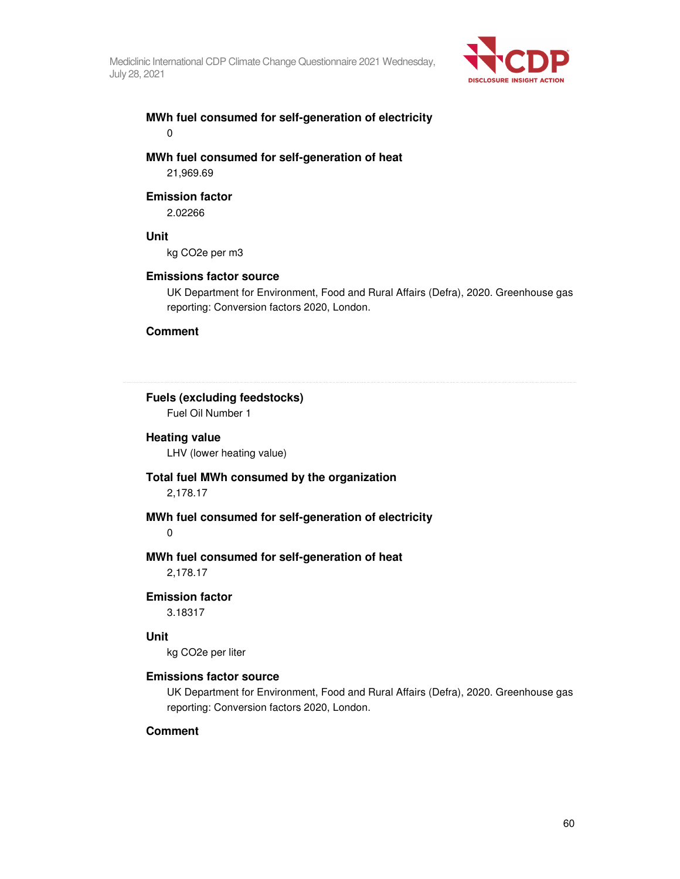

## **MWh fuel consumed for self-generation of electricity**  0

**MWh fuel consumed for self-generation of heat**  21,969.69

#### **Emission factor**

2.02266

#### **Unit**

kg CO2e per m3

#### **Emissions factor source**

UK Department for Environment, Food and Rural Affairs (Defra), 2020. Greenhouse gas reporting: Conversion factors 2020, London.

#### **Comment**

### **Fuels (excluding feedstocks)**

Fuel Oil Number 1

#### **Heating value**

LHV (lower heating value)

#### **Total fuel MWh consumed by the organization**

2,178.17

### **MWh fuel consumed for self-generation of electricity**

0

### **MWh fuel consumed for self-generation of heat**

2,178.17

#### **Emission factor**

3.18317

### **Unit**

kg CO2e per liter

### **Emissions factor source**

UK Department for Environment, Food and Rural Affairs (Defra), 2020. Greenhouse gas reporting: Conversion factors 2020, London.

### **Comment**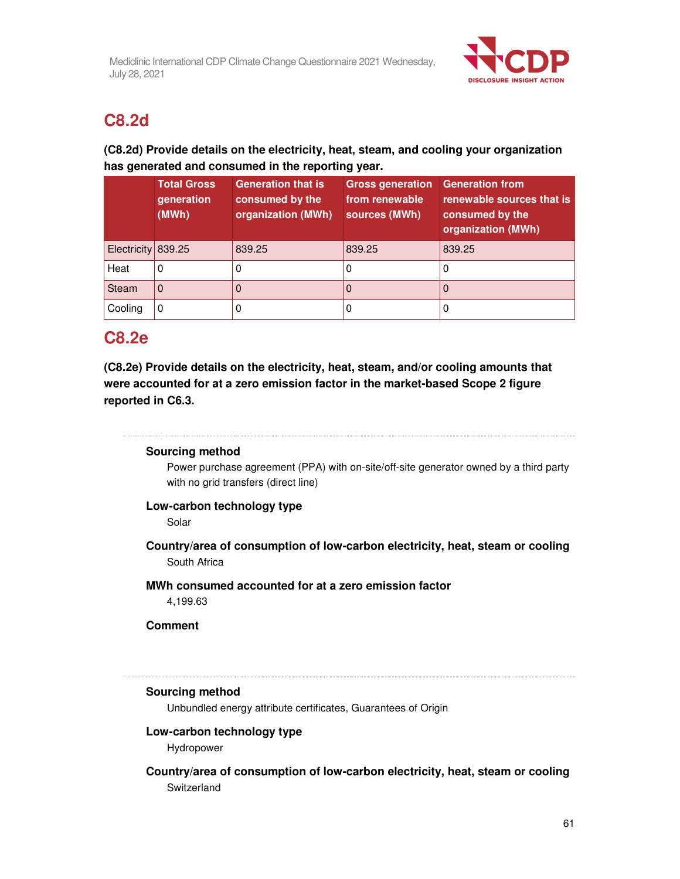

# **C8.2d**

## **(C8.2d) Provide details on the electricity, heat, steam, and cooling your organization has generated and consumed in the reporting year.**

|                    | <b>Total Gross</b><br>generation<br>(MWh) | <b>Generation that is</b><br>consumed by the<br>organization (MWh) | <b>Gross generation</b><br>from renewable<br>sources (MWh) | <b>Generation from</b><br>renewable sources that is<br>consumed by the<br>organization (MWh) |
|--------------------|-------------------------------------------|--------------------------------------------------------------------|------------------------------------------------------------|----------------------------------------------------------------------------------------------|
| Electricity 839.25 |                                           | 839.25                                                             | 839.25                                                     | 839.25                                                                                       |
| Heat               | $\Omega$                                  |                                                                    | 0                                                          | 0                                                                                            |
| Steam              | 0                                         |                                                                    | 0                                                          | O                                                                                            |
| Cooling            | 0                                         |                                                                    |                                                            | 0                                                                                            |

# **C8.2e**

**(C8.2e) Provide details on the electricity, heat, steam, and/or cooling amounts that were accounted for at a zero emission factor in the market-based Scope 2 figure reported in C6.3.** 

## 

## **Sourcing method**

Power purchase agreement (PPA) with on-site/off-site generator owned by a third party with no grid transfers (direct line)

## **Low-carbon technology type**

Solar

**Country/area of consumption of low-carbon electricity, heat, steam or cooling**  South Africa

## **MWh consumed accounted for at a zero emission factor**

4,199.63

## **Comment**

#### 

## **Sourcing method**

Unbundled energy attribute certificates, Guarantees of Origin

## **Low-carbon technology type**

Hydropower

## **Country/area of consumption of low-carbon electricity, heat, steam or cooling**  Switzerland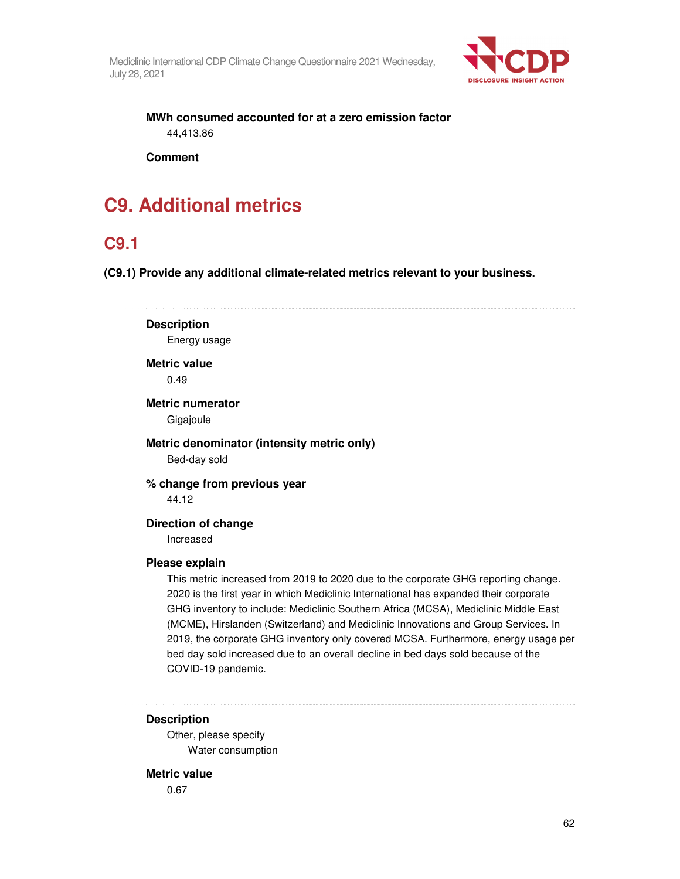

**MWh consumed accounted for at a zero emission factor**  44,413.86

**Comment** 

# **C9. Additional metrics**

# **C9.1**

**(C9.1) Provide any additional climate-related metrics relevant to your business.** 

**Description** 

Energy usage

**Metric value** 

0.49

**Metric numerator** 

Gigajoule

**Metric denominator (intensity metric only)**  Bed-day sold

**% change from previous year**  44.12

**Direction of change**  Increased

### **Please explain**

This metric increased from 2019 to 2020 due to the corporate GHG reporting change. 2020 is the first year in which Mediclinic International has expanded their corporate GHG inventory to include: Mediclinic Southern Africa (MCSA), Mediclinic Middle East (MCME), Hirslanden (Switzerland) and Mediclinic Innovations and Group Services. In 2019, the corporate GHG inventory only covered MCSA. Furthermore, energy usage per bed day sold increased due to an overall decline in bed days sold because of the COVID-19 pandemic.

### **Description**

Other, please specify Water consumption

### **Metric value**

0.67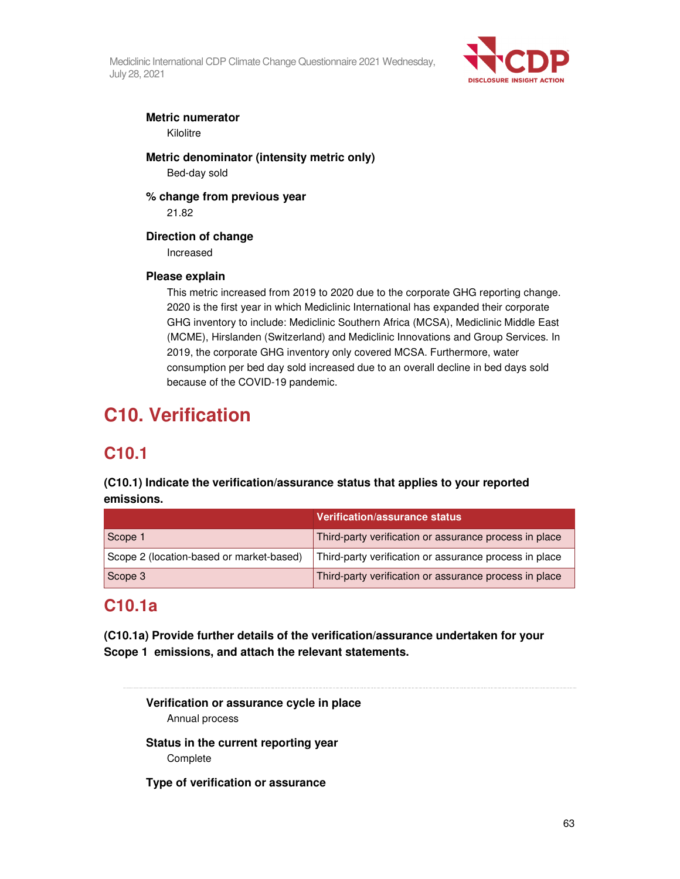

## **Metric numerator**

Kilolitre

**Metric denominator (intensity metric only)**  Bed-day sold

**% change from previous year**  21.82

## **Direction of change**

Increased

## **Please explain**

This metric increased from 2019 to 2020 due to the corporate GHG reporting change. 2020 is the first year in which Mediclinic International has expanded their corporate GHG inventory to include: Mediclinic Southern Africa (MCSA), Mediclinic Middle East (MCME), Hirslanden (Switzerland) and Mediclinic Innovations and Group Services. In 2019, the corporate GHG inventory only covered MCSA. Furthermore, water consumption per bed day sold increased due to an overall decline in bed days sold because of the COVID-19 pandemic.

# **C10. Verification**

# **C10.1**

## **(C10.1) Indicate the verification/assurance status that applies to your reported emissions.**

|                                          | Verification/assurance status                          |
|------------------------------------------|--------------------------------------------------------|
| Scope 1                                  | Third-party verification or assurance process in place |
| Scope 2 (location-based or market-based) | Third-party verification or assurance process in place |
| Scope 3                                  | Third-party verification or assurance process in place |

# **C10.1a**

**(C10.1a) Provide further details of the verification/assurance undertaken for your Scope 1 emissions, and attach the relevant statements.** 

**Verification or assurance cycle in place**  Annual process

**Status in the current reporting year Complete** 

**Type of verification or assurance**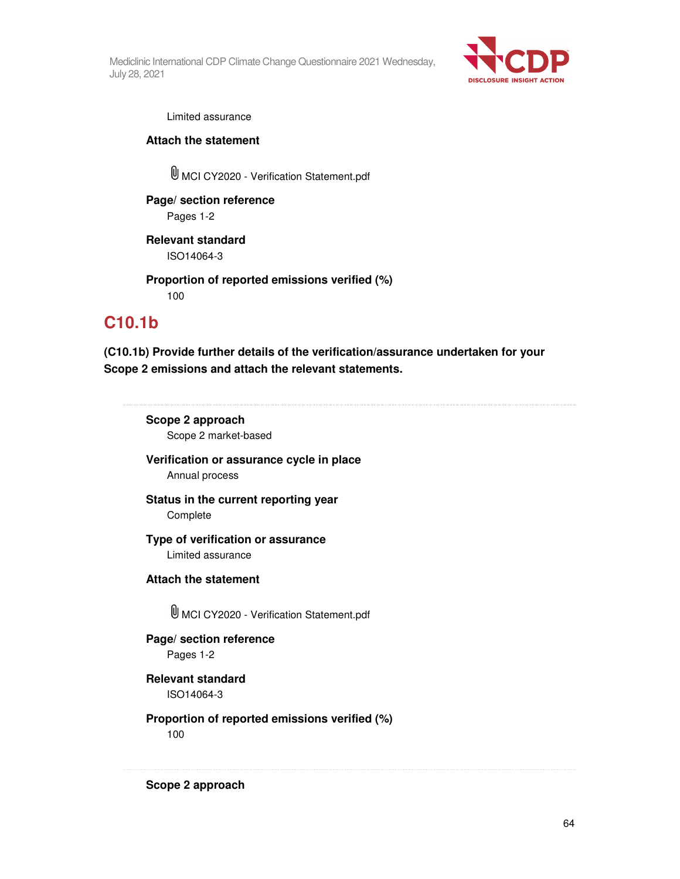

Limited assurance

**Attach the statement** 

MCI CY2020 - Verification Statement.pdf

**Page/ section reference**  Pages 1-2

**Relevant standard**  ISO14064-3

**Proportion of reported emissions verified (%)**  100

# **C10.1b**

**(C10.1b) Provide further details of the verification/assurance undertaken for your Scope 2 emissions and attach the relevant statements.** 

**Scope 2 approach**  Scope 2 market-based

**Verification or assurance cycle in place**  Annual process

**Status in the current reporting year**  Complete

**Type of verification or assurance**  Limited assurance

**Attach the statement** 

MCI CY2020 - Verification Statement.pdf

**Page/ section reference**  Pages 1-2

**Relevant standard**  ISO14064-3

**Proportion of reported emissions verified (%)**  100

**Scope 2 approach**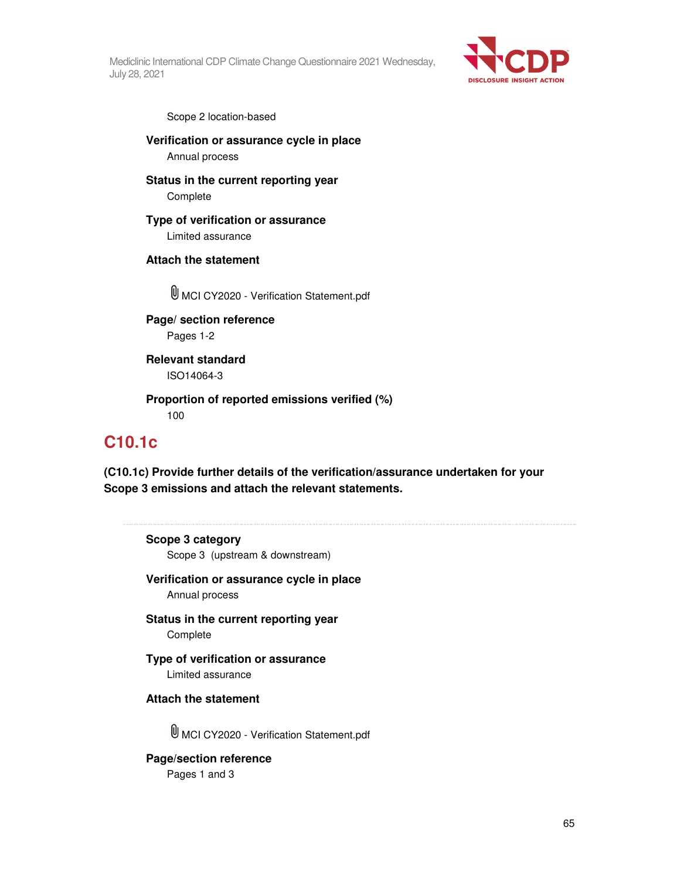

Scope 2 location-based

**Verification or assurance cycle in place**  Annual process

**Status in the current reporting year**  Complete

## **Type of verification or assurance**

Limited assurance

## **Attach the statement**

MCI CY2020 - Verification Statement.pdf

**Page/ section reference**  Pages 1-2

**Relevant standard**  ISO14064-3

**Proportion of reported emissions verified (%)**  100

# **C10.1c**

**(C10.1c) Provide further details of the verification/assurance undertaken for your Scope 3 emissions and attach the relevant statements.** 

## **Scope 3 category**

Scope 3 (upstream & downstream)

### **Verification or assurance cycle in place**  Annual process

**Status in the current reporting year**  Complete

## **Type of verification or assurance**

Limited assurance

## **Attach the statement**

MCI CY2020 - Verification Statement.pdf

## **Page/section reference**

Pages 1 and 3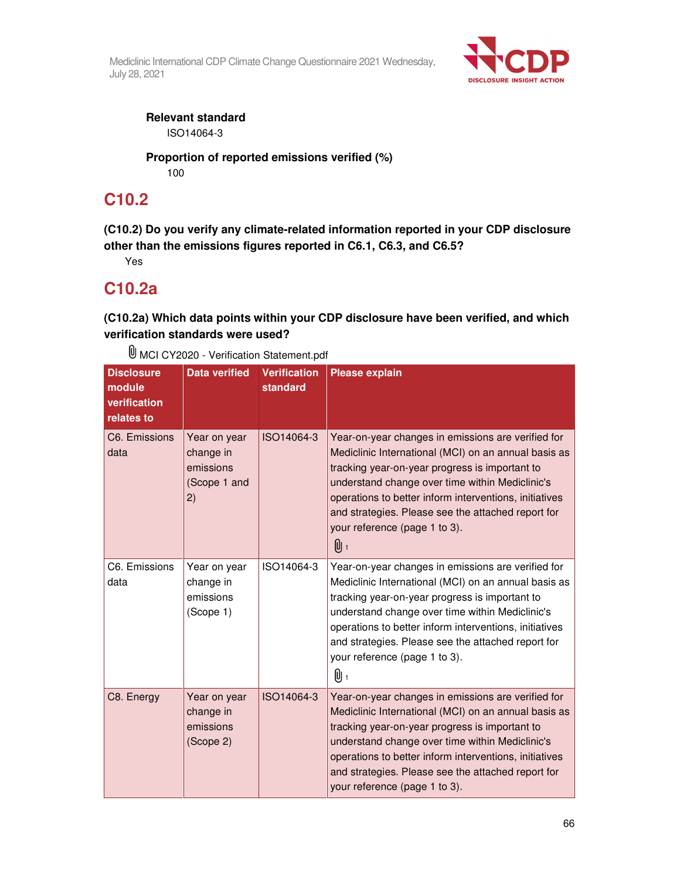

**Relevant standard** 

ISO14064-3

**Proportion of reported emissions verified (%)**  100

# **C10.2**

**(C10.2) Do you verify any climate-related information reported in your CDP disclosure other than the emissions figures reported in C6.1, C6.3, and C6.5?** 

Yes

# **C10.2a**

**(C10.2a) Which data points within your CDP disclosure have been verified, and which verification standards were used?** 

MCI CY2020 - Verification Statement.pdf

| <b>Disclosure</b><br>module<br>verification<br>relates to | <b>Data verified</b>                                         | <b>Verification</b><br>standard | <b>Please explain</b>                                                                                                                                                                                                                                                                                                                                                   |
|-----------------------------------------------------------|--------------------------------------------------------------|---------------------------------|-------------------------------------------------------------------------------------------------------------------------------------------------------------------------------------------------------------------------------------------------------------------------------------------------------------------------------------------------------------------------|
| C6. Emissions<br>data                                     | Year on year<br>change in<br>emissions<br>(Scope 1 and<br>2) | ISO14064-3                      | Year-on-year changes in emissions are verified for<br>Mediclinic International (MCI) on an annual basis as<br>tracking year-on-year progress is important to<br>understand change over time within Mediclinic's<br>operations to better inform interventions, initiatives<br>and strategies. Please see the attached report for<br>your reference (page 1 to 3).<br>0 1 |
| C6. Emissions<br>data                                     | Year on year<br>change in<br>emissions<br>(Scope 1)          | ISO14064-3                      | Year-on-year changes in emissions are verified for<br>Mediclinic International (MCI) on an annual basis as<br>tracking year-on-year progress is important to<br>understand change over time within Mediclinic's<br>operations to better inform interventions, initiatives<br>and strategies. Please see the attached report for<br>your reference (page 1 to 3).<br>0 1 |
| C8. Energy                                                | Year on year<br>change in<br>emissions<br>(Scope 2)          | ISO14064-3                      | Year-on-year changes in emissions are verified for<br>Mediclinic International (MCI) on an annual basis as<br>tracking year-on-year progress is important to<br>understand change over time within Mediclinic's<br>operations to better inform interventions, initiatives<br>and strategies. Please see the attached report for<br>your reference (page 1 to 3).        |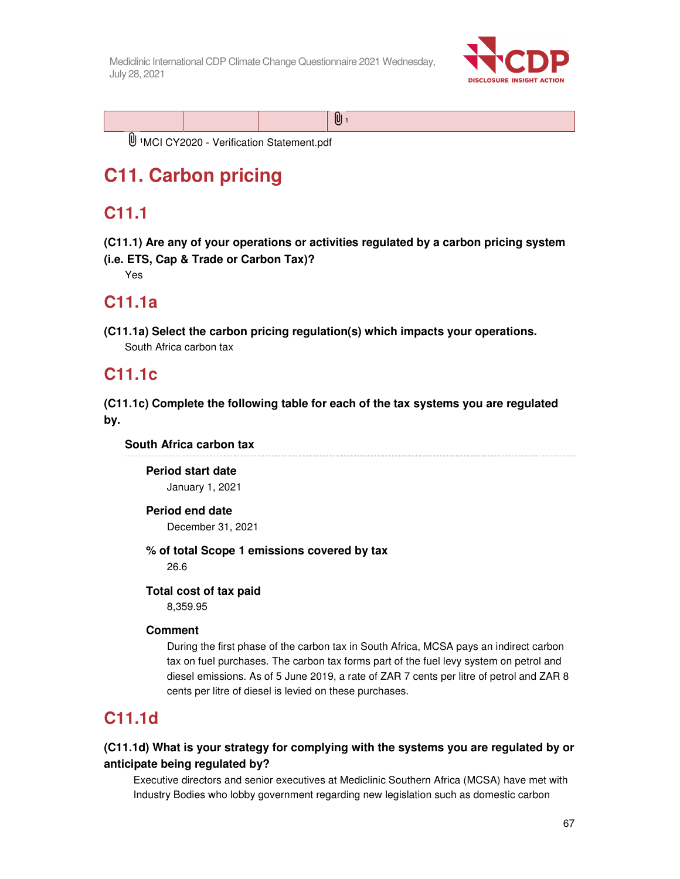

U<sup>1</sup>MCI CY2020 - Verification Statement.pdf

# **C11. Carbon pricing**

# **C11.1**

**(C11.1) Are any of your operations or activities regulated by a carbon pricing system** 

**(i.e. ETS, Cap & Trade or Carbon Tax)?** 

Yes

# **C11.1a**

**(C11.1a) Select the carbon pricing regulation(s) which impacts your operations.**  South Africa carbon tax

# **C11.1c**

**(C11.1c) Complete the following table for each of the tax systems you are regulated by.** 

**South Africa carbon tax** 

**Period start date**  January 1, 2021

## **Period end date**

December 31, 2021

**% of total Scope 1 emissions covered by tax** 

26.6

## **Total cost of tax paid**

8,359.95

## **Comment**

During the first phase of the carbon tax in South Africa, MCSA pays an indirect carbon tax on fuel purchases. The carbon tax forms part of the fuel levy system on petrol and diesel emissions. As of 5 June 2019, a rate of ZAR 7 cents per litre of petrol and ZAR 8 cents per litre of diesel is levied on these purchases.

# **C11.1d**

## **(C11.1d) What is your strategy for complying with the systems you are regulated by or anticipate being regulated by?**

Executive directors and senior executives at Mediclinic Southern Africa (MCSA) have met with Industry Bodies who lobby government regarding new legislation such as domestic carbon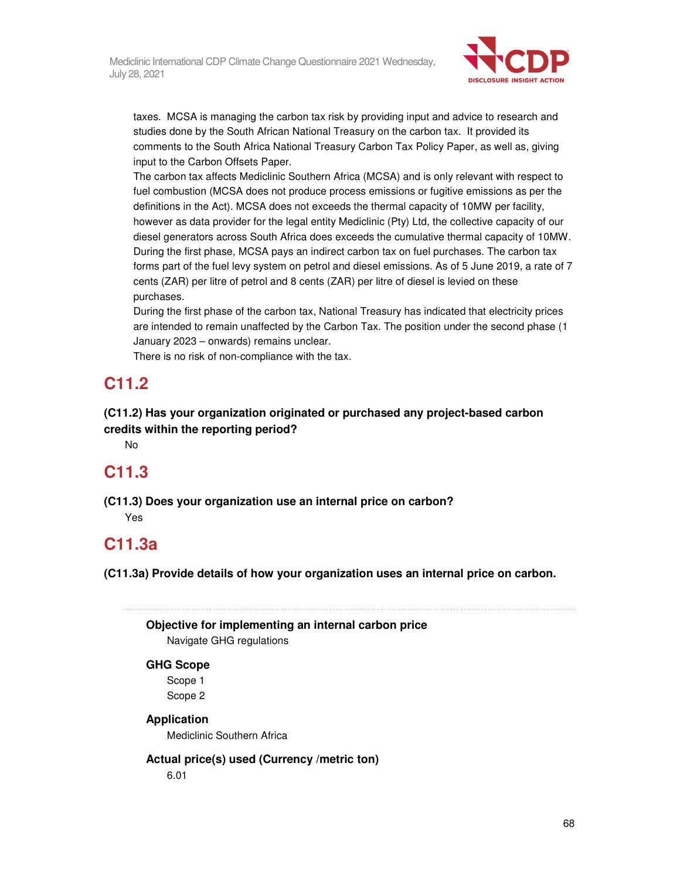

taxes. MCSA is managing the carbon tax risk by providing input and advice to research and studies done by the South African National Treasury on the carbon tax. It provided its comments to the South Africa National Treasury Carbon Tax Policy Paper, as well as, giving input to the Carbon Offsets Paper.

The carbon tax affects Mediclinic Southern Africa (MCSA) and is only relevant with respect to fuel combustion (MCSA does not produce process emissions or fugitive emissions as per the definitions in the Act). MCSA does not exceeds the thermal capacity of 10MW per facility, however as data provider for the legal entity Mediclinic (Pty) Ltd, the collective capacity of our diesel generators across South Africa does exceeds the cumulative thermal capacity of 10MW. During the first phase, MCSA pays an indirect carbon tax on fuel purchases. The carbon tax forms part of the fuel levy system on petrol and diesel emissions. As of 5 June 2019, a rate of 7 cents (ZAR) per litre of petrol and 8 cents (ZAR) per litre of diesel is levied on these purchases.

During the first phase of the carbon tax, National Treasury has indicated that electricity prices are intended to remain unaffected by the Carbon Tax. The position under the second phase (1 January 2023 – onwards) remains unclear.

There is no risk of non-compliance with the tax.

# **C11.2**

**(C11.2) Has your organization originated or purchased any project-based carbon credits within the reporting period?** 

No

# **C11.3**

**(C11.3) Does your organization use an internal price on carbon?** 

Yes

# **C11.3a**

**(C11.3a) Provide details of how your organization uses an internal price on carbon.** 

**Objective for implementing an internal carbon price**

Navigate GHG regulations

## **GHG Scope**

Scope 1 Scope 2

## **Application**

Mediclinic Southern Africa

**Actual price(s) used (Currency /metric ton)** 

6.01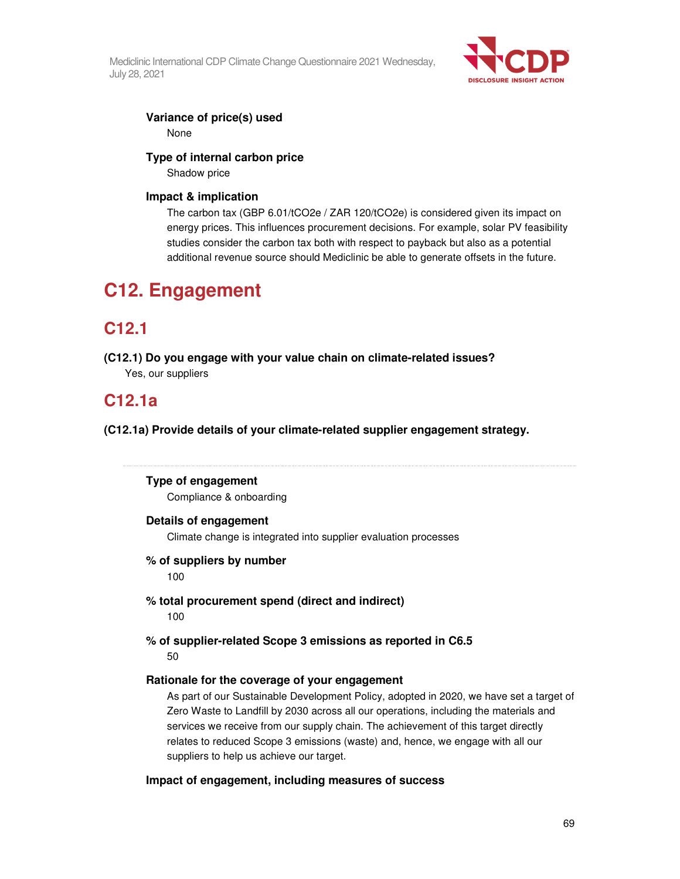

### **Variance of price(s) used**  None

### **Type of internal carbon price**

Shadow price

### **Impact & implication**

The carbon tax (GBP 6.01/tCO2e / ZAR 120/tCO2e) is considered given its impact on energy prices. This influences procurement decisions. For example, solar PV feasibility studies consider the carbon tax both with respect to payback but also as a potential additional revenue source should Mediclinic be able to generate offsets in the future.

# **C12. Engagement**

# **C12.1**

**(C12.1) Do you engage with your value chain on climate-related issues?**  Yes, our suppliers

# **C12.1a**

**(C12.1a) Provide details of your climate-related supplier engagement strategy.** 

## **Type of engagement**

Compliance & onboarding

### **Details of engagement**

Climate change is integrated into supplier evaluation processes

### **% of suppliers by number**

100

- **% total procurement spend (direct and indirect)**  100
- **% of supplier-related Scope 3 emissions as reported in C6.5**  50

## **Rationale for the coverage of your engagement**

As part of our Sustainable Development Policy, adopted in 2020, we have set a target of Zero Waste to Landfill by 2030 across all our operations, including the materials and services we receive from our supply chain. The achievement of this target directly relates to reduced Scope 3 emissions (waste) and, hence, we engage with all our suppliers to help us achieve our target.

### **Impact of engagement, including measures of success**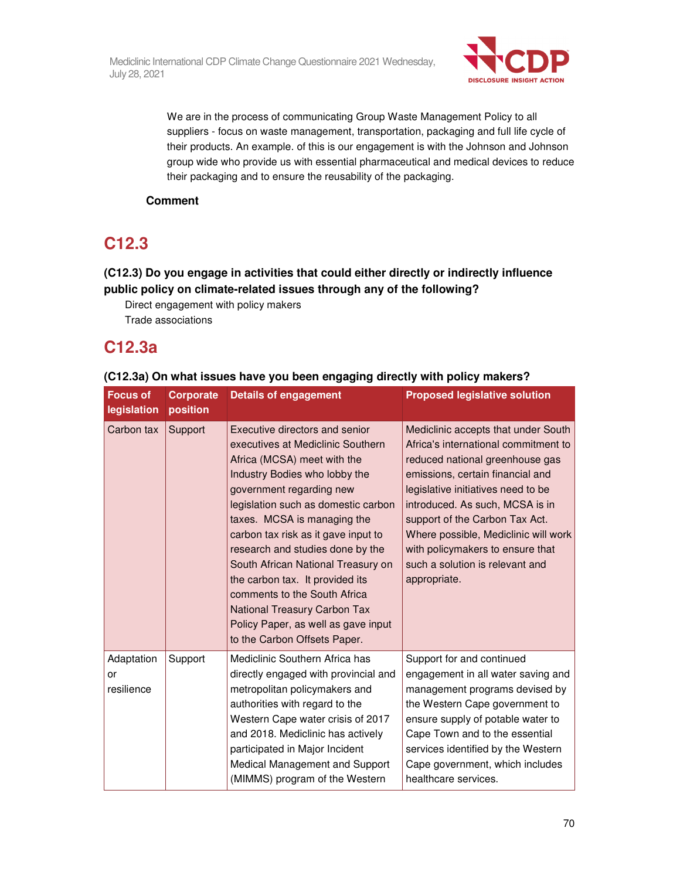

We are in the process of communicating Group Waste Management Policy to all suppliers - focus on waste management, transportation, packaging and full life cycle of their products. An example. of this is our engagement is with the Johnson and Johnson group wide who provide us with essential pharmaceutical and medical devices to reduce their packaging and to ensure the reusability of the packaging.

## **Comment**

# **C12.3**

## **(C12.3) Do you engage in activities that could either directly or indirectly influence public policy on climate-related issues through any of the following?**

Direct engagement with policy makers Trade associations

# **C12.3a**

## **(C12.3a) On what issues have you been engaging directly with policy makers?**

| <b>Focus of</b><br>legislation | <b>Corporate</b><br>position | <b>Details of engagement</b>                                                                                                                                                                                                                                                                                                                                                                                                                                                                                                     | <b>Proposed legislative solution</b>                                                                                                                                                                                                                                                                                                                                                         |
|--------------------------------|------------------------------|----------------------------------------------------------------------------------------------------------------------------------------------------------------------------------------------------------------------------------------------------------------------------------------------------------------------------------------------------------------------------------------------------------------------------------------------------------------------------------------------------------------------------------|----------------------------------------------------------------------------------------------------------------------------------------------------------------------------------------------------------------------------------------------------------------------------------------------------------------------------------------------------------------------------------------------|
| Carbon tax                     | Support                      | Executive directors and senior<br>executives at Mediclinic Southern<br>Africa (MCSA) meet with the<br>Industry Bodies who lobby the<br>government regarding new<br>legislation such as domestic carbon<br>taxes. MCSA is managing the<br>carbon tax risk as it gave input to<br>research and studies done by the<br>South African National Treasury on<br>the carbon tax. It provided its<br>comments to the South Africa<br>National Treasury Carbon Tax<br>Policy Paper, as well as gave input<br>to the Carbon Offsets Paper. | Mediclinic accepts that under South<br>Africa's international commitment to<br>reduced national greenhouse gas<br>emissions, certain financial and<br>legislative initiatives need to be<br>introduced. As such, MCSA is in<br>support of the Carbon Tax Act.<br>Where possible, Mediclinic will work<br>with policymakers to ensure that<br>such a solution is relevant and<br>appropriate. |
| Adaptation<br>or<br>resilience | Support                      | Mediclinic Southern Africa has<br>directly engaged with provincial and<br>metropolitan policymakers and<br>authorities with regard to the<br>Western Cape water crisis of 2017<br>and 2018. Mediclinic has actively<br>participated in Major Incident<br>Medical Management and Support<br>(MIMMS) program of the Western                                                                                                                                                                                                        | Support for and continued<br>engagement in all water saving and<br>management programs devised by<br>the Western Cape government to<br>ensure supply of potable water to<br>Cape Town and to the essential<br>services identified by the Western<br>Cape government, which includes<br>healthcare services.                                                                                  |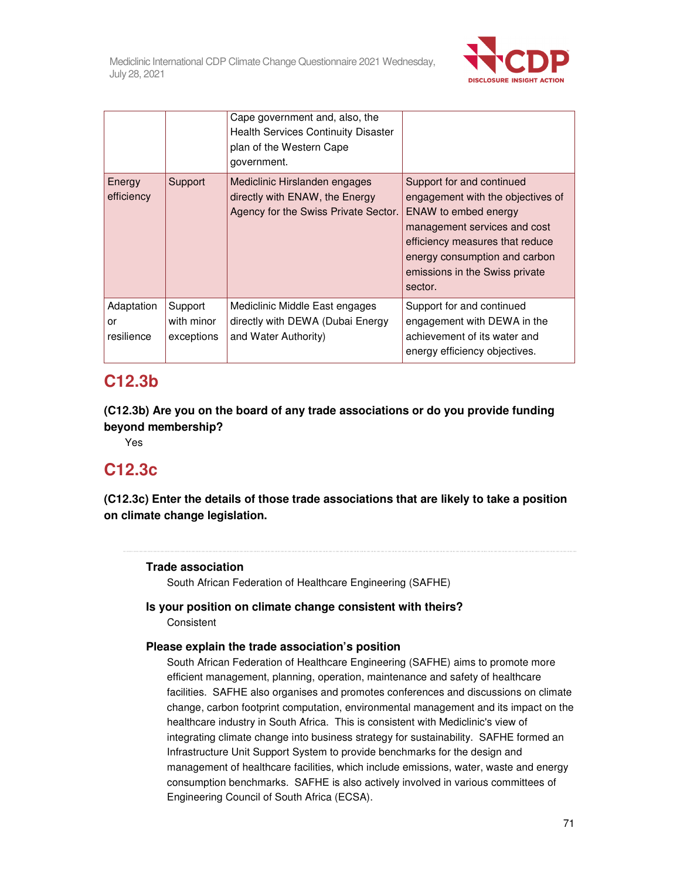

|                                |                                     | Cape government and, also, the<br><b>Health Services Continuity Disaster</b><br>plan of the Western Cape<br>government. |                                                                                                                                                                                                                                         |
|--------------------------------|-------------------------------------|-------------------------------------------------------------------------------------------------------------------------|-----------------------------------------------------------------------------------------------------------------------------------------------------------------------------------------------------------------------------------------|
| Energy<br>efficiency           | Support                             | Mediclinic Hirslanden engages<br>directly with ENAW, the Energy<br>Agency for the Swiss Private Sector.                 | Support for and continued<br>engagement with the objectives of<br>ENAW to embed energy<br>management services and cost<br>efficiency measures that reduce<br>energy consumption and carbon<br>emissions in the Swiss private<br>sector. |
| Adaptation<br>or<br>resilience | Support<br>with minor<br>exceptions | Mediclinic Middle East engages<br>directly with DEWA (Dubai Energy<br>and Water Authority)                              | Support for and continued<br>engagement with DEWA in the<br>achievement of its water and<br>energy efficiency objectives.                                                                                                               |

# **C12.3b**

**(C12.3b) Are you on the board of any trade associations or do you provide funding beyond membership?** 

Yes

# **C12.3c**

**(C12.3c) Enter the details of those trade associations that are likely to take a position on climate change legislation.** 

## **Trade association**

South African Federation of Healthcare Engineering (SAFHE)

## **Is your position on climate change consistent with theirs? Consistent**

## **Please explain the trade association's position**

South African Federation of Healthcare Engineering (SAFHE) aims to promote more efficient management, planning, operation, maintenance and safety of healthcare facilities. SAFHE also organises and promotes conferences and discussions on climate change, carbon footprint computation, environmental management and its impact on the healthcare industry in South Africa. This is consistent with Mediclinic's view of integrating climate change into business strategy for sustainability. SAFHE formed an Infrastructure Unit Support System to provide benchmarks for the design and management of healthcare facilities, which include emissions, water, waste and energy consumption benchmarks. SAFHE is also actively involved in various committees of Engineering Council of South Africa (ECSA).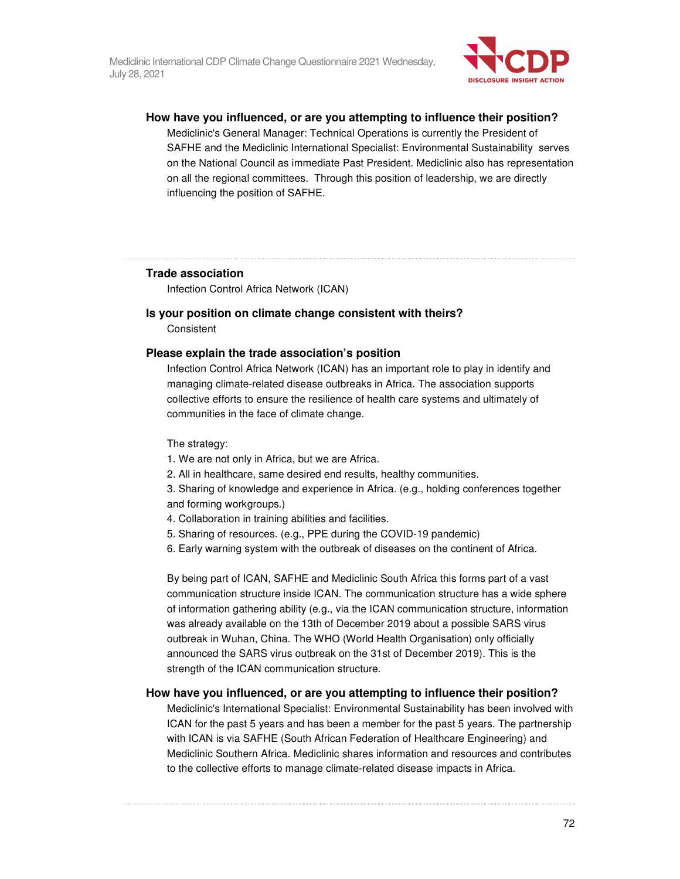

#### **How have you influenced, or are you attempting to influence their position?**

Mediclinic's General Manager: Technical Operations is currently the President of SAFHE and the Mediclinic International Specialist: Environmental Sustainability serves on the National Council as immediate Past President. Mediclinic also has representation on all the regional committees. Through this position of leadership, we are directly influencing the position of SAFHE.

### **Trade association**

Infection Control Africa Network (ICAN)

#### **Is your position on climate change consistent with theirs?**

**Consistent** 

### **Please explain the trade association's position**

Infection Control Africa Network (ICAN) has an important role to play in identify and managing climate-related disease outbreaks in Africa. The association supports collective efforts to ensure the resilience of health care systems and ultimately of communities in the face of climate change.

#### The strategy:

- 1. We are not only in Africa, but we are Africa.
- 2. All in healthcare, same desired end results, healthy communities.

3. Sharing of knowledge and experience in Africa. (e.g., holding conferences together and forming workgroups.)

- 4. Collaboration in training abilities and facilities.
- 5. Sharing of resources. (e.g., PPE during the COVID-19 pandemic)
- 6. Early warning system with the outbreak of diseases on the continent of Africa.

By being part of ICAN, SAFHE and Mediclinic South Africa this forms part of a vast communication structure inside ICAN. The communication structure has a wide sphere of information gathering ability (e.g., via the ICAN communication structure, information was already available on the 13th of December 2019 about a possible SARS virus outbreak in Wuhan, China. The WHO (World Health Organisation) only officially announced the SARS virus outbreak on the 31st of December 2019). This is the strength of the ICAN communication structure.

### **How have you influenced, or are you attempting to influence their position?**

Mediclinic's International Specialist: Environmental Sustainability has been involved with ICAN for the past 5 years and has been a member for the past 5 years. The partnership with ICAN is via SAFHE (South African Federation of Healthcare Engineering) and Mediclinic Southern Africa. Mediclinic shares information and resources and contributes to the collective efforts to manage climate-related disease impacts in Africa.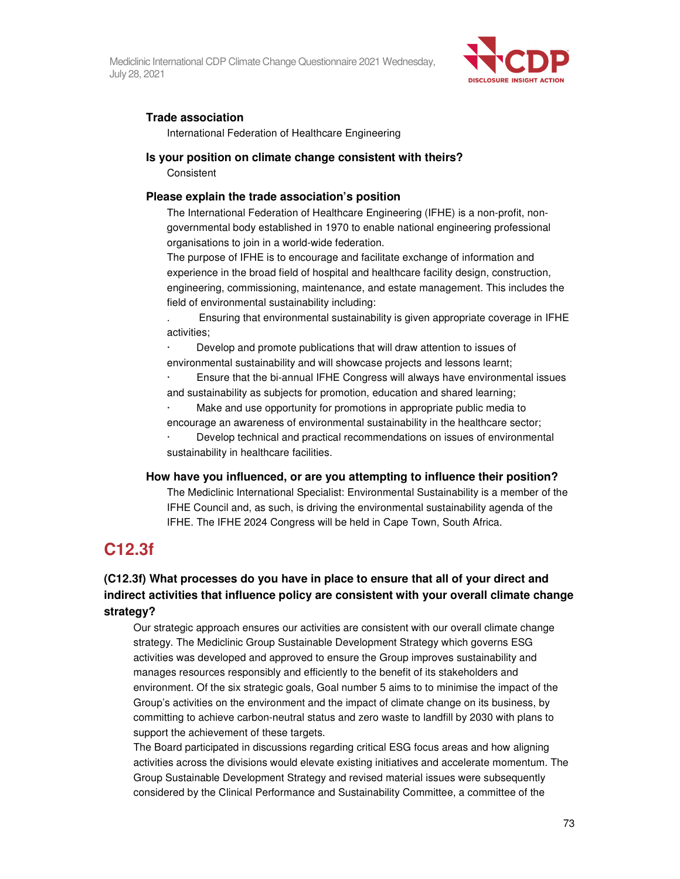Mediclinic International CDP Climate Change Questionnaire 2021 Wednesday, July 28, 2021



#### **Trade association**

International Federation of Healthcare Engineering

#### **Is your position on climate change consistent with theirs?**  Consistent

#### **Please explain the trade association's position**

The International Federation of Healthcare Engineering (IFHE) is a non-profit, nongovernmental body established in 1970 to enable national engineering professional organisations to join in a world-wide federation.

The purpose of IFHE is to encourage and facilitate exchange of information and experience in the broad field of hospital and healthcare facility design, construction, engineering, commissioning, maintenance, and estate management. This includes the field of environmental sustainability including:

. Ensuring that environmental sustainability is given appropriate coverage in IFHE activities;

· Develop and promote publications that will draw attention to issues of environmental sustainability and will showcase projects and lessons learnt;

· Ensure that the bi-annual IFHE Congress will always have environmental issues and sustainability as subjects for promotion, education and shared learning;

Make and use opportunity for promotions in appropriate public media to encourage an awareness of environmental sustainability in the healthcare sector; · Develop technical and practical recommendations on issues of environmental sustainability in healthcare facilities.

### **How have you influenced, or are you attempting to influence their position?**

The Mediclinic International Specialist: Environmental Sustainability is a member of the IFHE Council and, as such, is driving the environmental sustainability agenda of the IFHE. The IFHE 2024 Congress will be held in Cape Town, South Africa.

### **C12.3f**

#### **(C12.3f) What processes do you have in place to ensure that all of your direct and indirect activities that influence policy are consistent with your overall climate change strategy?**

Our strategic approach ensures our activities are consistent with our overall climate change strategy. The Mediclinic Group Sustainable Development Strategy which governs ESG activities was developed and approved to ensure the Group improves sustainability and manages resources responsibly and efficiently to the benefit of its stakeholders and environment. Of the six strategic goals, Goal number 5 aims to to minimise the impact of the Group's activities on the environment and the impact of climate change on its business, by committing to achieve carbon-neutral status and zero waste to landfill by 2030 with plans to support the achievement of these targets.

The Board participated in discussions regarding critical ESG focus areas and how aligning activities across the divisions would elevate existing initiatives and accelerate momentum. The Group Sustainable Development Strategy and revised material issues were subsequently considered by the Clinical Performance and Sustainability Committee, a committee of the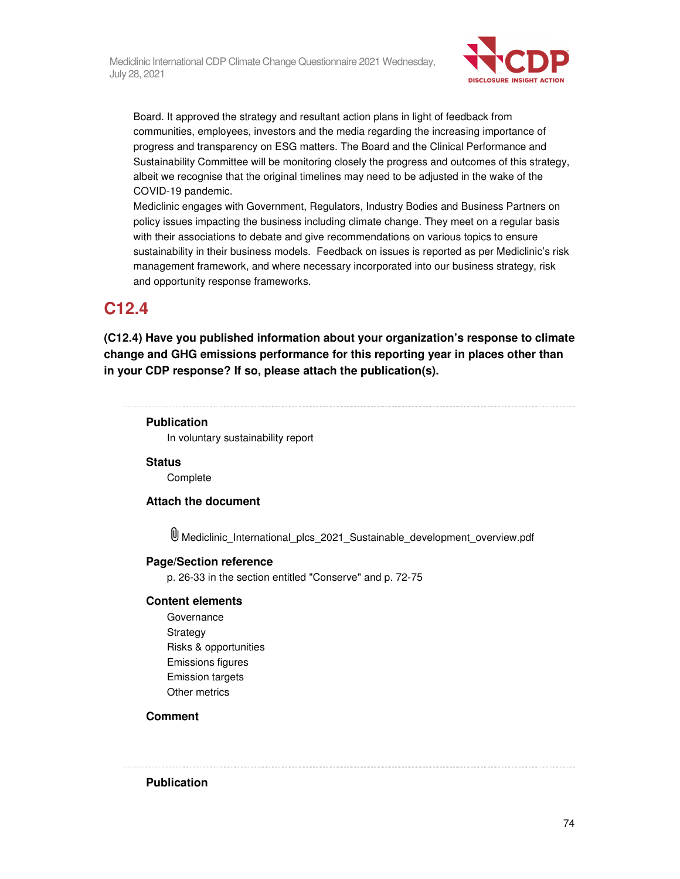

Board. It approved the strategy and resultant action plans in light of feedback from communities, employees, investors and the media regarding the increasing importance of progress and transparency on ESG matters. The Board and the Clinical Performance and Sustainability Committee will be monitoring closely the progress and outcomes of this strategy, albeit we recognise that the original timelines may need to be adjusted in the wake of the COVID-19 pandemic.

Mediclinic engages with Government, Regulators, Industry Bodies and Business Partners on policy issues impacting the business including climate change. They meet on a regular basis with their associations to debate and give recommendations on various topics to ensure sustainability in their business models. Feedback on issues is reported as per Mediclinic's risk management framework, and where necessary incorporated into our business strategy, risk and opportunity response frameworks.

### **C12.4**

**(C12.4) Have you published information about your organization's response to climate change and GHG emissions performance for this reporting year in places other than in your CDP response? If so, please attach the publication(s).** 

#### **Publication**

In voluntary sustainability report

**Status** 

**Complete** 

#### **Attach the document**

Mediclinic\_International\_plcs\_2021\_Sustainable\_development\_overview.pdf

#### **Page/Section reference**

p. 26-33 in the section entitled "Conserve" and p. 72-75

#### **Content elements**

Governance **Strategy** Risks & opportunities Emissions figures Emission targets Other metrics

#### **Comment**

**Publication**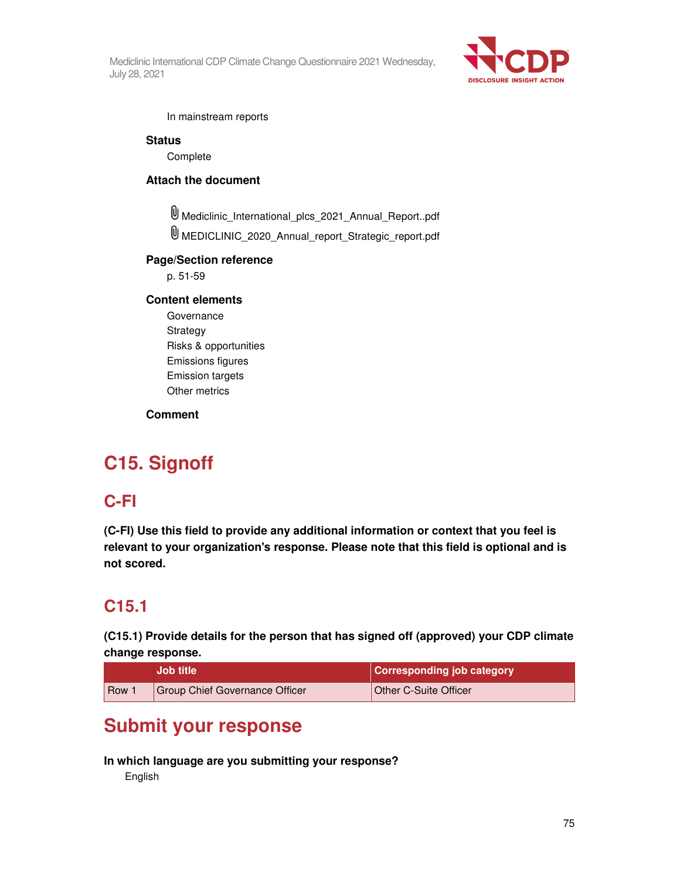Mediclinic International CDP Climate Change Questionnaire 2021 Wednesday, July 28, 2021



In mainstream reports

**Status** 

**Complete** 

#### **Attach the document**

Mediclinic\_International\_plcs\_2021\_Annual\_Report..pdf

MEDICLINIC\_2020\_Annual\_report\_Strategic\_report.pdf

#### **Page/Section reference**

p. 51-59

#### **Content elements**

Governance Strategy Risks & opportunities Emissions figures Emission targets Other metrics

#### **Comment**

# **C15. Signoff**

### **C-FI**

**(C-FI) Use this field to provide any additional information or context that you feel is relevant to your organization's response. Please note that this field is optional and is not scored.** 

### **C15.1**

**(C15.1) Provide details for the person that has signed off (approved) your CDP climate change response.** 

|     | <b>Job title</b>                      | <b>Corresponding job category</b> |
|-----|---------------------------------------|-----------------------------------|
| Row | <b>Group Chief Governance Officer</b> | Other C-Suite Officer             |

## **Submit your response**

#### **In which language are you submitting your response?**

English